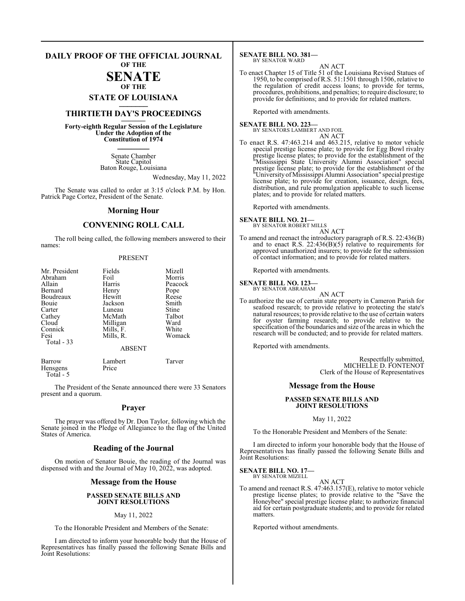#### **DAILY PROOF OF THE OFFICIAL JOURNAL OF THE**

#### **SENATE OF THE**

**STATE OF LOUISIANA \_\_\_\_\_\_\_**

## **THIRTIETH DAY'S PROCEEDINGS \_\_\_\_\_\_\_**

**Forty-eighth Regular Session of the Legislature Under the Adoption of the Constitution of 1974 \_\_\_\_\_\_\_**

> Senate Chamber State Capitol Baton Rouge, Louisiana

> > Wednesday, May 11, 2022

The Senate was called to order at 3:15 o'clock P.M. by Hon. Patrick Page Cortez, President of the Senate.

#### **Morning Hour**

### **CONVENING ROLL CALL**

The roll being called, the following members answered to their names:

#### PRESENT

| Mr. President | Fields        | Mizell  |
|---------------|---------------|---------|
| Abraham       | Foil          | Morris  |
| Allain        | Harris        | Peacock |
| Bernard       | Henry         | Pope    |
| Boudreaux     | Hewitt        | Reese   |
| Bouie         | Jackson       | Smith   |
| Carter        | Luneau        | Stine   |
| Cathey        | McMath        | Talbot  |
| Cloud         | Milligan      | Ward    |
| Connick       | Mills, F.     | White   |
| Fesi          | Mills, R.     | Womack  |
| Total $-33$   |               |         |
|               | <b>ABSENT</b> |         |

| Barrow    | Lambert | Tarver |
|-----------|---------|--------|
| Hensgens  | Price   |        |
| Total - 5 |         |        |

The President of the Senate announced there were 33 Senators present and a quorum.

#### **Prayer**

The prayer was offered by Dr. Don Taylor, following which the Senate joined in the Pledge of Allegiance to the flag of the United States of America.

#### **Reading of the Journal**

On motion of Senator Bouie, the reading of the Journal was dispensed with and the Journal of May 10, 2022, was adopted.

#### **Message from the House**

#### **PASSED SENATE BILLS AND JOINT RESOLUTIONS**

#### May 11, 2022

To the Honorable President and Members of the Senate:

I am directed to inform your honorable body that the House of Representatives has finally passed the following Senate Bills and Joint Resolutions:

**SENATE BILL NO. 381—** BY SENATOR WARD

```
AN ACT
```
To enact Chapter 15 of Title 51 of the Louisiana Revised Statues of 1950, to be comprised ofR.S. 51:1501 through 1506, relative to the regulation of credit access loans; to provide for terms, procedures, prohibitions, and penalties; to require disclosure; to provide for definitions; and to provide for related matters.

Reported with amendments.

**SENATE BILL NO. 223—** BY SENATORS LAMBERT AND FOIL

- AN ACT
- To enact R.S. 47:463.214 and 463.215, relative to motor vehicle special prestige license plate; to provide for Egg Bowl rivalry prestige license plates; to provide for the establishment of the "Mississippi State University Alumni Association" special prestige license plate; to provide for the establishment of the "UniversityofMississippi Alumni Association" special prestige license plate; to provide for creation, issuance, design, fees, distribution, and rule promulgation applicable to such license plates; and to provide for related matters.

Reported with amendments.

## **SENATE BILL NO. 21—** BY SENATOR ROBERT MILLS

- AN ACT
- To amend and reenact the introductory paragraph of R.S. 22:436(B) and to enact R.S.  $22:436(B)(5)$  relative to requirements for approved unauthorized insurers; to provide for the submission of contact information; and to provide for related matters.

Reported with amendments.

#### **SENATE BILL NO. 123—**

BY SENATOR ABRAHAM AN ACT

To authorize the use of certain state property in Cameron Parish for seafood research; to provide relative to protecting the state's natural resources; to provide relative to the use of certain waters for oyster farming research; to provide relative to the specification ofthe boundaries and size ofthe areas in which the research will be conducted; and to provide for related matters.

Reported with amendments.

Respectfully submitted, MICHELLE D. FONTENOT Clerk of the House of Representatives

#### **Message from the House**

#### **PASSED SENATE BILLS AND JOINT RESOLUTIONS**

#### May 11, 2022

To the Honorable President and Members of the Senate:

I am directed to inform your honorable body that the House of Representatives has finally passed the following Senate Bills and Joint Resolutions:

#### **SENATE BILL NO. 17—** BY SENATOR MIZELL

AN ACT

To amend and reenact R.S. 47:463.157(E), relative to motor vehicle prestige license plates; to provide relative to the "Save the Honeybee" special prestige license plate; to authorize financial aid for certain postgraduate students; and to provide for related matters.

Reported without amendments.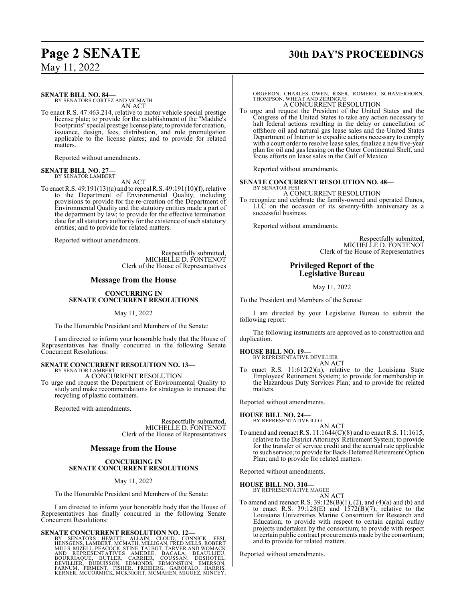## **Page 2 SENATE 30th DAY'S PROCEEDINGS**

**SENATE BILL NO. 84—**

BY SENATORS CORTEZ AND MCMATH AN ACT

To enact R.S. 47:463.214, relative to motor vehicle special prestige license plate; to provide for the establishment of the "Maddie's Footprints" special prestige licenseplate; to provide for creation, issuance, design, fees, distribution, and rule promulgation applicable to the license plates; and to provide for related matters.

Reported without amendments.

## **SENATE BILL NO. 27—** BY SENATOR LAMBERT

AN ACT

To enact R.S. 49:191(13)(a) and to repeal R.S. 49:191(10)(f), relative to the Department of Environmental Quality, including provisions to provide for the re-creation of the Department of Environmental Quality and the statutory entities made a part of the department by law; to provide for the effective termination date for all statutory authority for the existence of such statutory entities; and to provide for related matters.

Reported without amendments.

Respectfully submitted, MICHELLE D. FONTENOT Clerk of the House of Representatives

### **Message from the House**

#### **CONCURRING IN SENATE CONCURRENT RESOLUTIONS**

May 11, 2022

To the Honorable President and Members of the Senate:

I am directed to inform your honorable body that the House of Representatives has finally concurred in the following Senate Concurrent Resolutions:

#### **SENATE CONCURRENT RESOLUTION NO. 13—** BY SENATOR LAMBERT

A CONCURRENT RESOLUTION

To urge and request the Department of Environmental Quality to study and make recommendations for strategies to increase the recycling of plastic containers.

Reported with amendments.

Respectfully submitted, MICHELLE D. FONTENOT Clerk of the House of Representatives

#### **Message from the House**

#### **CONCURRING IN SENATE CONCURRENT RESOLUTIONS**

May 11, 2022

To the Honorable President and Members of the Senate:

I am directed to inform your honorable body that the House of Representatives has finally concurred in the following Senate Concurrent Resolutions:

#### **SENATE CONCURRENT RESOLUTION NO. 12—**

BY SENATORS HEWITT, ALLAIN, CLOUD, CONNICK, FESI, HEWISGENS, LAMBERT, MCMATH, MILLIGAN, FRED MILLS, ROBERT<br>MILLS, MIZELL, PEACOCK, STINE, TALBOT, TARVER AND WOMACK<br>AND REPRESENTATIVES AMEDEE, BACALA, BEAULLIEU,<br>BOURRIAQUE,

ORGERON, CHARLES OWEN, RISER, ROMERO, SCHAMERHORN, THOMPSON, WHEAT AND ZERINGUE A CONCURRENT RESOLUTION

To urge and request the President of the United States and the Congress of the United States to take any action necessary to halt federal actions resulting in the delay or cancellation of offshore oil and natural gas lease sales and the United States Department of Interior to expedite actions necessary to comply with a court order to resolve lease sales, finalize a new five-year plan for oil and gas leasing on the Outer Continental Shelf, and focus efforts on lease sales in the Gulf of Mexico.

Reported without amendments.

#### **SENATE CONCURRENT RESOLUTION NO. 48—** BY SENATOR FESI

A CONCURRENT RESOLUTION

To recognize and celebrate the family-owned and operated Danos, LLC on the occasion of its seventy-fifth anniversary as a successful business.

Reported without amendments.

Respectfully submitted, MICHELLE D. FONTENOT Clerk of the House of Representatives

### **Privileged Report of the Legislative Bureau**

May 11, 2022

To the President and Members of the Senate:

I am directed by your Legislative Bureau to submit the following report:

The following instruments are approved as to construction and duplication.

#### **HOUSE BILL NO. 19—**

BY REPRESENTATIVE DEVILLIER AN ACT

To enact R.S. 11:612(2)(n), relative to the Louisiana State Employees' Retirement System; to provide for membership in the Hazardous Duty Services Plan; and to provide for related matters.

Reported without amendments.

**HOUSE BILL NO. 24—**

BY REPRESENTATIVE ILLG

AN ACT To amend and reenact R.S. 11:1644(C)(8) and to enact R.S. 11:1615, relative to the District Attorneys' Retirement System; to provide for the transfer of service credit and the accrual rate applicable to such service; to provide for Back-Deferred Retirement Option Plan; and to provide for related matters.

Reported without amendments.

#### **HOUSE BILL NO. 310—**

BY REPRESENTATIVE MAGEE AN ACT

To amend and reenact R.S. 39:128(B)(1), (2), and (4)(a) and (b) and to enact R.S.  $39:128(E)$  and  $1572(B)(7)$ , relative to the Louisiana Universities Marine Consortium for Research and Education; to provide with respect to certain capital outlay projects undertaken by the consortium; to provide with respect to certain public contract procurements made by the consortium; and to provide for related matters.

Reported without amendments.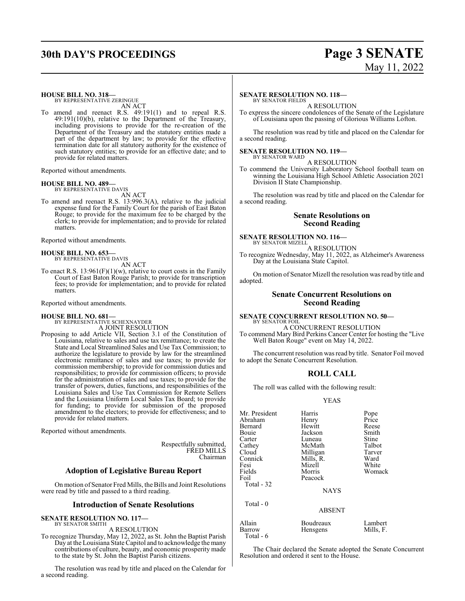## **30th DAY'S PROCEEDINGS Page 3 SENATE**

# May 11, 2022

**HOUSE BILL NO. 318—** BY REPRESENTATIVE ZERINGUE

AN ACT

To amend and reenact R.S. 49:191(1) and to repeal R.S. 49:191(10)(b), relative to the Department of the Treasury, including provisions to provide for the re-creation of the Department of the Treasury and the statutory entities made a part of the department by law; to provide for the effective termination date for all statutory authority for the existence of such statutory entities; to provide for an effective date; and to provide for related matters.

Reported without amendments.

#### **HOUSE BILL NO. 489—**

BY REPRESENTATIVE DAVIS AN ACT

To amend and reenact R.S. 13:996.3(A), relative to the judicial expense fund for the Family Court for the parish of East Baton Rouge; to provide for the maximum fee to be charged by the clerk; to provide for implementation; and to provide for related matters.

Reported without amendments.

## **HOUSE BILL NO. 653—** BY REPRESENTATIVE DAVIS

AN ACT

To enact R.S.  $13:961(F)(1)(w)$ , relative to court costs in the Family Court of East Baton Rouge Parish; to provide for transcription fees; to provide for implementation; and to provide for related matters.

Reported without amendments.

#### **HOUSE BILL NO. 681—**

BY REPRESENTATIVE SCHEXNAYDER A JOINT RESOLUTION

Proposing to add Article VII, Section 3.1 of the Constitution of Louisiana, relative to sales and use tax remittance; to create the State and Local Streamlined Sales and Use Tax Commission; to authorize the legislature to provide by law for the streamlined electronic remittance of sales and use taxes; to provide for commission membership; to provide for commission duties and responsibilities; to provide for commission officers; to provide for the administration of sales and use taxes; to provide for the transfer of powers, duties, functions, and responsibilities of the Louisiana Sales and Use Tax Commission for Remote Sellers and the Louisiana Uniform Local Sales Tax Board; to provide for funding; to provide for submission of the proposed amendment to the electors; to provide for effectiveness; and to provide for related matters.

Reported without amendments.

Respectfully submitted, FRED MILLS Chairman

### **Adoption of Legislative Bureau Report**

On motion of Senator Fred Mills, the Bills and Joint Resolutions were read by title and passed to a third reading.

#### **Introduction of Senate Resolutions**

**SENATE RESOLUTION NO. 117—** BY SENATOR SMITH

## A RESOLUTION

To recognize Thursday, May 12, 2022, as St. John the Baptist Parish Day at the Louisiana State Capitol and to acknowledge the many contributions of culture, beauty, and economic prosperity made to the state by St. John the Baptist Parish citizens.

The resolution was read by title and placed on the Calendar for a second reading.

#### **SENATE RESOLUTION NO. 118—** BY SENATOR FIELDS

A RESOLUTION

To express the sincere condolences of the Senate of the Legislature of Louisiana upon the passing of Glorious Williams Lofton.

The resolution was read by title and placed on the Calendar for a second reading.

#### **SENATE RESOLUTION NO. 119—** BY SENATOR WARD

A RESOLUTION

To commend the University Laboratory School football team on winning the Louisiana High School Athletic Association 2021 Division II State Championship.

The resolution was read by title and placed on the Calendar for a second reading.

#### **Senate Resolutions on Second Reading**

**SENATE RESOLUTION NO. 116—** BY SENATOR MIZELL

A RESOLUTION To recognize Wednesday, May 11, 2022, as Alzheimer's Awareness Day at the Louisiana State Capitol.

On motion of Senator Mizell the resolution was read by title and adopted.

### **Senate Concurrent Resolutions on Second Reading**

#### **SENATE CONCURRENT RESOLUTION NO. 50—** BY SENATOR FOIL

A CONCURRENT RESOLUTION

To commend Mary Bird Perkins Cancer Center for hosting the "Live Well Baton Rouge" event on May 14, 2022.

The concurrent resolution was read by title. Senator Foil moved to adopt the Senate Concurrent Resolution.

### **ROLL CALL**

The roll was called with the following result:

Mr. President Harris Pope

YEAS

| Abraham    | Henry         | Price     |
|------------|---------------|-----------|
| Bernard    | Hewitt        | Reese     |
| Bouie      | Jackson       | Smith     |
| Carter     | Luneau        | Stine     |
| Cathey     | McMath        | Talbot    |
| Cloud      | Milligan      | Tarver    |
| Connick    | Mills, R.     | Ward      |
| Fesi       | Mizell        | White     |
| Fields     | Morris        | Womack    |
| Foil       | Peacock       |           |
| Total - 32 |               |           |
|            | <b>NAYS</b>   |           |
| Total - 0  |               |           |
|            | <b>ABSENT</b> |           |
| Allain     | Boudreaux     | Lambert   |
| Barrow     | Hensgens      | Mills, F. |
| Total - 6  |               |           |

The Chair declared the Senate adopted the Senate Concurrent Resolution and ordered it sent to the House.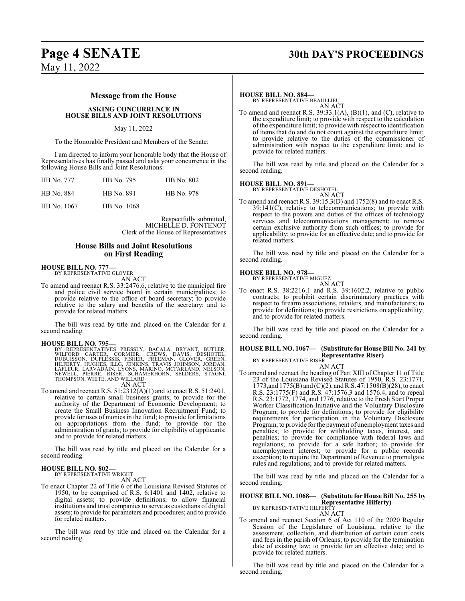#### **Message from the House**

#### **ASKING CONCURRENCE IN HOUSE BILLS AND JOINT RESOLUTIONS**

#### May 11, 2022

To the Honorable President and Members of the Senate:

I am directed to inform your honorable body that the House of Representatives has finally passed and asks your concurrence in the following House Bills and Joint Resolutions:

| HB No. 777  | HB No. 795  | <b>HB</b> No. 802 |
|-------------|-------------|-------------------|
| HB No. 884  | HB No. 891  | <b>HB</b> No. 978 |
| HB No. 1067 | HB No. 1068 |                   |

Respectfully submitted, MICHELLE D. FONTENOT Clerk of the House of Representatives

#### **House Bills and Joint Resolutions on First Reading**

## **HOUSE BILL NO. 777—** BY REPRESENTATIVE GLOVER

AN ACT

To amend and reenact R.S. 33:2476.6, relative to the municipal fire and police civil service board in certain municipalities; to provide relative to the office of board secretary; to provide relative to the salary and benefits of the secretary; and to provide for related matters.

The bill was read by title and placed on the Calendar for a second reading.

#### **HOUSE BILL NO. 795—**

BY REPRESENTATIVES PRESSLY, BACALA, BRYANT, BUTLER,<br>WILFORD CARTER, CORMIER, CREWS, DAVIS, DESHOTEL,<br>DUBUISSON, DUPLESSIS, FISHER, FREEMAN, GLOVER, GREEN,<br>HILFERTY, HUGHES, ILLG, JENKINS, TRAVIS JOHNSON, JORDAN,<br>LAFLEUR, L AN ACT

To amend and reenact R.S. 51:2312(A)(1) and to enact R.S. 51:2401, relative to certain small business grants; to provide for the authority of the Department of Economic Development; to create the Small Business Innovation Recruitment Fund; to provide for uses of monies in the fund; to provide for limitations on appropriations from the fund; to provide for the administration of grants; to provide for eligibility of applicants; and to provide for related matters.

The bill was read by title and placed on the Calendar for a second reading.

#### **HOUSE BILL NO. 802—** BY REPRESENTATIVE WRIGHT

AN ACT

To enact Chapter 22 of Title 6 of the Louisiana Revised Statutes of 1950, to be comprised of R.S. 6:1401 and 1402, relative to digital assets; to provide definitions; to allow financial institutions and trust companies to serve as custodians of digital assets; to provide for parameters and procedures; and to provide for related matters.

The bill was read by title and placed on the Calendar for a second reading.

#### **HOUSE BILL NO. 884—**

BY REPRESENTATIVE BEAULLIEU AN ACT

To amend and reenact R.S. 39:33.1(A), (B)(1), and (C), relative to the expenditure limit; to provide with respect to the calculation ofthe expenditure limit; to provide with respect to identification of items that do and do not count against the expenditure limit; to provide relative to the duties of the commissioner of administration with respect to the expenditure limit; and to provide for related matters.

The bill was read by title and placed on the Calendar for a second reading.

#### **HOUSE BILL NO. 891—**

BY REPRESENTATIVE DESHOTEL AN ACT

To amend and reenact R.S. 39:15.3(D) and 1752(8) and to enact R.S. 39:141(C), relative to telecommunications; to provide with respect to the powers and duties of the offices of technology services and telecommunications management; to remove certain exclusive authority from such offices; to provide for applicability; to provide for an effective date; and to provide for related matters.

The bill was read by title and placed on the Calendar for a second reading.

#### **HOUSE BILL NO. 978—**

BY REPRESENTATIVE MIGUEZ AN ACT

To enact R.S. 38:2216.1 and R.S. 39:1602.2, relative to public contracts; to prohibit certain discriminatory practices with respect to firearm associations, retailers, and manufacturers; to provide for definitions; to provide restrictions on applicability; and to provide for related matters.

The bill was read by title and placed on the Calendar for a second reading.

#### **HOUSE BILL NO. 1067— (Substitute for House Bill No. 241 by Representative Riser)** BY REPRESENTATIVE RISER

AN ACT

To amend and reenact the heading of Part XIII of Chapter 11 of Title 23 of the Louisiana Revised Statutes of 1950, R.S. 23:1771, 1773,and 1775(B) and (C)(2), and R.S. 47:1508(B)(28), to enact R.S. 23:1775(F) and R.S. 47:1576.3 and 1576.4, and to repeal R.S. 23:1772, 1774, and 1776, relative to the Fresh Start Proper Worker Classification Initiative and the Voluntary Disclosure Program; to provide for definitions; to provide for eligibility requirements for participation in the Voluntary Disclosure Program; to provide for the payment of unemployment taxes and penalties; to provide for withholding taxes, interest, and penalties; to provide for compliance with federal laws and regulations; to provide for a safe harbor; to provide for unemployment interest; to provide for a public records exception; to require the Department of Revenue to promulgate rules and regulations; and to provide for related matters.

The bill was read by title and placed on the Calendar for a second reading.

**HOUSE BILL NO. 1068— (Substitute for House Bill No. 255 by Representative Hilferty)** BY REPRESENTATIVE HILFERTY

#### AN ACT

To amend and reenact Section 6 of Act 110 of the 2020 Regular Session of the Legislature of Louisiana, relative to the assessment, collection, and distribution of certain court costs and fees in the parish of Orleans; to provide for the termination date of existing law; to provide for an effective date; and to provide for related matters.

The bill was read by title and placed on the Calendar for a second reading.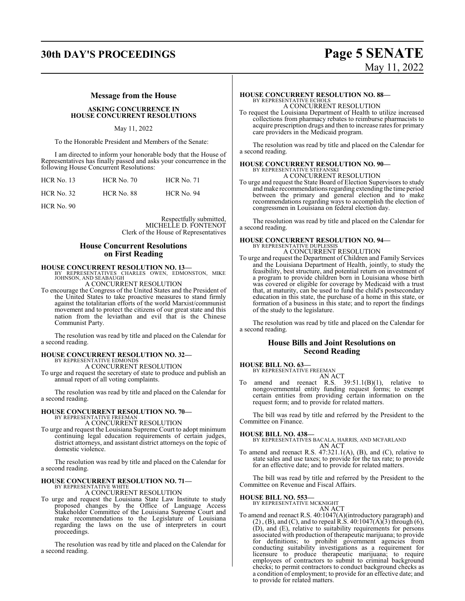# **30th DAY'S PROCEEDINGS Page 5 SENATE**

# May 11, 2022

#### **Message from the House**

#### **ASKING CONCURRENCE IN HOUSE CONCURRENT RESOLUTIONS**

May 11, 2022

To the Honorable President and Members of the Senate:

I am directed to inform your honorable body that the House of Representatives has finally passed and asks your concurrence in the following House Concurrent Resolutions:

| $HCR$ No. 13 | <b>HCR No. 70</b> | <b>HCR No. 71</b> |
|--------------|-------------------|-------------------|
| HCR No. 32   | HCR No. 88        | <b>HCR No. 94</b> |

HCR No. 90

Respectfully submitted, MICHELLE D. FONTENOT Clerk of the House of Representatives

#### **House Concurrent Resolutions on First Reading**

# **HOUSE CONCURRENT RESOLUTION NO. 13—**<br>BY REPRESENTATIVES CHARLES OWEN, EDMONSTON, MIKE<br>JOHNSON, AND SEABAUGH

A CONCURRENT RESOLUTION

To encourage the Congress of the United States and the President of the United States to take proactive measures to stand firmly against the totalitarian efforts of the world Marxist/communist movement and to protect the citizens of our great state and this nation from the leviathan and evil that is the Chinese Communist Party.

The resolution was read by title and placed on the Calendar for a second reading.

## **HOUSE CONCURRENT RESOLUTION NO. 32—** BY REPRESENTATIVE EDMONDS

A CONCURRENT RESOLUTION

To urge and request the secretary of state to produce and publish an annual report of all voting complaints.

The resolution was read by title and placed on the Calendar for a second reading.

## **HOUSE CONCURRENT RESOLUTION NO. 70—** BY REPRESENTATIVE FREEMAN

A CONCURRENT RESOLUTION

To urge and request the Louisiana Supreme Court to adopt minimum continuing legal education requirements of certain judges, district attorneys, and assistant district attorneys on the topic of domestic violence.

The resolution was read by title and placed on the Calendar for a second reading.

## **HOUSE CONCURRENT RESOLUTION NO. 71—** BY REPRESENTATIVE WHITE

A CONCURRENT RESOLUTION

To urge and request the Louisiana State Law Institute to study proposed changes by the Office of Language Access Stakeholder Committee of the Louisiana Supreme Court and make recommendations to the Legislature of Louisiana regarding the laws on the use of interpreters in court proceedings.

The resolution was read by title and placed on the Calendar for a second reading.

# **HOUSE CONCURRENT RESOLUTION NO. 88—**<br>BY REPRESENTATIVE ECHOLS<br>A CONCURRENT RESOLUTION

To request the Louisiana Department of Health to utilize increased collections from pharmacy rebates to reimburse pharmacists to acquire prescription drugs and then to increase rates for primary care providers in the Medicaid program.

The resolution was read by title and placed on the Calendar for a second reading.

### **HOUSE CONCURRENT RESOLUTION NO. 90—**

BY REPRESENTATIVE STEFANSKI A CONCURRENT RESOLUTION

To urge and request the State Board of Election Supervisors to study andmake recommendations regarding extending the time period between the primary and general election and to make recommendations regarding ways to accomplish the election of congressmen in Louisiana on federal election day.

The resolution was read by title and placed on the Calendar for a second reading.

#### **HOUSE CONCURRENT RESOLUTION NO. 94—** BY REPRESENTATIVE DUPLESSIS

A CONCURRENT RESOLUTION

To urge and request the Department of Children and Family Services and the Louisiana Department of Health, jointly, to study the feasibility, best structure, and potential return on investment of a program to provide children born in Louisiana whose birth was covered or eligible for coverage by Medicaid with a trust that, at maturity, can be used to fund the child's postsecondary education in this state, the purchase of a home in this state, or formation of a business in this state; and to report the findings of the study to the legislature.

The resolution was read by title and placed on the Calendar for a second reading.

#### **House Bills and Joint Resolutions on Second Reading**

#### **HOUSE BILL NO. 63—**

BY REPRESENTATIVE FREEMAN

AN ACT amend and reenact R.S.  $39:51.1(B)(1)$ , relative to nongovernmental entity funding request forms; to exempt certain entities from providing certain information on the request form; and to provide for related matters.

The bill was read by title and referred by the President to the Committee on Finance.

#### **HOUSE BILL NO. 438—**

BY REPRESENTATIVES BACALA, HARRIS, AND MCFARLAND AN ACT

To amend and reenact R.S. 47:321.1(A), (B), and (C), relative to state sales and use taxes; to provide for the tax rate; to provide for an effective date; and to provide for related matters.

The bill was read by title and referred by the President to the Committee on Revenue and Fiscal Affairs.

#### **HOUSE BILL NO. 553—**

BY REPRESENTATIVE MCKNIGHT AN ACT

To amend and reenact R.S. 40:1047(A)(introductory paragraph) and  $(2)$ ,  $(B)$ , and  $(C)$ , and to repeal R.S.  $40:1047(A)$  $(3)$  through  $(6)$ , (D), and (E), relative to suitability requirements for persons associated with production of therapeutic marijuana; to provide for definitions; to prohibit government agencies from conducting suitability investigations as a requirement for licensure to produce therapeutic marijuana; to require employees of contractors to submit to criminal background checks; to permit contractors to conduct background checks as a condition of employment; to provide for an effective date; and to provide for related matters.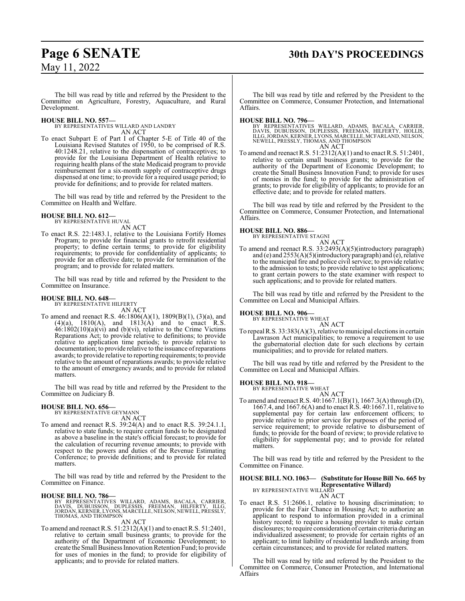## **Page 6 SENATE 30th DAY'S PROCEEDINGS**

The bill was read by title and referred by the President to the Committee on Agriculture, Forestry, Aquaculture, and Rural Development.

#### **HOUSE BILL NO. 557—**

BY REPRESENTATIVES WILLARD AND LANDRY AN ACT

To enact Subpart E of Part I of Chapter 5-E of Title 40 of the Louisiana Revised Statutes of 1950, to be comprised of R.S. 40:1248.21, relative to the dispensation of contraceptives; to provide for the Louisiana Department of Health relative to requiring health plans of the state Medicaid program to provide reimbursement for a six-month supply of contraceptive drugs dispensed at one time; to provide for a required usage period; to provide for definitions; and to provide for related matters.

The bill was read by title and referred by the President to the Committee on Health and Welfare.

#### **HOUSE BILL NO. 612—** BY REPRESENTATIVE HUVAL

AN ACT

To enact R.S. 22:1483.1, relative to the Louisiana Fortify Homes Program; to provide for financial grants to retrofit residential property; to define certain terms; to provide for eligibility requirements; to provide for confidentiality of applicants; to provide for an effective date; to provide for termination of the program; and to provide for related matters.

The bill was read by title and referred by the President to the Committee on Insurance.

#### **HOUSE BILL NO. 648—**

BY REPRESENTATIVE HILFERTY AN ACT

To amend and reenact R.S. 46:1806(A)(1), 1809(B)(1), (3)(a), and  $(4)(a)$ ,  $1810(A)$ , and  $1813(A)$  and to enact R.S.  $46:1802(10)(a)(vi)$  and (b)(vi), relative to the Crime Victims Reparations Act; to provide relative to definitions; to provide relative to application time periods; to provide relative to documentation; to provide relative to the issuance ofreparations awards; to provide relative to reporting requirements; to provide relative to the amount of reparations awards; to provide relative to the amount of emergency awards; and to provide for related matters.

The bill was read by title and referred by the President to the Committee on Judiciary B.

#### **HOUSE BILL NO. 656—** BY REPRESENTATIVE GEYMANN

AN ACT

To amend and reenact R.S. 39:24(A) and to enact R.S. 39:24.1.1, relative to state funds; to require certain funds to be designated as above a baseline in the state's official forecast; to provide for the calculation of recurring revenue amounts; to provide with respect to the powers and duties of the Revenue Estimating Conference; to provide definitions; and to provide for related matters.

The bill was read by title and referred by the President to the Committee on Finance.

**HOUSE BILL NO. 786—**<br>BY REPRESENTATIVES WILLARD, ADAMS, BACALA, CARRIER,<br>DAVIS, DUBUISSON, DUPLESSIS, FREEMAN, HILFERTY, ILLG,<br>JORDAN, KERNER, LYONS, MARCELLE, NELSON, NEWELL, PRESSLY,<br>THOMAS, AND THOMPSON

#### AN ACT

To amend and reenact R.S. 51:2312(A)(1) and to enact R.S. 51:2401, relative to certain small business grants; to provide for the authority of the Department of Economic Development; to create the Small Business Innovation Retention Fund; to provide for uses of monies in the fund; to provide for eligibility of applicants; and to provide for related matters.

The bill was read by title and referred by the President to the Committee on Commerce, Consumer Protection, and International Affairs.

**HOUSE BILL NO. 796—**<br>BY REPRESENTATIVES WILLARD, ADAMS, BACALA, CARRIER, DAVIS, DUBUISSON, DUPLESSIS, FREEMAN, HILFERTY, HOLLIS,<br>ILLG, JORDAN, KERNER, LYONS, MARCELLE, MCFARLAND, NELSON,<br>NEWELL, PRESSLY, THOMAS, AND THOMP

To amend and reenact R.S. 51:2312(A)(1) and to enact R.S. 51:2401, relative to certain small business grants; to provide for the authority of the Department of Economic Development; to create the Small Business Innovation Fund; to provide for uses of monies in the fund; to provide for the administration of grants; to provide for eligibility of applicants; to provide for an effective date; and to provide for related matters.

The bill was read by title and referred by the President to the Committee on Commerce, Consumer Protection, and International Affairs.

#### **HOUSE BILL NO. 886—**

BY REPRESENTATIVE STAGNI AN ACT

To amend and reenact R.S. 33:2493(A)(5)(introductory paragraph) and (e) and 2553(A)(5)(introductory paragraph) and (e), relative to the municipal fire and police civil service; to provide relative to the admission to tests; to provide relative to test applications; to grant certain powers to the state examiner with respect to such applications; and to provide for related matters.

The bill was read by title and referred by the President to the Committee on Local and Municipal Affairs.

#### **HOUSE BILL NO. 906—**

BY REPRESENTATIVE WHEAT AN ACT

To repeal R.S.  $33:383(A)(3)$ , relative to municipal elections in certain Lawrason Act municipalities; to remove a requirement to use the gubernatorial election date for such elections by certain municipalities; and to provide for related matters.

The bill was read by title and referred by the President to the Committee on Local and Municipal Affairs.

## **HOUSE BILL NO. 918—**

BY REPRESENTATIVE WHEAT

AN ACT To amend and reenact R.S. 40:1667.1(B)(1), 1667.3(A) through (D), 1667.4, and 1667.6(A) and to enact R.S. 40:1667.11, relative to supplemental pay for certain law enforcement officers; to provide relative to prior service for purposes of the period of service requirement; to provide relative to disbursement of funds; to provide for the board of review; to provide relative to eligibility for supplemental pay; and to provide for related matters.

The bill was read by title and referred by the President to the Committee on Finance.

#### **HOUSE BILL NO. 1063— (Substitute for House Bill No. 665 by Representative Willard)** BY REPRESENTATIVE WILLARD

AN ACT

To enact R.S. 51:2606.1, relative to housing discrimination; to provide for the Fair Chance in Housing Act; to authorize an applicant to respond to information provided in a criminal history record; to require a housing provider to make certain disclosures; to require consideration of certain criteria during an individualized assessment; to provide for certain rights of an applicant; to limit liability of residential landlords arising from certain circumstances; and to provide for related matters.

The bill was read by title and referred by the President to the Committee on Commerce, Consumer Protection, and International Affairs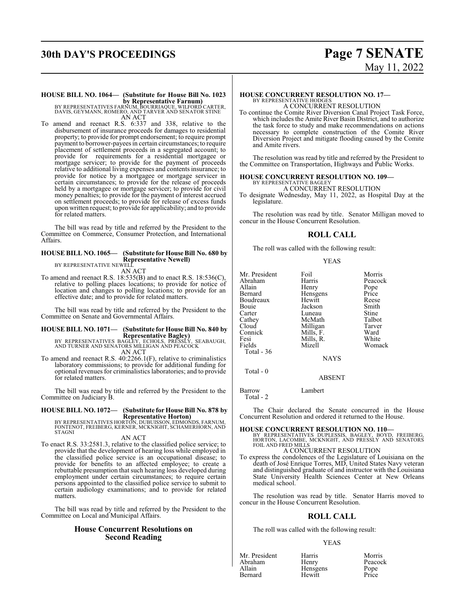# **30th DAY'S PROCEEDINGS Page 7 SENATE**

# **HOUSE BILL NO. 1064— (Substitute for House Bill No. 1023**

**by Representative Farnum)**<br>BY REPRESENTATIVES FARNUM, BOURRIAQUE, WILFORD CARTER,<br>DAVIS, GEYMANN, ROMERO, AND TARVER AND SENATOR STINE<br>AN ACT

To amend and reenact R.S. 6:337 and 338, relative to the disbursement of insurance proceeds for damages to residential property; to provide for prompt endorsement; to require prompt payment to borrower-payees in certain circumstances; to require placement of settlement proceeds in a segregated account; to provide for requirements for a residential mortgagee or mortgage servicer; to provide for the payment of proceeds relative to additional living expenses and contents insurance; to provide for notice by a mortgagee or mortgage servicer in certain circumstances; to provide for the release of proceeds held by a mortgagee or mortgage servicer; to provide for civil money penalties; to provide for the payment of interest accrued on settlement proceeds; to provide for release of excess funds upon written request; to provide for applicability; and to provide for related matters.

The bill was read by title and referred by the President to the Committee on Commerce, Consumer Protection, and International Affairs.

#### **HOUSE BILL NO. 1065— (Substitute for House Bill No. 680 by Representative Newell)** BY REPRESENTATIVE NEWELL

AN ACT

To amend and reenact R.S. 18:535(B) and to enact R.S. 18:536(C), relative to polling places locations; to provide for notice of location and changes to polling locations; to provide for an effective date; and to provide for related matters.

The bill was read by title and referred by the President to the Committee on Senate and Governmental Affairs.

## **HOUSE BILL NO. 1071— (Substitute for House Bill No. 840 by**

Representative Bagley)<br>BY REPRESENTATIVES BAGLEY, ECHOLS, PRESSLY, SEABAUGH,<br>AND TURNER AND SENATORS MILLIGAN AND PEACOCK AN ACT

To amend and reenact R.S. 40:2266.1(F), relative to criminalistics laboratory commissions; to provide for additional funding for optional revenues for criminalistics laboratories; and to provide for related matters.

The bill was read by title and referred by the President to the Committee on Judiciary B.

# **HOUSE BILL NO. 1072— (Substitute for House Bill No. 878 by**

**Representative Horton)<br>BY REPRESENTATIVES HORTON, DUBUISSON, EDMONDS, FARNUM,<br>FONTENOT, FREIBERG, KERNER, MCKNIGHT, SCHAMERHORN, AND** STAGNI

AN ACT

To enact R.S. 33:2581.3, relative to the classified police service; to provide that the development of hearing loss while employed in the classified police service is an occupational disease; to provide for benefits to an affected employee; to create a rebuttable presumption that such hearing loss developed during employment under certain circumstances; to require certain persons appointed to the classified police service to submit to certain audiology examinations; and to provide for related matters

The bill was read by title and referred by the President to the Committee on Local and Municipal Affairs.

### **House Concurrent Resolutions on Second Reading**

# **HOUSE CONCURRENT RESOLUTION NO. 17—**<br>BY REPRESENTATIVE HODGES<br>A CONCURRENT RESOLUTION

To continue the Comite River Diversion Canal Project Task Force, which includes the Amite River Basin District, and to authorize the task force to study and make recommendations on actions necessary to complete construction of the Comite River Diversion Project and mitigate flooding caused by the Comite and Amite rivers.

The resolution was read by title and referred by the President to the Committee on Transportation, Highways and Public Works.

# **HOUSE CONCURRENT RESOLUTION NO. 109—** BY REPRESENTATIVE BAGLEY

A CONCURRENT RESOLUTION

To designate Wednesday, May 11, 2022, as Hospital Day at the legislature.

The resolution was read by title. Senator Milligan moved to concur in the House Concurrent Resolution.

## **ROLL CALL**

The roll was called with the following result:

#### YEAS

| Mr. President | Foil        | Morris  |
|---------------|-------------|---------|
| Abraham       | Harris      | Peacock |
| Allain        | Henry       | Pope    |
| Bernard       | Hensgens    | Price   |
| Boudreaux     | Hewitt      | Reese   |
| Bouie         | Jackson     | Smith   |
| Carter        | Luneau      | Stine   |
| Cathey        | McMath      | Talbot  |
| Cloud         | Milligan    | Tarver  |
| Connick       | Mills, F.   | Ward    |
| Fesi          | Mills, R.   | White   |
| Fields        | Mizell      | Womack  |
| Total - 36    |             |         |
|               | <b>NAYS</b> |         |
|               |             |         |

Total - 0

ABSENT

Barrow Lambert

Total - 2

The Chair declared the Senate concurred in the House Concurrent Resolution and ordered it returned to the House.

**HOUSE CONCURRENT RESOLUTION NO. 110—**<br>BY REPRESENTATIVES DUPLESSIS, BAGLEY, BOYD, FREIBERG,<br>HORTON, LACOMBE, MCKNIGHT, AND PRESSLY AND SENATORS<br>FOIL AND FRED MILLS

- A CONCURRENT RESOLUTION
- To express the condolences of the Legislature of Louisiana on the death of José Enrique Torres, MD, United States Navy veteran and distinguished graduate of and instructor with the Louisiana State University Health Sciences Center at New Orleans medical school.

The resolution was read by title. Senator Harris moved to concur in the House Concurrent Resolution.

### **ROLL CALL**

The roll was called with the following result:

#### YEAS

Mr. President Harris Morris Morris<br>Abraham Henry Peacock Abraham Henry Peacock<br>Allain Hensgens Pope **Bernard** 

Hensgens Pope<br>
Hewitt Price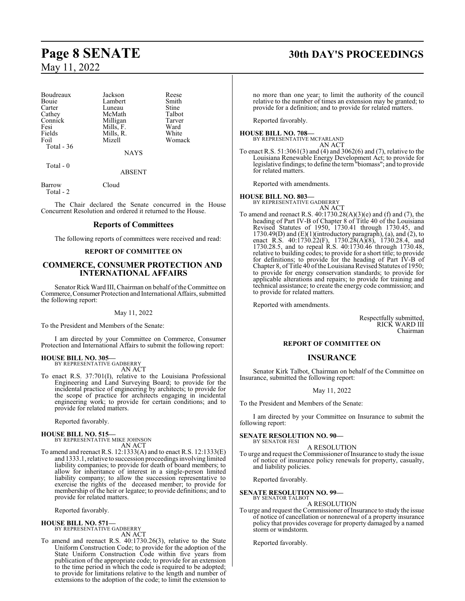| Jackson     | Reese        |
|-------------|--------------|
| Lambert     | Smith        |
| Luneau      | <b>Stine</b> |
| McMath      | Talbot       |
| Milligan    | Tarver       |
| Mills, F.   | Ward         |
| Mills, R.   | White        |
| Mizell      | Womack       |
|             |              |
| <b>NAYS</b> |              |
|             |              |

Total - 0

ABSENT

Barrow Cloud Total - 2

The Chair declared the Senate concurred in the House Concurrent Resolution and ordered it returned to the House.

#### **Reports of Committees**

The following reports of committees were received and read:

#### **REPORT OF COMMITTEE ON**

#### **COMMERCE, CONSUMER PROTECTION AND INTERNATIONAL AFFAIRS**

Senator Rick Ward III, Chairman on behalf ofthe Committee on Commerce, Consumer Protection and International Affairs, submitted the following report:

#### May 11, 2022

To the President and Members of the Senate:

I am directed by your Committee on Commerce, Consumer Protection and International Affairs to submit the following report:

## **HOUSE BILL NO. 305—** BY REPRESENTATIVE GADBERRY

AN ACT

To enact R.S. 37:701(I), relative to the Louisiana Professional Engineering and Land Surveying Board; to provide for the incidental practice of engineering by architects; to provide for the scope of practice for architects engaging in incidental engineering work; to provide for certain conditions; and to provide for related matters.

Reported favorably.

#### **HOUSE BILL NO. 515—**

BY REPRESENTATIVE MIKE JOHNSON AN ACT

To amend and reenact R.S. 12:1333(A) and to enact R.S. 12:1333(E) and 1333.1, relative to succession proceedings involving limited liability companies; to provide for death of board members; to allow for inheritance of interest in a single-person limited liability company; to allow the succession representative to exercise the rights of the deceased member; to provide for membership of the heir or legatee; to provide definitions; and to provide for related matters.

Reported favorably.

#### **HOUSE BILL NO. 571—** BY REPRESENTATIVE GADBERRY AN ACT

To amend and reenact R.S. 40:1730.26(3), relative to the State Uniform Construction Code; to provide for the adoption of the State Uniform Construction Code within five years from publication of the appropriate code; to provide for an extension to the time period in which the code is required to be adopted; to provide for limitations relative to the length and number of extensions to the adoption of the code; to limit the extension to

## **Page 8 SENATE 30th DAY'S PROCEEDINGS**

no more than one year; to limit the authority of the council relative to the number of times an extension may be granted; to provide for a definition; and to provide for related matters.

Reported favorably.

## **HOUSE BILL NO. 708—** BY REPRESENTATIVE MCFARLAND

AN ACT

To enact R.S. 51:3061(3) and (4) and 3062(6) and (7), relative to the Louisiana Renewable Energy Development Act; to provide for legislative findings; to define the term"biomass"; and to provide for related matters.

Reported with amendments.

#### **HOUSE BILL NO. 803—**

BY REPRESENTATIVE GADBERRY AN ACT

To amend and reenact R.S. 40:1730.28(A)(3)(e) and (f) and (7), the heading of Part IV-B of Chapter 8 of Title 40 of the Louisiana Revised Statutes of 1950, 1730.41 through 1730.45, and  $1730.49(D)$  and  $(E)(1)(introductory paragraph), (a), and (2), to$ enact R.S. 40:1730.22(F), 1730.28(A)(8), 1730.28.4, and 1730.28.5, and to repeal R.S. 40:1730.46 through 1730.48, relative to building codes; to provide for a short title; to provide for definitions; to provide for the heading of Part IV-B of Chapter 8, of Title 40 ofthe Louisiana Revised Statutes of 1950; to provide for energy conservation standards; to provide for applicable alterations and repairs; to provide for training and technical assistance; to create the energy code commission; and to provide for related matters.

Reported with amendments.

Respectfully submitted, RICK WARD III Chairman

#### **REPORT OF COMMITTEE ON**

#### **INSURANCE**

Senator Kirk Talbot, Chairman on behalf of the Committee on Insurance, submitted the following report:

#### May 11, 2022

To the President and Members of the Senate:

I am directed by your Committee on Insurance to submit the following report:

#### **SENATE RESOLUTION NO. 90—** BY SENATOR FESI

A RESOLUTION

To urge and request the Commissioner of Insurance to study the issue of notice of insurance policy renewals for property, casualty, and liability policies.

Reported favorably.

#### **SENATE RESOLUTION NO. 99—** BY SENATOR TALBOT

A RESOLUTION

To urge and request the Commissioner of Insurance to study the issue of notice of cancellation or nonrenewal of a property insurance policy that provides coverage for property damaged by a named storm or windstorm.

Reported favorably.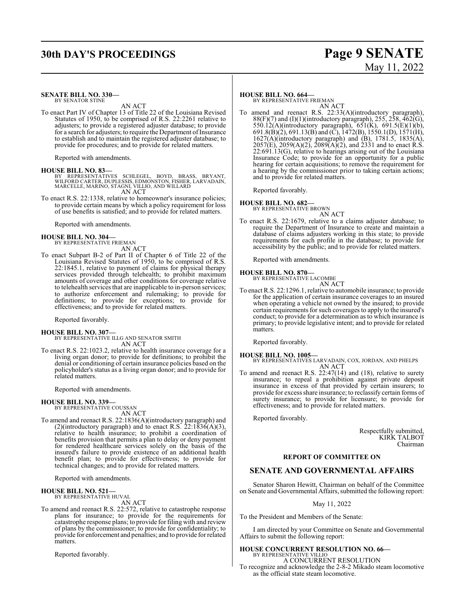## **30th DAY'S PROCEEDINGS Page 9 SENATE**

# May 11, 2022

#### **SENATE BILL NO. 330—** BY SENATOR STINE

AN ACT

To enact Part IV of Chapter 13 of Title 22 of the Louisiana Revised Statutes of 1950, to be comprised of R.S. 22:2261 relative to adjusters; to provide a registered adjuster database; to provide for a search for adjusters; to require the Department of Insurance to establish and to maintain the registered adjuster database; to provide for procedures; and to provide for related matters.

Reported with amendments.

**HOUSE BILL NO. 83—** BY REPRESENTATIVES SCHLEGEL, BOYD, BRASS, BRYANT, WILFORD CARTER, DUPLESSIS, EDMONSTON, FISHER, LARVADAIN, MARCELLE, MARINO, STAGNI, VILLIO, AND WILLARD AN ACT

To enact R.S. 22:1338, relative to homeowner's insurance policies; to provide certain means by which a policy requirement for loss of use benefits is satisfied; and to provide for related matters.

Reported with amendments.

# **HOUSE BILL NO. 304—** BY REPRESENTATIVE FRIEMAN

AN ACT

To enact Subpart B-2 of Part II of Chapter 6 of Title 22 of the Louisiana Revised Statutes of 1950, to be comprised of R.S. 22:1845.1, relative to payment of claims for physical therapy services provided through telehealth; to prohibit maximum amounts of coverage and other conditions for coverage relative to telehealth services that are inapplicable to in-person services; to authorize enforcement and rulemaking; to provide for definitions; to provide for exceptions; to provide for effectiveness; and to provide for related matters.

Reported favorably.

#### **HOUSE BILL NO. 307—**

BY REPRESENTATIVE ILLG AND SENATOR SMITH AN ACT

To enact R.S. 22:1023.2, relative to health insurance coverage for a living organ donor; to provide for definitions; to prohibit the denial or conditioning of certain insurance policies based on the policyholder's status as a living organ donor; and to provide for related matters.

Reported with amendments.

#### **HOUSE BILL NO. 339—**

BY REPRESENTATIVE COUSSAN

AN ACT To amend and reenact R.S. 22:1836(A)(introductory paragraph) and (2)(introductory paragraph) and to enact R.S.  $22:1836(A)(3)$ , relative to health insurance; to prohibit a coordination of benefits provision that permits a plan to delay or deny payment for rendered healthcare services solely on the basis of the insured's failure to provide existence of an additional health benefit plan; to provide for effectiveness; to provide for technical changes; and to provide for related matters.

Reported with amendments.

#### **HOUSE BILL NO. 521—** BY REPRESENTATIVE HUVAL

AN ACT

To amend and reenact R.S. 22:572, relative to catastrophe response plans for insurance; to provide for the requirements for catastrophe response plans; to provide for filing with and review of plans by the commissioner; to provide for confidentiality; to provide for enforcement and penalties; and to provide for related matters.

Reported favorably.

#### **HOUSE BILL NO. 664—**

BY REPRESENTATIVE FRIEMAN AN ACT

To amend and reenact R.S. 22:33(A)(introductory paragraph), 88(F)(7) and (I)(1)(introductory paragraph), 255, 258, 462(G), 550.12(A)(introductory paragraph), 651(K), 691.5(E)(1)(b), 691.8(B)(2), 691.13(B) and (C), 1472(B), 1550.1(D), 1571(H), 1627(A)(introductory paragraph) and (B), 1781.5, 1835(A),  $2057(E)$ ,  $2059(A)(2)$ ,  $2089(A)(2)$ , and  $2331$  and to enact R.S. 22:691.13(G), relative to hearings arising out of the Louisiana Insurance Code; to provide for an opportunity for a public hearing for certain acquisitions; to remove the requirement for a hearing by the commissioner prior to taking certain actions; and to provide for related matters.

Reported favorably.

# **HOUSE BILL NO. 682—** BY REPRESENTATIVE BROWN

AN ACT To enact R.S. 22:1679, relative to a claims adjuster database; to require the Department of Insurance to create and maintain a database of claims adjusters working in this state; to provide requirements for each profile in the database; to provide for accessibility by the public; and to provide for related matters.

Reported with amendments.

#### **HOUSE BILL NO. 870—**

BY REPRESENTATIVE LACOMBE AN ACT

To enact R.S. 22:1296.1, relative to automobile insurance; to provide for the application of certain insurance coverages to an insured when operating a vehicle not owned by the insured; to provide certain requirements for such coverages to apply to the insured's conduct; to provide for a determination as to which insurance is primary; to provide legislative intent; and to provide for related matters.

Reported favorably.

#### **HOUSE BILL NO. 1005—**

BY REPRESENTATIVES LARVADAIN, COX, JORDAN, AND PHELPS AN ACT

To amend and reenact R.S. 22:47(14) and (18), relative to surety insurance; to repeal a prohibition against private deposit insurance in excess of that provided by certain insurers; to provide for excess share insurance; to reclassify certain forms of surety insurance; to provide for licensure; to provide for effectiveness; and to provide for related matters.

Reported favorably.

Respectfully submitted, KIRK TALBOT Chairman

#### **REPORT OF COMMITTEE ON**

## **SENATE AND GOVERNMENTAL AFFAIRS**

Senator Sharon Hewitt, Chairman on behalf of the Committee on Senate and Governmental Affairs, submitted the following report:

May 11, 2022

To the President and Members of the Senate:

I am directed by your Committee on Senate and Governmental Affairs to submit the following report:

## **HOUSE CONCURRENT RESOLUTION NO. 66—** BY REPRESENTATIVE VILLIO

A CONCURRENT RESOLUTION

To recognize and acknowledge the 2-8-2 Mikado steam locomotive as the official state steam locomotive.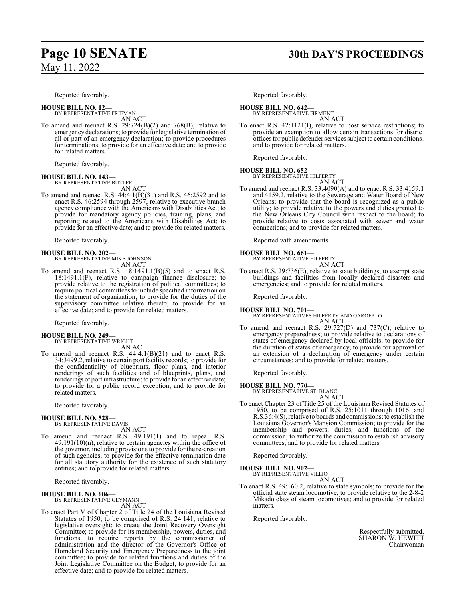# **Page 10 SENATE 30th DAY'S PROCEEDINGS**

Reported favorably.

# **HOUSE BILL NO. 12—** BY REPRESENTATIVE FRIEMAN

AN ACT

To amend and reenact R.S. 29:724(B)(2) and 768(B), relative to emergency declarations; to provide for legislative termination of all or part of an emergency declaration; to provide procedures for terminations; to provide for an effective date; and to provide for related matters.

Reported favorably.

## **HOUSE BILL NO. 143—** BY REPRESENTATIVE BUTLER

AN ACT

To amend and reenact R.S. 44:4.1(B)(31) and R.S. 46:2592 and to enact R.S. 46:2594 through 2597, relative to executive branch agency compliance with the Americans with Disabilities Act; to provide for mandatory agency policies, training, plans, and reporting related to the Americans with Disabilities Act; to provide for an effective date; and to provide for related matters.

Reported favorably.

**HOUSE BILL NO. 202—** BY REPRESENTATIVE MIKE JOHNSON AN ACT

To amend and reenact R.S. 18:1491.1(B)(5) and to enact R.S. 18:1491.1(F), relative to campaign finance disclosure; to provide relative to the registration of political committees; to require political committees to include specified information on the statement of organization; to provide for the duties of the supervisory committee relative thereto; to provide for an effective date; and to provide for related matters.

Reported favorably.

#### **HOUSE BILL NO. 249—** BY REPRESENTATIVE WRIGHT

AN ACT

To amend and reenact R.S.  $44:4.1(B)(21)$  and to enact R.S. 34:3499.2, relative to certain port facility records; to provide for the confidentiality of blueprints, floor plans, and interior renderings of such facilities and of blueprints, plans, and renderings of port infrastructure; to provide for an effective date; to provide for a public record exception; and to provide for related matters.

Reported favorably.

#### **HOUSE BILL NO. 528—** BY REPRESENTATIVE DAVIS

AN ACT

To amend and reenact R.S. 49:191(1) and to repeal R.S. 49:191(10)(n), relative to certain agencies within the office of the governor, including provisions to provide for the re-creation of such agencies; to provide for the effective termination date for all statutory authority for the existence of such statutory entities; and to provide for related matters.

Reported favorably.

#### **HOUSE BILL NO. 606—**

BY REPRESENTATIVE GEYMANN AN ACT

To enact Part V of Chapter 2 of Title 24 of the Louisiana Revised Statutes of 1950, to be comprised of R.S. 24:141, relative to legislative oversight; to create the Joint Recovery Oversight Committee; to provide for its membership, powers, duties, and functions; to require reports by the commissioner of administration and the director of the Governor's Office of Homeland Security and Emergency Preparedness to the joint committee; to provide for related functions and duties of the Joint Legislative Committee on the Budget; to provide for an effective date; and to provide for related matters.

Reported favorably.

## **HOUSE BILL NO. 642—** BY REPRESENTATIVE FIRMENT

AN ACT

To enact R.S. 42:1121(I), relative to post service restrictions; to provide an exemption to allow certain transactions for district offices for public defender servicessubject to certain conditions; and to provide for related matters.

Reported favorably.

# **HOUSE BILL NO. 652—** BY REPRESENTATIVE HILFERTY

AN ACT

To amend and reenact R.S. 33:4090(A) and to enact R.S. 33:4159.1 and 4159.2, relative to the Sewerage and Water Board of New Orleans; to provide that the board is recognized as a public utility; to provide relative to the powers and duties granted to the New Orleans City Council with respect to the board; to provide relative to costs associated with sewer and water connections; and to provide for related matters.

Reported with amendments.

**HOUSE BILL NO. 661—** BY REPRESENTATIVE HILFERTY

#### AN ACT

To enact R.S. 29:736(E), relative to state buildings; to exempt state buildings and facilities from locally declared disasters and emergencies; and to provide for related matters.

Reported favorably.

## **HOUSE BILL NO. 701—** BY REPRESENTATIVES HILFERTY AND GAROFALO AN ACT

To amend and reenact R.S. 29:727(D) and 737(C), relative to emergency preparedness; to provide relative to declarations of states of emergency declared by local officials; to provide for the duration of states of emergency; to provide for approval of an extension of a declaration of emergency under certain circumstances; and to provide for related matters.

Reported favorably.

#### **HOUSE BILL NO. 770—**

BY REPRESENTATIVE ST. BLANC AN ACT

To enact Chapter 23 of Title 25 of the Louisiana Revised Statutes of 1950, to be comprised of R.S. 25:1011 through 1016, and R.S.36:4(S), relative to boards and commissions; to establish the Louisiana Governor's Mansion Commission; to provide for the membership and powers, duties, and functions of the commission; to authorize the commission to establish advisory committees; and to provide for related matters.

Reported favorably.

**HOUSE BILL NO. 902—** BY REPRESENTATIVE VILLIO

AN ACT

To enact R.S. 49:160.2, relative to state symbols; to provide for the official state steam locomotive; to provide relative to the 2-8-2 Mikado class of steam locomotives; and to provide for related matters.

Reported favorably.

Respectfully submitted, SHARON W. HEWITT Chairwoman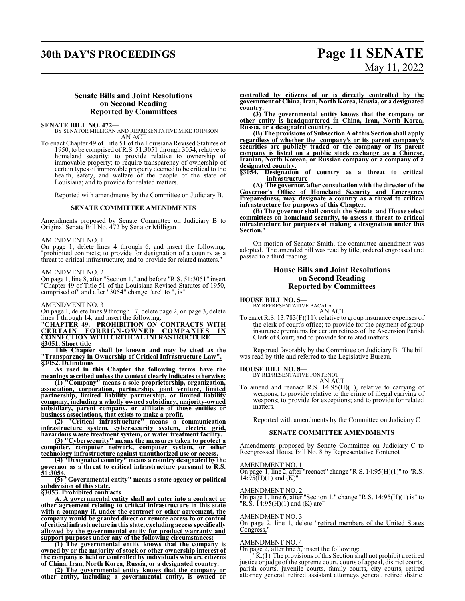## **30th DAY'S PROCEEDINGS Page 11 SENATE**

# May 11, 2022

#### **Senate Bills and Joint Resolutions on Second Reading Reported by Committees**

**SENATE BILL NO. 472—** BY SENATOR MILLIGAN AND REPRESENTATIVE MIKE JOHNSON AN ACT

To enact Chapter 49 of Title 51 of the Louisiana Revised Statutes of 1950, to be comprised of R.S. 51:3051 through 3054, relative to homeland security; to provide relative to ownership of immovable property; to require transparency of ownership of certain types of immovable property deemed to be critical to the health, safety, and welfare of the people of the state of Louisiana; and to provide for related matters.

Reported with amendments by the Committee on Judiciary B.

#### **SENATE COMMITTEE AMENDMENTS**

Amendments proposed by Senate Committee on Judiciary B to Original Senate Bill No. 472 by Senator Milligan

#### AMENDMENT NO. 1

On page 1, delete lines 4 through 6, and insert the following: "prohibited contracts; to provide for designation of a country as a threat to critical infrastructure; and to provide for related matters."

#### AMENDMENT NO. 2

On page 1, line 8, after "Section 1." and before "R.S. 51:3051" insert "Chapter 49 of Title 51 of the Louisiana Revised Statutes of 1950, comprised of" and after "3054" change "are" to ", is"

#### AMENDMENT NO. 3

On page 1, delete lines 9 through 17, delete page 2, on page 3, delete lines 1 through 14, and insert the following:

**"CHAPTER 49. PROHIBITION ON CONTRACTS WITH CERTAIN FOREIGN-OWNED COMPANIES IN CONNECTION WITH CRITICAL INFRASTRUCTURE §3051. Short title**

**This Chapter shall be known and may be cited as the "Transparency in Ownership of Critical Infrastructure Law". §3052. Definitions**

**As used in this Chapter the following terms have the meanings ascribed unless the context clearly indicates otherwise:**

**(1) "Company" means a sole proprietorship, organization, association, corporation, partnership, joint venture, limited partnership, limited liability partnership, or limited liability company, including a wholly owned subsidiary, majority-owned subsidiary, parent company, or affiliate of those entities or business associations, that exists to make a profit.**

**(2) "Critical infrastructure" means a communication infrastructure system, cybersecurity system, electric grid, hazardous waste treatment system, or water treatment facility.**

**(3) "Cybersecurity" means the measures taken to protect a computer, computer network, computer system, or other technology infrastructure against unauthorized use or access.**

**(4) "Designated country" means a country designated by the governor as a threat to critical infrastructure pursuant to R.S. 51:3054.**

**(5) "Governmental entity" means a state agency or political subdivision of this state.**

**§3053. Prohibited contracts**

**A. A governmental entity shall not enter into a contract or other agreement relating to critical infrastructure in this state with a company if, under the contract or other agreement, the company would be granted direct or remote access to or control of critical infrastructure in this state, excluding access specifically allowed by the governmental entity for product warranty and support purposes under any of the following circumstances:**

**(1) The governmental entity knows that the company is owned by or the majority of stock or other ownership interest of the company is held or controlled by individuals who are citizens of China, Iran, North Korea, Russia, or a designated country.**

**(2) The governmental entity knows that the company or other entity, including a governmental entity, is owned or**

**controlled by citizens of or is directly controlled by the government of China, Iran, North Korea, Russia, or a designated country.**

**(3) The governmental entity knows that the company or other entity is headquartered in China, Iran, North Korea, Russia, or a designated country.**

**(B) The provisions of Subsection A of this Section shall apply regardless of whether the company's or its parent company's securities are publicly traded or the company or its parent company is listed on a public stock exchange as a Chinese, Iranian, North Korean, or Russian company or a company of a** designated country.<br>§3054. Designation

**§3054. Designation of country as a threat to critical infrastructure**

**(A) The governor, after consultation with the director of the Governor's Office of Homeland Security and Emergency Preparedness, may designate a country as a threat to critical infrastructure for purposes of this Chapter.**

**(B) The governor shall consult the Senate and House select committees on homeland security, to assess a threat to critical infrastructure for purposes of making a designation under this Section.**"

On motion of Senator Smith, the committee amendment was adopted. The amended bill was read by title, ordered engrossed and passed to a third reading.

#### **House Bills and Joint Resolutions on Second Reading Reported by Committees**

# **HOUSE BILL NO. 5—** BY REPRESENTATIVE BACALA AN ACT

To enact R.S. 13:783(F)(11), relative to group insurance expenses of the clerk of court's office; to provide for the payment of group insurance premiums for certain retirees of the Ascension Parish Clerk of Court; and to provide for related matters.

Reported favorably by the Committee on Judiciary B. The bill was read by title and referred to the Legislative Bureau.

#### **HOUSE BILL NO. 8—**

BY REPRESENTATIVE FONTENOT AN ACT

To amend and reenact R.S.  $14:95(H)(1)$ , relative to carrying of weapons; to provide relative to the crime of illegal carrying of weapons; to provide for exceptions; and to provide for related matters.

Reported with amendments by the Committee on Judiciary C.

#### **SENATE COMMITTEE AMENDMENTS**

Amendments proposed by Senate Committee on Judiciary C to Reengrossed House Bill No. 8 by Representative Fontenot

#### AMENDMENT NO. 1

 $\overline{On}$  page 1, line 2, after "reenact" change "R.S. 14:95(H)(1)" to "R.S.  $14:95(H)(1)$  and  $(K)''$ 

#### AMENDMENT NO. 2

On page 1, line 6, after "Section 1." change "R.S.  $14:95(H)(1)$  is" to "R.S. 14:95(H)(1) and (K) are"

#### AMENDMENT NO. 3

On page 2, line 1, delete "retired members of the United States Congress,'

#### AMENDMENT NO. 4

On page 2, after line 5, insert the following:

"K.(1) The provisions of this Section shall not prohibit a retired justice or judge of the supreme court, courts of appeal, district courts, parish courts, juvenile courts, family courts, city courts, retired attorney general, retired assistant attorneys general, retired district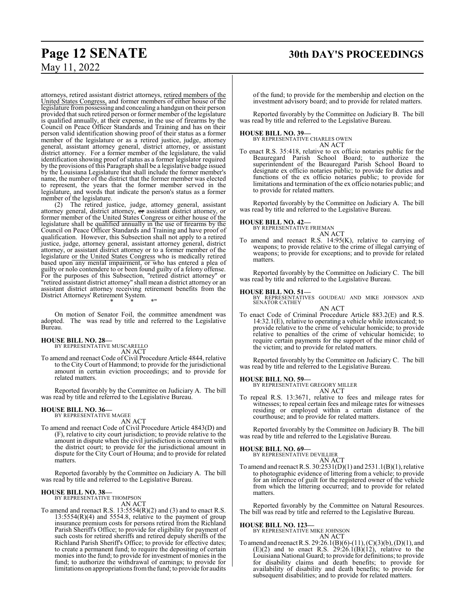attorneys, retired assistant district attorneys, retired members of the United States Congress, and former members of either house of the legislature frompossessing and concealing a handgun on their person provided that such retired person or former member of the legislature is qualified annually, at their expense, in the use of firearms by the Council on Peace Officer Standards and Training and has on their person valid identification showing proof of their status as a former member of the legislature or as a retired justice, judge, attorney general, assistant attorney general, district attorney, or assistant district attorney. For a former member of the legislature, the valid identification showing proof of status as a former legislator required by the provisions of this Paragraph shall be a legislative badge issued by the Louisiana Legislature that shall include the former member's name, the number of the district that the former member was elected to represent, the years that the former member served in the legislature, and words that indicate the person's status as a former member of the legislature.

(2) The retired justice, judge, attorney general, assistant attorney general, district attorney, or assistant district attorney, or former member of the United States Congress or either house of the legislature shall be qualified annually in the use of firearms by the Council on Peace Officer Standards and Training and have proof of qualification. However, this Subsection shall not apply to a retired justice, judge, attorney general, assistant attorney general, district attorney, or assistant district attorney or to a former member of the legislature or the United States Congress who is medically retired based upon any mental impairment, or who has entered a plea of guilty or nolo contendere to or been found guilty of a felony offense. For the purposes of this Subsection, "retired district attorney" or "retired assistant district attorney" shall mean a district attorney or an assistant district attorney receiving retirement benefits from the District Attorneys' Retirement System. \* \* \*"

On motion of Senator Foil, the committee amendment was adopted. The was read by title and referred to the Legislative Bureau.

#### **HOUSE BILL NO. 28—**

BY REPRESENTATIVE MUSCARELLO AN ACT

To amend and reenact Code of Civil Procedure Article 4844, relative to the City Court of Hammond; to provide for the jurisdictional amount in certain eviction proceedings; and to provide for related matters.

Reported favorably by the Committee on Judiciary A. The bill was read by title and referred to the Legislative Bureau.

## **HOUSE BILL NO. 36—** BY REPRESENTATIVE MAGEE

AN ACT

To amend and reenact Code of Civil Procedure Article 4843(D) and (F), relative to city court jurisdiction; to provide relative to the amount in dispute when the civil jurisdiction is concurrent with the district court; to provide for the jurisdictional amount in dispute for the City Court of Houma; and to provide for related matters.

Reported favorably by the Committee on Judiciary A. The bill was read by title and referred to the Legislative Bureau.

## **HOUSE BILL NO. 38—** BY REPRESENTATIVE THOMPSON

AN ACT

To amend and reenact R.S. 13:5554(R)(2) and (3) and to enact R.S.  $13:5554(R)(4)$  and 5554.8, relative to the payment of group insurance premium costs for persons retired from the Richland Parish Sheriff's Office; to provide for eligibility for payment of such costs for retired sheriffs and retired deputy sheriffs of the Richland Parish Sheriff's Office; to provide for effective dates; to create a permanent fund; to require the depositing of certain monies into the fund; to provide for investment of monies in the fund; to authorize the withdrawal of earnings; to provide for limitations on appropriations fromthe fund; to provide for audits

of the fund; to provide for the membership and election on the investment advisory board; and to provide for related matters.

Reported favorably by the Committee on Judiciary B. The bill was read by title and referred to the Legislative Bureau.

#### **HOUSE BILL NO. 39—**

BY REPRESENTATIVE CHARLES OWEN AN ACT

To enact R.S. 35:418, relative to ex officio notaries public for the Beauregard Parish School Board; to authorize the superintendent of the Beauregard Parish School Board to designate ex officio notaries public; to provide for duties and functions of the ex officio notaries public; to provide for limitations and termination of the ex officio notaries public; and to provide for related matters.

Reported favorably by the Committee on Judiciary A. The bill was read by title and referred to the Legislative Bureau.

#### **HOUSE BILL NO. 42—**

BY REPRESENTATIVE FRIEMAN AN ACT

To amend and reenact R.S. 14:95(K), relative to carrying of weapons; to provide relative to the crime of illegal carrying of weapons; to provide for exceptions; and to provide for related matters.

Reported favorably by the Committee on Judiciary C. The bill was read by title and referred to the Legislative Bureau.

**HOUSE BILL NO. 51—** BY REPRESENTATIVES GOUDEAU AND MIKE JOHNSON AND SENATOR CATHEY

AN ACT To enact Code of Criminal Procedure Article 883.2(E) and R.S. 14:32.1(E), relative to operating a vehicle while intoxicated; to provide relative to the crime of vehicular homicide; to provide relative to penalties of the crime of vehicular homicide; to require certain payments for the support of the minor child of the victim; and to provide for related matters.

Reported favorably by the Committee on Judiciary C. The bill was read by title and referred to the Legislative Bureau.

**HOUSE BILL NO. 59—** BY REPRESENTATIVE GREGORY MILLER AN ACT

To repeal R.S. 13:3671, relative to fees and mileage rates for witnesses; to repeal certain fees and mileage rates for witnesses residing or employed within a certain distance of the courthouse; and to provide for related matters.

Reported favorably by the Committee on Judiciary B. The bill was read by title and referred to the Legislative Bureau.

#### **HOUSE BILL NO. 69—**

BY REPRESENTATIVE DEVILLIER AN ACT

To amend and reenact R.S. 30:2531(D)(1) and 2531.1(B)(1), relative to photographic evidence of littering from a vehicle; to provide for an inference of guilt for the registered owner of the vehicle from which the littering occurred; and to provide for related matters.

Reported favorably by the Committee on Natural Resources. The bill was read by title and referred to the Legislative Bureau.

## **HOUSE BILL NO. 123—** BY REPRESENTATIVE MIKE JOHNSON

AN ACT

To amend and reenact R.S. 29:26.1(B)(6)-(11), (C)(3)(b), (D)(1), and  $(E)(2)$  and to enact R.S. 29:26.1 $(B)(12)$ , relative to the Louisiana National Guard; to provide for definitions; to provide for disability claims and death benefits; to provide for availability of disability and death benefits; to provide for subsequent disabilities; and to provide for related matters.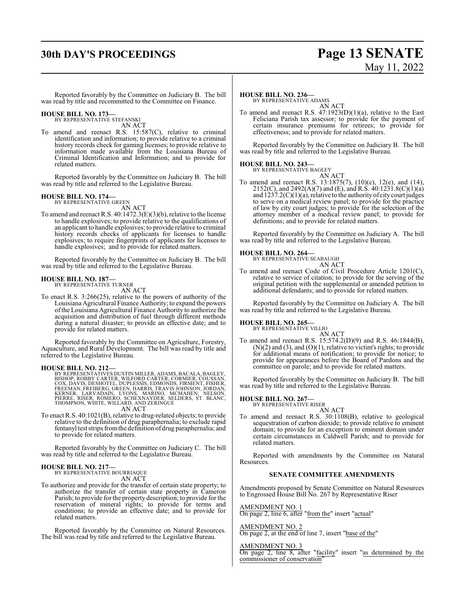## **30th DAY'S PROCEEDINGS Page 13 SENATE**

Reported favorably by the Committee on Judiciary B. The bill was read by title and recommitted to the Committee on Finance.

#### **HOUSE BILL NO. 173—**

BY REPRESENTATIVE STEFANSKI AN ACT

To amend and reenact R.S. 15:587(C), relative to criminal identification and information; to provide relative to a criminal history records check for gaming licenses; to provide relative to information made available from the Louisiana Bureau of Criminal Identification and Information; and to provide for related matters.

Reported favorably by the Committee on Judiciary B. The bill was read by title and referred to the Legislative Bureau.

**HOUSE BILL NO. 174—** BY REPRESENTATIVE GREEN AN ACT

To amend and reenact R.S. 40:1472.3(E)(3)(b), relative to the license to handle explosives; to provide relative to the qualifications of an applicant to handle explosives; to provide relative to criminal history records checks of applicants for licenses to handle explosives; to require fingerprints of applicants for licenses to handle explosives; and to provide for related matters.

Reported favorably by the Committee on Judiciary B. The bill was read by title and referred to the Legislative Bureau.

#### **HOUSE BILL NO. 187—**

BY REPRESENTATIVE TURNER AN ACT

To enact R.S. 3:266(25), relative to the powers of authority of the Louisiana Agricultural Finance Authority; to expand the powers ofthe Louisiana Agricultural Finance Authority to authorize the acquisition and distribution of fuel through different methods during a natural disaster; to provide an effective date; and to provide for related matters.

Reported favorably by the Committee on Agriculture, Forestry, Aquaculture, and Rural Development. The bill was read by title and referred to the Legislative Bureau.

#### **HOUSE BILL NO. 212—**

BY REPRESENTATIVES DUSTIN MILLER, ADAMS, BACALA, BAGLEY,<br>BISHOP, ROBBY CARTER, WILFORD CARTER, CÓRMIER, COUSSAN,<br>COX, DAVIS, DESHOTEL, DUPLESSIS, EDMONDS, FIRMENT, FISHER,<br>FREEMAN, FREIBERG, GREEN, HARRIS, TRAVIS JOHNSON, AN ACT

- 
- To enact R.S. 40:1021(B), relative to drug-related objects; to provide relative to the definition of drug paraphernalia; to exclude rapid fentanyl test strips fromthe definition of drug paraphernalia; and to provide for related matters.

Reported favorably by the Committee on Judiciary C. The bill was read by title and referred to the Legislative Bureau.

#### **HOUSE BILL NO. 217—**

BY REPRESENTATIVE BOURRIAQUE AN ACT

To authorize and provide for the transfer of certain state property; to authorize the transfer of certain state property in Cameron Parish; to provide for the property description; to provide for the reservation of mineral rights; to provide for terms and conditions; to provide an effective date; and to provide for related matters.

Reported favorably by the Committee on Natural Resources. The bill was read by title and referred to the Legislative Bureau.

**HOUSE BILL NO. 236—** BY REPRESENTATIVE ADAMS AN ACT

To amend and reenact R.S.  $47:1923(D)(1)(a)$ , relative to the East Feliciana Parish tax assessor; to provide for the payment of certain insurance premiums for retirees; to provide for effectiveness; and to provide for related matters.

Reported favorably by the Committee on Judiciary B. The bill was read by title and referred to the Legislative Bureau.

## **HOUSE BILL NO. 243—** BY REPRESENTATIVE BAGLEY

AN ACT To amend and reenact R.S. 13:1875(7), (10)(c), 12(e), and (14), 2152(C), and 2492(A)(7) and (E), and R.S. 40:1231.8(C)(1)(a) and 1237.2(C)(1)(a), relative to the authority of city court judges to serve on a medical review panel; to provide for the practice of law by city court judges; to provide for the selection of the attorney member of a medical review panel; to provide for definitions; and to provide for related matters.

Reported favorably by the Committee on Judiciary A. The bill was read by title and referred to the Legislative Bureau.

## **HOUSE BILL NO. 264—** BY REPRESENTATIVE SEABAUGH

AN ACT

To amend and reenact Code of Civil Procedure Article 1201(C), relative to service of citation; to provide for the serving of the original petition with the supplemental or amended petition to additional defendants; and to provide for related matters.

Reported favorably by the Committee on Judiciary A. The bill was read by title and referred to the Legislative Bureau.

#### **HOUSE BILL NO. 265—**

BY REPRESENTATIVE VILLIO AN ACT

To amend and reenact R.S. 15:574.2(D)(9) and R.S. 46:1844(B),  $(N)(2)$  and  $(3)$ , and  $(O)(1)$ , relative to victim's rights; to provide for additional means of notification; to provide for notice; to provide for appearances before the Board of Pardons and the committee on parole; and to provide for related matters.

Reported favorably by the Committee on Judiciary B. The bill was read by title and referred to the Legislative Bureau.

#### **HOUSE BILL NO. 267—**

BY REPRESENTATIVE RISER AN ACT

To amend and reenact R.S. 30:1108(B), relative to geological sequestration of carbon dioxide; to provide relative to eminent domain; to provide for an exception to eminent domain under certain circumstances in Caldwell Parish; and to provide for related matters.

Reported with amendments by the Committee on Natural Resources.

#### **SENATE COMMITTEE AMENDMENTS**

Amendments proposed by Senate Committee on Natural Resources to Engrossed House Bill No. 267 by Representative Riser

AMENDMENT NO. 1

On page 2, line 6, after "from the" insert "actual"

#### AMENDMENT NO. 2

On page 2, at the end of line 7, insert "base of the"

AMENDMENT NO. 3 On page 2, line 8, after "facility" insert "as determined by the commissioner of conservation'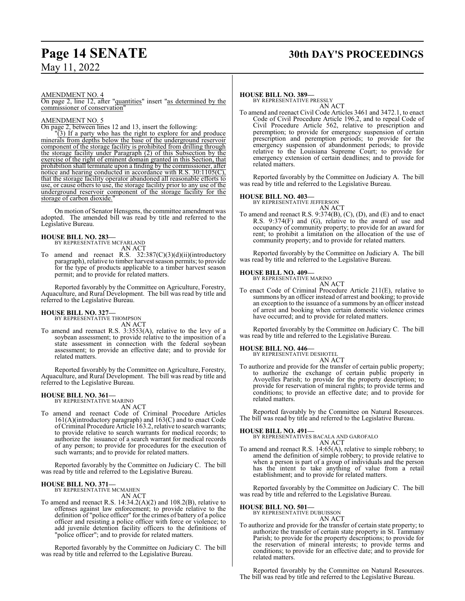AMENDMENT NO. 4

On page 2, line 12, after "quantities" insert "as determined by the commissioner of conservation"

#### AMENDMENT NO. 5

On page 2, between lines 12 and 13, insert the following:

"(3) If a party who has the right to explore for and produce minerals from depths below the base of the underground reservoir component of the storage facility is prohibited from drilling through the storage facility under Paragraph (2) of this Subsection by the exercise of the right of eminent domain granted in this Section, that prohibition shall terminate upon a finding by the commissioner, after notice and hearing conducted in accordance with R.S. 30:1105(C), that the storage facility operator abandoned all reasonable efforts to use, or cause others to use, the storage facility prior to any use of the underground reservoir component of the storage facility for the storage of carbon dioxide.

On motion of Senator Hensgens, the committee amendment was adopted. The amended bill was read by title and referred to the Legislative Bureau.

# **HOUSE BILL NO. 283—** BY REPRESENTATIVE MCFARLAND

AN ACT

To amend and reenact R.S. 32:387(C)(3)(d)(ii)(introductory paragraph), relative to timber harvest season permits; to provide for the type of products applicable to a timber harvest season permit; and to provide for related matters.

Reported favorably by the Committee on Agriculture, Forestry, Aquaculture, and Rural Development. The bill was read by title and referred to the Legislative Bureau.

**HOUSE BILL NO. 327—** BY REPRESENTATIVE THOMPSON AN ACT

To amend and reenact R.S. 3:3553(A), relative to the levy of a soybean assessment; to provide relative to the imposition of a state assessment in connection with the federal soybean assessment; to provide an effective date; and to provide for related matters.

Reported favorably by the Committee on Agriculture, Forestry, Aquaculture, and Rural Development. The bill was read by title and referred to the Legislative Bureau.

## **HOUSE BILL NO. 361—** BY REPRESENTATIVE MARINO

AN ACT

To amend and reenact Code of Criminal Procedure Articles 161(A)(introductory paragraph) and 163(C) and to enact Code ofCriminal Procedure Article 163.2, relative to search warrants; to provide relative to search warrants for medical records; to authorize the issuance of a search warrant for medical records of any person; to provide for procedures for the execution of such warrants; and to provide for related matters.

Reported favorably by the Committee on Judiciary C. The bill was read by title and referred to the Legislative Bureau.

## **HOUSE BILL NO. 371—** BY REPRESENTATIVE MCMAHEN

AN ACT

To amend and reenact R.S. 14:34.2(A)(2) and 108.2(B), relative to offenses against law enforcement; to provide relative to the definition of "police officer" for the crimes of battery of a police officer and resisting a police officer with force or violence; to add juvenile detention facility officers to the definitions of "police officer"; and to provide for related matters.

Reported favorably by the Committee on Judiciary C. The bill was read by title and referred to the Legislative Bureau.

### **HOUSE BILL NO. 389—**

BY REPRESENTATIVE PRESSLY AN ACT

To amend and reenact Civil Code Articles 3461 and 3472.1, to enact Code of Civil Procedure Article 196.2, and to repeal Code of Civil Procedure Article 562, relative to prescription and peremption; to provide for emergency suspension of certain prescription and peremption periods; to provide for the emergency suspension of abandonment periods; to provide relative to the Louisiana Supreme Court; to provide for emergency extension of certain deadlines; and to provide for related matters.

Reported favorably by the Committee on Judiciary A. The bill was read by title and referred to the Legislative Bureau.

#### **HOUSE BILL NO. 403—**

BY REPRESENTATIVE JEFFERSON AN ACT

To amend and reenact R.S. 9:374(B), (C), (D), and (E) and to enact R.S. 9:374(F) and (G), relative to the award of use and occupancy of community property; to provide for an award for rent; to prohibit a limitation on the allocation of the use of community property; and to provide for related matters.

Reported favorably by the Committee on Judiciary A. The bill was read by title and referred to the Legislative Bureau.

#### **HOUSE BILL NO. 409—**

BY REPRESENTATIVE MARINO AN ACT

To enact Code of Criminal Procedure Article 211(E), relative to summons by an officer instead of arrest and booking; to provide an exception to the issuance of a summons by an officer instead of arrest and booking when certain domestic violence crimes have occurred; and to provide for related matters.

Reported favorably by the Committee on Judiciary C. The bill was read by title and referred to the Legislative Bureau.

## **HOUSE BILL NO. 446—** BY REPRESENTATIVE DESHOTEL

AN ACT

To authorize and provide for the transfer of certain public property; to authorize the exchange of certain public property in Avoyelles Parish; to provide for the property description; to provide for reservation of mineral rights; to provide terms and conditions; to provide an effective date; and to provide for related matters.

Reported favorably by the Committee on Natural Resources. The bill was read by title and referred to the Legislative Bureau.

#### **HOUSE BILL NO. 491—**

BY REPRESENTATIVES BACALA AND GAROFALO AN ACT

To amend and reenact R.S. 14:65(A), relative to simple robbery; to amend the definition of simple robbery; to provide relative to when a person is part of a group of individuals and the person has the intent to take anything of value from a retail establishment; and to provide for related matters.

Reported favorably by the Committee on Judiciary C. The bill was read by title and referred to the Legislative Bureau.

#### **HOUSE BILL NO. 501—**

BY REPRESENTATIVE DUBUISSON AN ACT

To authorize and provide for the transfer of certain state property; to authorize the transfer of certain state property in St. Tammany Parish; to provide for the property descriptions; to provide for the reservation of mineral interests; to provide terms and conditions; to provide for an effective date; and to provide for related matters.

Reported favorably by the Committee on Natural Resources. The bill was read by title and referred to the Legislative Bureau.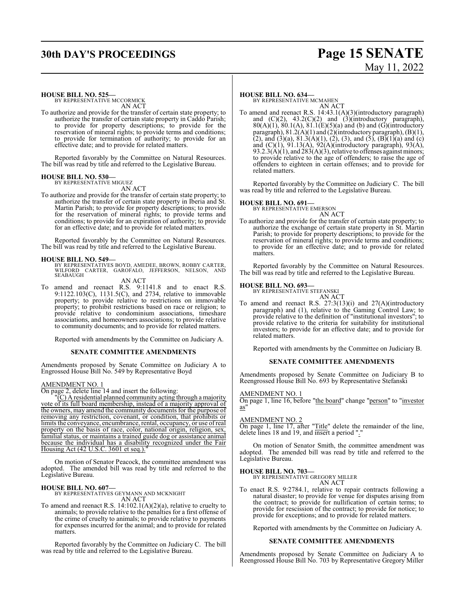## **30th DAY'S PROCEEDINGS Page 15 SENATE**

# May 11, 2022

## **HOUSE BILL NO. 525—**

BY REPRESENTATIVE MCCORMICK AN ACT

To authorize and provide for the transfer of certain state property; to authorize the transfer of certain state property in Caddo Parish; to provide for property descriptions; to provide for the reservation of mineral rights; to provide terms and conditions; to provide for termination of authority; to provide for an effective date; and to provide for related matters.

Reported favorably by the Committee on Natural Resources. The bill was read by title and referred to the Legislative Bureau.

## **HOUSE BILL NO. 530—** BY REPRESENTATIVE MIGUEZ

AN ACT

To authorize and provide for the transfer of certain state property; to authorize the transfer of certain state property in Iberia and St. Martin Parish; to provide for property descriptions; to provide for the reservation of mineral rights; to provide terms and conditions; to provide for an expiration of authority; to provide for an effective date; and to provide for related matters.

Reported favorably by the Committee on Natural Resources. The bill was read by title and referred to the Legislative Bureau.

#### **HOUSE BILL NO. 549—**

BY REPRESENTATIVES BOYD, AMEDEE, BROWN, ROBBY CARTER,<br>WILFORD CARTER, GAROFALO, JEFFERSON, NELSON, AND<br>SEABAUGH

AN ACT

To amend and reenact R.S. 9:1141.8 and to enact R.S. 9:1122.103(C), 1131.5(C), and 2734, relative to immovable property; to provide relative to restrictions on immovable property; to prohibit restrictions based on race or religion; to provide relative to condominium associations, timeshare associations, and homeowners associations; to provide relative to community documents; and to provide for related matters.

Reported with amendments by the Committee on Judiciary A.

#### **SENATE COMMITTEE AMENDMENTS**

Amendments proposed by Senate Committee on Judiciary A to Engrossed House Bill No. 549 by Representative Boyd

#### AMENDMENT NO. 1

On page 2, delete line 14 and insert the following:

 $\overline{C}(C)$  A residential planned community acting through a majority vote of its full board membership, instead of a majority approval of the owners, may amend the community documents for the purpose of removing any restriction, covenant, or condition, that prohibits or limits the conveyance, encumbrance, rental, occupancy, or use ofreal property on the basis of race, color, national origin, religion, sex, familial status, or maintains a trained guide dog or assistance animal because the individual has a disability recognized under the Fair Housing Act (42 U.S.C. 3601 et seq.)."

On motion of Senator Peacock, the committee amendment was adopted. The amended bill was read by title and referred to the Legislative Bureau.

**HOUSE BILL NO. 607—** BY REPRESENTATIVES GEYMANN AND MCKNIGHT AN ACT

To amend and reenact R.S.  $14:102.1(A)(2)(a)$ , relative to cruelty to animals; to provide relative to the penalties for a first offense of the crime of cruelty to animals; to provide relative to payments for expenses incurred for the animal; and to provide for related matters.

Reported favorably by the Committee on Judiciary C. The bill was read by title and referred to the Legislative Bureau.

#### **HOUSE BILL NO. 634—**

BY REPRESENTATIVE MCMAHEN AN ACT

To amend and reenact R.S. 14:43.1(A)(3)(introductory paragraph) and  $(C)(2)$ ,  $43.2(C)(2)$  and  $(3)(introductory)$  paragraph),  $80(A)(1)$ ,  $80.1(A)$ ,  $81.1(E)(5)(a)$  and (b) and (G)(introductory paragraph), 81.2(A)(1) and (2)(introductory paragraph), (B)(1), (2), and (3)(a),  $81.3(A)(1)$ , (2), (3), and (5), (B)(1)(a) and (c) and (C)(1), 91.13(A), 92(A)(introductory paragraph), 93(A),  $93.2.3(A)(1)$ , and  $283(A)(3)$ , relative to offenses against minors; to provide relative to the age of offenders; to raise the age of offenders to eighteen in certain offenses; and to provide for related matters.

Reported favorably by the Committee on Judiciary C. The bill was read by title and referred to the Legislative Bureau.

## **HOUSE BILL NO. 691—** BY REPRESENTATIVE EMERSON

AN ACT

To authorize and provide for the transfer of certain state property; to authorize the exchange of certain state property in St. Martin Parish; to provide for property descriptions; to provide for the reservation of mineral rights; to provide terms and conditions; to provide for an effective date; and to provide for related matters.

Reported favorably by the Committee on Natural Resources. The bill was read by title and referred to the Legislative Bureau.

## **HOUSE BILL NO. 693—** BY REPRESENTATIVE STEFANSKI

AN ACT

To amend and reenact R.S. 27:3(13)(i) and 27(A)(introductory paragraph) and (1), relative to the Gaming Control Law; to provide relative to the definition of "institutional investors"; to provide relative to the criteria for suitability for institutional investors; to provide for an effective date; and to provide for related matters.

Reported with amendments by the Committee on Judiciary B.

#### **SENATE COMMITTEE AMENDMENTS**

Amendments proposed by Senate Committee on Judiciary B to Reengrossed House Bill No. 693 by Representative Stefanski

#### AMENDMENT NO. 1

On page 1, line 16, before "the board" change "person" to "investor as"

#### AMENDMENT NO. 2

On page 1, line 17, after "Title" delete the remainder of the line, delete lines 18 and 19, and insert a period ".

On motion of Senator Smith, the committee amendment was adopted. The amended bill was read by title and referred to the Legislative Bureau.

#### **HOUSE BILL NO. 703—**

BY REPRESENTATIVE GREGORY MILLER AN ACT

To enact R.S. 9:2784.1, relative to repair contracts following a natural disaster; to provide for venue for disputes arising from the contract; to provide for nullification of certain terms; to provide for rescission of the contract; to provide for notice; to provide for exceptions; and to provide for related matters.

Reported with amendments by the Committee on Judiciary A.

#### **SENATE COMMITTEE AMENDMENTS**

Amendments proposed by Senate Committee on Judiciary A to Reengrossed House Bill No. 703 by Representative Gregory Miller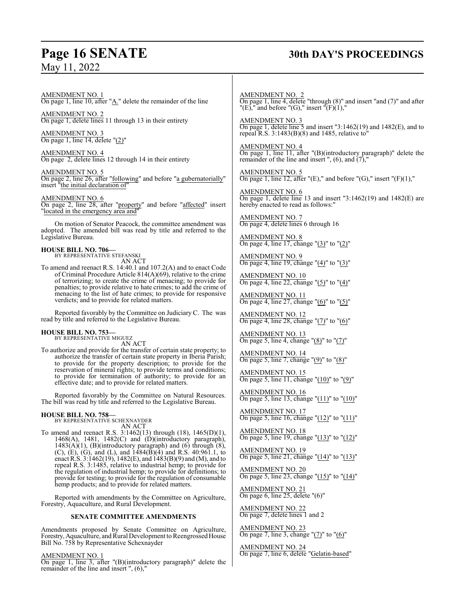## **Page 16 SENATE 30th DAY'S PROCEEDINGS**

AMENDMENT NO. 1 On page 1, line 10, after "A." delete the remainder of the line

AMENDMENT NO. 2 On page 1, delete lines 11 through 13 in their entirety

AMENDMENT NO. 3 On page 1, line 14, delete "(2)"

AMENDMENT NO. 4 On page 2, delete lines 12 through 14 in their entirety

AMENDMENT NO. 5 On page 2, line 26, after "following" and before "a gubernatorially" insert "the initial declaration of

AMENDMENT NO. 6 On page 2, line 28, after "property" and before "affected" insert "located in the emergency area and"

On motion of Senator Peacock, the committee amendment was adopted. The amended bill was read by title and referred to the Legislative Bureau.

**HOUSE BILL NO. 706—** BY REPRESENTATIVE STEFANSKI

AN ACT To amend and reenact R.S. 14:40.1 and 107.2(A) and to enact Code of Criminal Procedure Article 814(A)(69), relative to the crime of terrorizing; to create the crime of menacing; to provide for penalties; to provide relative to hate crimes; to add the crime of menacing to the list of hate crimes; to provide for responsive verdicts; and to provide for related matters.

Reported favorably by the Committee on Judiciary C. The was read by title and referred to the Legislative Bureau.

## **HOUSE BILL NO. 753—** BY REPRESENTATIVE MIGUEZ

AN ACT

To authorize and provide for the transfer of certain state property; to authorize the transfer of certain state property in Iberia Parish; to provide for the property description; to provide for the reservation of mineral rights; to provide terms and conditions; to provide for termination of authority; to provide for an effective date; and to provide for related matters.

Reported favorably by the Committee on Natural Resources. The bill was read by title and referred to the Legislative Bureau.

#### **HOUSE BILL NO. 758—**

BY REPRESENTATIVE SCHEXNAYDER AN ACT

To amend and reenact R.S. 3:1462(13) through (18), 1465(D)(1), 1468(A), 1481, 1482(C) and (D)(introductory paragraph),  $1483(A)(1)$ , (B)(introductory paragraph) and (6) through (8), (C), (E), (G), and (L), and  $1484(B)(4)$  and R.S. 40:961.1, to enact R.S. 3:1462(19), 1482(E), and 1483(B)(9) and (M), and to repeal R.S. 3:1485, relative to industrial hemp; to provide for the regulation of industrial hemp; to provide for definitions; to provide for testing; to provide for the regulation of consumable hemp products; and to provide for related matters.

Reported with amendments by the Committee on Agriculture, Forestry, Aquaculture, and Rural Development.

#### **SENATE COMMITTEE AMENDMENTS**

Amendments proposed by Senate Committee on Agriculture, Forestry, Aquaculture, and Rural Development to Reengrossed House Bill No. 758 by Representative Schexnayder

#### AMENDMENT NO. 1

On page 1, line 3, after "(B)(introductory paragraph)" delete the remainder of the line and insert ", (6),"

AMENDMENT NO. 2 On page 1, line 4, delete "through (8)" and insert "and (7)" and after "(E)," and before "(G)," insert "(F)(1),"

AMENDMENT NO. 3 On page 1, delete line 5 and insert "3:1462(19) and 1482(E), and to repeal R.S. 3:1483(B)(8) and 1485, relative to"

AMENDMENT NO. 4 On page 1, line 11, after "(B)(introductory paragraph)" delete the remainder of the line and insert ",  $(6)$ , and  $(7)$ ,"

AMENDMENT NO. 5 On page 1, line 12, after "(E)," and before "(G)," insert "(F)(1),"

AMENDMENT NO. 6 On page 1, delete line 13 and insert "3:1462(19) and 1482(E) are hereby enacted to read as follows:"

AMENDMENT NO. 7 On page 4, delete lines 6 through 16

AMENDMENT NO. 8 On page 4, line 17, change "(3)" to "(2)"

AMENDMENT NO. 9 On page 4, line 19, change " $(4)$ " to " $(3)$ "

AMENDMENT NO. 10 On page 4, line 22, change "(5)" to "(4)"

AMENDMENT NO. 11 On page 4, line 27, change "(6)" to "(5)"

AMENDMENT NO. 12 On page 4, line 28, change "(7)" to "(6)"

AMENDMENT NO. 13 On page 5, line 4, change " $(8)$ " to " $(7)$ "

AMENDMENT NO. 14 On page 5, line 7, change " $(9)$ " to " $(8)$ "

AMENDMENT NO. 15 On page 5, line 11, change " $(10)$ " to " $(9)$ "

AMENDMENT NO. 16 On page 5, line 13, change "(11)" to "(10)"

AMENDMENT NO. 17 On page 5, line 16, change "(12)" to "(11)"

AMENDMENT NO. 18 On page 5, line 19, change "(13)" to "(12)"

AMENDMENT NO. 19 On page 5, line 21, change "(14)" to "(13)"

AMENDMENT NO. 20 On page 5, line 23, change " $(15)$ " to " $(14)$ "

AMENDMENT NO. 21 On page 6, line 25, delete "(6)"

AMENDMENT NO. 22 On page 7, delete lines 1 and 2

AMENDMENT NO. 23 On page 7, line 3, change "(7)" to "(6)"

AMENDMENT NO. 24 On page 7, line 6, delete "Gelatin-based"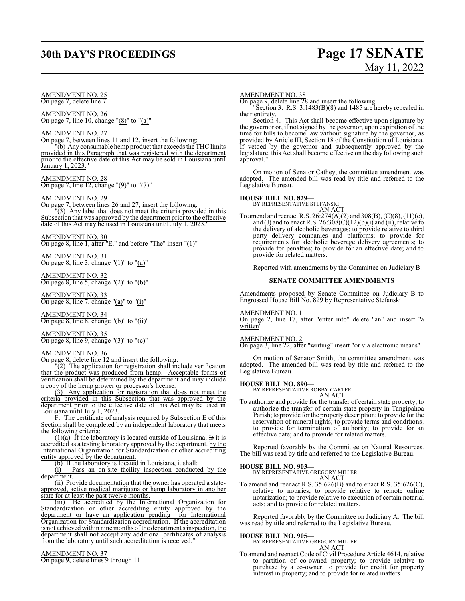## **30th DAY'S PROCEEDINGS Page 17 SENATE**

# May 11, 2022

AMENDMENT NO. 25 On page 7, delete line 7

AMENDMENT NO. 26 On page 7, line 10, change " $(8)$ " to " $(a)$ "

AMENDMENT NO. 27

On page 7, between lines 11 and 12, insert the following:

"(b) Any consumable hemp product that exceeds the THC limits provided in this Paragraph that was registered with the department prior to the effective date of this Act may be sold in Louisiana until January 1, 2023."

AMENDMENT NO. 28 On page 7, line 12, change "(9)" to "(7)"

#### AMENDMENT NO. 29

On page 7, between lines 26 and 27, insert the following: "(3) Any label that does not meet the criteria provided in this Subsection that was approved by the department prior to the effective date of this Act may be used in Louisiana until July 1, 2023."

AMENDMENT NO. 30

On page 8, line 1, after "E." and before "The" insert "(1)"

AMENDMENT NO. 31 On page 8, line 3, change " $(1)$ " to " $(a)$ "

AMENDMENT NO. 32 On page 8, line 5, change " $(2)$ " to " $(b)$ "

AMENDMENT NO. 33 On page 8, line 7, change " $(a)$ " to " $(i)$ "

AMENDMENT NO. 34 On page 8, line 8, change "(b)" to "(ii)"

AMENDMENT NO. 35 On page 8, line 9, change " $(3)$ " to " $(c)$ "

#### AMENDMENT NO. 36

On page 8, delete line 12 and insert the following:

"(2) The application for registration shall include verification that the product was produced from hemp. Acceptable forms of verification shall be determined by the department and may include a copy of the hemp grower or processor's license.

(3) Any application for registration that does not meet the criteria provided in this Subsection that was approved by the department prior to the effective date of this Act may be used in Louisiana until July 1, 2023.

F. The certificate of analysis required by Subsection E of this Section shall be completed by an independent laboratory that meets the following criteria:

(1)(a) If the laboratory is located outside of Louisiana,  $\overline{1}$  is it is accredited <del>as a testing laboratory approved by the department.</del> by the International Organization for Standardization or other accrediting entity approved by the department.

(b) If the laboratory is located in Louisiana, it shall:

(i) Pass an on-site facility inspection conducted by the department.

(ii) Provide documentation that the owner has operated a stateapproved, active medical marijuana or hemp laboratory in another state for at least the past twelve months.

(iii) Be accredited by the International Organization for Standardization or other accrediting entity approved by the department or have an application pending for International Organization for Standardization accreditation. If the accreditation is not achieved within nine months of the department's inspection, the department shall not accept any additional certificates of analysis from the laboratory until such accreditation is received."

AMENDMENT NO. 37 On page 9, delete lines 9 through 11

#### AMENDMENT NO. 38

On page 9, delete line 28 and insert the following:

"Section 3. R.S. 3:1483(B)(8) and 1485 are hereby repealed in their entirety.

Section 4. This Act shall become effective upon signature by the governor or, if not signed by the governor, upon expiration of the time for bills to become law without signature by the governor, as provided by Article III, Section 18 of the Constitution of Louisiana. If vetoed by the governor and subsequently approved by the legislature, this Act shall become effective on the day following such approval.

On motion of Senator Cathey, the committee amendment was adopted. The amended bill was read by title and referred to the Legislative Bureau.

#### **HOUSE BILL NO. 829—**

BY REPRESENTATIVE STEFANSKI AN ACT

To amend and reenact R.S. 26:274(A)(2) and 308(B), (C)(8), (11)(c), and (J) and to enact R.S.  $26:308(\dot{C})(12)(b)(i)$  and (ii), relative to the delivery of alcoholic beverages; to provide relative to third party delivery companies and platforms; to provide for requirements for alcoholic beverage delivery agreements; to provide for penalties; to provide for an effective date; and to provide for related matters.

Reported with amendments by the Committee on Judiciary B.

#### **SENATE COMMITTEE AMENDMENTS**

Amendments proposed by Senate Committee on Judiciary B to Engrossed House Bill No. 829 by Representative Stefanski

#### AMENDMENT NO. 1

On page 2, line 17, after "enter into" delete "an" and insert "a written"

#### AMENDMENT NO. 2

On page 3, line 22, after "writing" insert "or via electronic means"

On motion of Senator Smith, the committee amendment was adopted. The amended bill was read by title and referred to the Legislative Bureau.

**HOUSE BILL NO. 890—** BY REPRESENTATIVE ROBBY CARTER AN ACT

To authorize and provide for the transfer of certain state property; to authorize the transfer of certain state property in Tangipahoa Parish; to provide for the property description; to provide for the reservation of mineral rights; to provide terms and conditions; to provide for termination of authority; to provide for an effective date; and to provide for related matters.

Reported favorably by the Committee on Natural Resources. The bill was read by title and referred to the Legislative Bureau.

#### **HOUSE BILL NO. 903—**

BY REPRESENTATIVE GREGORY MILLER

#### AN ACT

To amend and reenact R.S. 35:626(B) and to enact R.S. 35:626(C), relative to notaries; to provide relative to remote online notarization; to provide relative to execution of certain notarial acts; and to provide for related matters.

Reported favorably by the Committee on Judiciary A. The bill was read by title and referred to the Legislative Bureau.

**HOUSE BILL NO. 905—** BY REPRESENTATIVE GREGORY MILLER AN ACT

To amend and reenact Code of Civil Procedure Article 4614, relative to partition of co-owned property; to provide relative to purchase by a co-owner; to provide for credit for property interest in property; and to provide for related matters.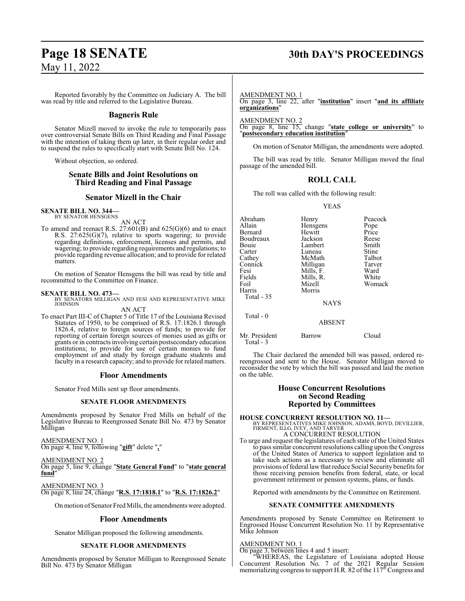## **Page 18 SENATE 30th DAY'S PROCEEDINGS**

Reported favorably by the Committee on Judiciary A. The bill was read by title and referred to the Legislative Bureau.

#### **Bagneris Rule**

Senator Mizell moved to invoke the rule to temporarily pass over controversial Senate Bills on Third Reading and Final Passage with the intention of taking them up later, in their regular order and to suspend the rules to specifically start with Senate Bill No. 124.

Without objection, so ordered.

### **Senate Bills and Joint Resolutions on Third Reading and Final Passage**

#### **Senator Mizell in the Chair**

#### **SENATE BILL NO. 344—** BY SENATOR HENSGENS

AN ACT

To amend and reenact R.S.  $27:601(B)$  and  $625(G)(6)$  and to enact R.S. 27:625(G)(7), relative to sports wagering; to provide regarding definitions, enforcement, licenses and permits, and wagering; to provide regarding requirements and regulations; to provide regarding revenue allocation; and to provide for related matters.

On motion of Senator Hensgens the bill was read by title and recommitted to the Committee on Finance.

#### **SENATE BILL NO. 473—**

BY SENATORS MILLIGAN AND FESI AND REPRESENTATIVE MIKE JOHNSON

#### AN ACT

To enact Part III-C of Chapter 5 of Title 17 of the Louisiana Revised Statutes of 1950, to be comprised of R.S. 17:1826.1 through 1826.4, relative to foreign sources of funds; to provide for reporting of certain foreign sources of monies used as gifts or grants or in contracts involving certain postsecondary education institutions; to provide for use of certain monies to fund employment of and study by foreign graduate students and faculty in a research capacity; and to provide for related matters.

#### **Floor Amendments**

Senator Fred Mills sent up floor amendments.

#### **SENATE FLOOR AMENDMENTS**

Amendments proposed by Senator Fred Mills on behalf of the Legislative Bureau to Reengrossed Senate Bill No. 473 by Senator Milligan

AMENDMENT NO. 1 On page 4, line 9, following "**gift**" delete "**,**"

AMENDMENT NO. 2 On page 5, line 9, change "**State General Fund**" to "**state general fund**"

AMENDMENT NO. 3 On page 8, line 24, change "**R.S. 17:1818.1**" to "**R.S. 17:1826.2**"

On motion of Senator Fred Mills, the amendments were adopted.

#### **Floor Amendments**

Senator Milligan proposed the following amendments.

#### **SENATE FLOOR AMENDMENTS**

Amendments proposed by Senator Milligan to Reengrossed Senate Bill No. 473 by Senator Milligan

#### AMENDMENT NO. 1

On page 3, line 22, after "**institution**" insert "**and its affiliate organizations**"

AMENDMENT NO. 2

On page 8, line 15, change "**state college or university**" to "**postsecondary education institution**"

On motion of Senator Milligan, the amendments were adopted.

The bill was read by title. Senator Milligan moved the final passage of the amended bill.

#### **ROLL CALL**

The roll was called with the following result:

#### YEAS

| Abraham<br>Allain<br><b>Bernard</b><br>Boudreaux<br>Bouie<br>Carter<br>Cathey<br>Connick<br>Fesi<br>Fields<br>Foil<br>Harris<br>Total $-35$ | Henry<br>Hensgens<br>Hewitt<br>Jackson<br>Lambert<br>Luneau<br>McMath<br>Milligan<br>Mills, F.<br>Mills, R.<br>Mizell<br>Morris<br><b>NAYS</b> | Peacock<br>Pope<br>Price<br>Reese<br>Smith<br>Stine<br>Talbot<br>Tarver<br>Ward<br>White<br>Womack |
|---------------------------------------------------------------------------------------------------------------------------------------------|------------------------------------------------------------------------------------------------------------------------------------------------|----------------------------------------------------------------------------------------------------|
| Total $-0$                                                                                                                                  | <b>ABSENT</b>                                                                                                                                  |                                                                                                    |
| Mr. President                                                                                                                               | Barrow                                                                                                                                         | Cloud                                                                                              |

The Chair declared the amended bill was passed, ordered rereengrossed and sent to the House. Senator Milligan moved to reconsider the vote by which the bill was passed and laid the motion on the table.

#### **House Concurrent Resolutions on Second Reading Reported by Committees**

**HOUSE CONCURRENT RESOLUTION NO. 11—** BY REPRESENTATIVES MIKE JOHNSON, ADAMS, BOYD, DEVILLIER, FIRMENT, ILLG, IVEY, AND TARVER

A CONCURRENT RESOLUTION

To urge and request the legislatures of each state of the United States to pass similar concurrent resolutions calling upon the Congress of the United States of America to support legislation and to take such actions as a necessary to review and eliminate all provisions of federal law that reduce Social Security benefits for those receiving pension benefits from federal, state, or local government retirement or pension systems, plans, or funds.

Reported with amendments by the Committee on Retirement.

#### **SENATE COMMITTEE AMENDMENTS**

Amendments proposed by Senate Committee on Retirement to Engrossed House Concurrent Resolution No. 11 by Representative Mike Johnson

#### AMENDMENT NO. 1

Total - 3

On page 3, between lines 4 and 5 insert:

"WHEREAS, the Legislature of Louisiana adopted House Concurrent Resolution No. 7 of the 2021 Regular Session memorializing congress to support H.R. 82 of the 117<sup>th</sup> Congress and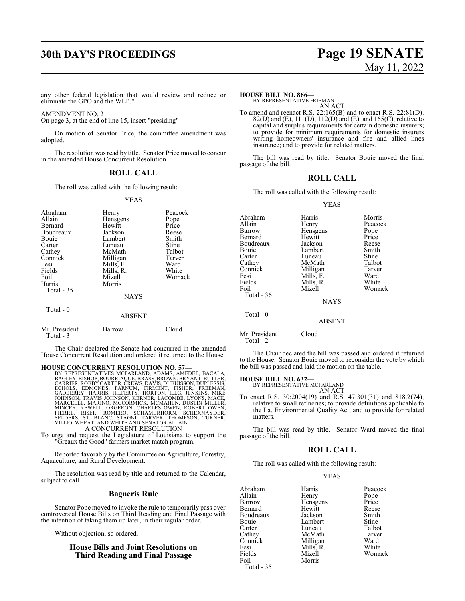# **30th DAY'S PROCEEDINGS Page 19 SENATE**

# May 11, 2022

any other federal legislation that would review and reduce or eliminate the GPO and the WEP."

AMENDMENT NO. 2

Total - 3

On page 3, at the end of line 15, insert "presiding"

On motion of Senator Price, the committee amendment was adopted.

The resolution was read by title. Senator Price moved to concur in the amended House Concurrent Resolution.

#### **ROLL CALL**

The roll was called with the following result:

#### YEAS

| Abraham<br>Allain<br>Bernard<br>Boudreaux<br>Bouie<br>Carter<br>Cathey<br>Connick<br>Fesi<br>Fields<br>Foil<br>Harris<br><b>Total - 35</b> | Henry<br>Hensgens<br>Hewitt<br>Jackson<br>Lambert<br>Luneau<br>McMath<br>Milligan<br>Mills, F.<br>Mills, R.<br>Mizell<br>Morris<br><b>NAYS</b> | Peacock<br>Pope<br>Price<br>Reese<br>Smith<br>Stine<br>Talbot<br>Tarver<br>Ward<br>White<br>Womack |
|--------------------------------------------------------------------------------------------------------------------------------------------|------------------------------------------------------------------------------------------------------------------------------------------------|----------------------------------------------------------------------------------------------------|
| Total $-0$                                                                                                                                 | <b>ABSENT</b>                                                                                                                                  |                                                                                                    |
| Mr. President                                                                                                                              | Barrow                                                                                                                                         | Cloud                                                                                              |

The Chair declared the Senate had concurred in the amended House Concurrent Resolution and ordered it returned to the House.

HOUSE CONCURRENT RESOLUTION NO. 57—<br>BY REPRESENTATIVES MCFARLAND, ADAMS, AMEDEE, BACALA,<br>BAGLEY, BISHOP, BOURRIAQUE, BRASS, BROWN, BRYANT, BUTLER,<br>CARRIER, ROBBY CARTER, CREWS, DAVIS, DUBUISSON, DUPLESSIS,<br>ECHOLS, EDMONDS, A CONCURRENT RESOLUTION

To urge and request the Legislature of Louisiana to support the "Greaux the Good" farmers market match program.

Reported favorably by the Committee on Agriculture, Forestry, Aquaculture, and Rural Development.

The resolution was read by title and returned to the Calendar, subject to call.

#### **Bagneris Rule**

Senator Pope moved to invoke the rule to temporarily pass over controversial House Bills on Third Reading and Final Passage with the intention of taking them up later, in their regular order.

Without objection, so ordered.

#### **House Bills and Joint Resolutions on Third Reading and Final Passage**

#### **HOUSE BILL NO. 866—**

BY REPRESENTATIVE FRIEMAN AN ACT

To amend and reenact R.S. 22:165(B) and to enact R.S. 22:81(D), 82(D) and (E), 111(D), 112(D) and (E), and 165(C), relative to capital and surplus requirements for certain domestic insurers; to provide for minimum requirements for domestic insurers writing homeowners' insurance and fire and allied lines insurance; and to provide for related matters.

The bill was read by title. Senator Bouie moved the final passage of the bill.

#### **ROLL CALL**

The roll was called with the following result:

#### YEAS

| Abraham<br>Allain                      | Harris<br>Henry | Morris<br>Peacock |
|----------------------------------------|-----------------|-------------------|
| Barrow                                 | Hensgens        | Pope              |
| Bernard                                | Hewitt          | Price             |
| Boudreaux                              | Jackson         | Reese             |
| Bouie                                  | Lambert         | Smith             |
| Carter                                 | Luneau          | Stine             |
| Cathey                                 | McMath          | Talbot            |
| Connick                                | Milligan        | Tarver            |
| Fesi                                   | Mills, F.       | Ward              |
| Fields                                 | Mills, R.       | White             |
| Foil                                   | Mizell          | Womack            |
| Total - 36                             |                 |                   |
|                                        | <b>NAYS</b>     |                   |
| Total $-0$                             |                 |                   |
|                                        | <b>ABSENT</b>   |                   |
| $M_{\odot}$ D <sub>rea</sub> : $1_{2}$ | $C1 - 1$        |                   |

Mr. President Cloud Total - 2

The Chair declared the bill was passed and ordered it returned to the House. Senator Bouie moved to reconsider the vote by which the bill was passed and laid the motion on the table.

#### **HOUSE BILL NO. 632—**

BY REPRESENTATIVE MCFARLAND AN ACT

To enact R.S. 30:2004(19) and R.S. 47:301(31) and 818.2(74), relative to small refineries; to provide definitions applicable to the La. Environmental Quality Act; and to provide for related matters.

The bill was read by title. Senator Ward moved the final passage of the bill.

#### **ROLL CALL**

The roll was called with the following result:

#### YEAS

Abraham Harris Peacock Allain Henry Pope<br>
Barrow Hensgens Price Bernard Hewitt Reese Boudreaux Jackson Smith Bouie Lambert Stine<br>
Carter Luneau Talbot Carter Luneau Talbot<br>Cathey McMath Tarver Connick Milligan Ward<br>
Fesi Mills. R. White Fesi Mills, R.<br>Fields Mizell Fields Mizell Womack Morris

Hensgens Price<br>Hewitt Reese McMath Tarve<br>
Milligan Ward

Total - 35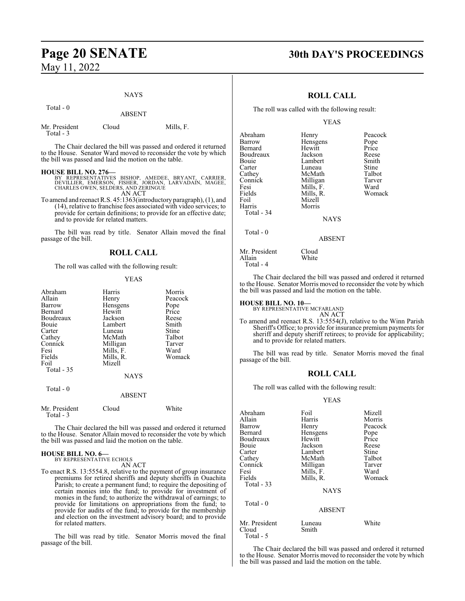## NAYS

ABSENT

| Mr. President | Cloud | Mills, F. |
|---------------|-------|-----------|
| Total - 3     |       |           |

The Chair declared the bill was passed and ordered it returned to the House. Senator Ward moved to reconsider the vote by which the bill was passed and laid the motion on the table.

#### **HOUSE BILL NO. 276—**

- BY REPRESENTATIVES BISHOP, AMEDEE, BRYANT, CARRIER,<br>DEVILLIER, EMERSON, FISHER, JORDAN, LARVADAIN, MAGEE,<br>CHARLES OWEN,SELDERS,AND ZERINGUE AN ACT
- To amend and reenact R.S. 45:1363(introductory paragraph), (1), and (14), relative to franchise fees associated with video services; to provide for certain definitions; to provide for an effective date; and to provide for related matters.

The bill was read by title. Senator Allain moved the final passage of the bill.

### **ROLL CALL**

The roll was called with the following result:

#### YEAS

| Abraham<br>Allain<br>Barrow<br>Bernard<br>Boudreaux<br>Bouie<br>Carter<br>Cathey<br>Connick<br>Fesi<br>Fields<br>Foil<br>Total $-35$ | Harris<br>Henry<br>Hensgens<br>Hewitt<br>Jackson<br>Lambert<br>Luneau<br>McMath<br>Milligan<br>Mills, F.<br>Mills, R.<br>Mizell | Morris<br>Peacock<br>Pope<br>Price<br>Reese<br>Smith<br>Stine<br>Talbot<br>Tarver<br>Ward<br>Womack |
|--------------------------------------------------------------------------------------------------------------------------------------|---------------------------------------------------------------------------------------------------------------------------------|-----------------------------------------------------------------------------------------------------|
|                                                                                                                                      | <b>NAYS</b>                                                                                                                     |                                                                                                     |
| Total - 0                                                                                                                            | ABSENT                                                                                                                          |                                                                                                     |
| Mr. President<br>Total - 3                                                                                                           | Cloud                                                                                                                           | White                                                                                               |

The Chair declared the bill was passed and ordered it returned to the House. Senator Allain moved to reconsider the vote by which the bill was passed and laid the motion on the table.

## **HOUSE BILL NO. 6—** BY REPRESENTATIVE ECHOLS

AN ACT

To enact R.S. 13:5554.8, relative to the payment of group insurance premiums for retired sheriffs and deputy sheriffs in Ouachita Parish; to create a permanent fund; to require the depositing of certain monies into the fund; to provide for investment of monies in the fund; to authorize the withdrawal of earnings; to provide for limitations on appropriations from the fund; to provide for audits of the fund; to provide for the membership and election on the investment advisory board; and to provide for related matters.

The bill was read by title. Senator Morris moved the final passage of the bill.

## **Page 20 SENATE 30th DAY'S PROCEEDINGS**

### **ROLL CALL**

The roll was called with the following result:

#### YEAS

| Abraham<br>Barrow<br>Bernard<br>Boudreaux<br>Bouie<br>Carter<br>Cathey<br>Connick<br>Fesi<br>Fields<br>Foil<br>Harris<br><b>Total - 34</b> | Henry<br>Hensgens<br>Hewitt<br>Jackson<br>Lambert<br>Luneau<br>McMath<br>Milligan<br>Mills, F.<br>Mills, R.<br>Mizell<br>Morris | Peacock<br>Pope<br>Price<br>Reese<br>Smith<br>Stine<br>Talbot<br>Tarver<br>Ward<br>Womack |
|--------------------------------------------------------------------------------------------------------------------------------------------|---------------------------------------------------------------------------------------------------------------------------------|-------------------------------------------------------------------------------------------|
|                                                                                                                                            | <b>NAYS</b>                                                                                                                     |                                                                                           |
| Total $-0$                                                                                                                                 | <b>ABSENT</b>                                                                                                                   |                                                                                           |
| Mr. President<br>Allain                                                                                                                    | Cloud<br>White                                                                                                                  |                                                                                           |

The Chair declared the bill was passed and ordered it returned to the House. Senator Morris moved to reconsider the vote by which the bill was passed and laid the motion on the table.

## **HOUSE BILL NO. 10—** BY REPRESENTATIVE MCFARLAND

Total - 4

#### AN ACT

To amend and reenact R.S. 13:5554(J), relative to the Winn Parish Sheriff's Office; to provide for insurance premium payments for sheriff and deputy sheriff retirees; to provide for applicability; and to provide for related matters.

The bill was read by title. Senator Morris moved the final passage of the bill.

### **ROLL CALL**

The roll was called with the following result:

YEAS

| Abraham<br>Allain                   | Foil<br>Harris  | Mizell<br>Morris |
|-------------------------------------|-----------------|------------------|
| Barrow                              | Henry           | Peacock          |
| Bernard                             | Hensgens        | Pope             |
| Boudreaux                           | Hewitt          | Price            |
| Bouie                               | Jackson         | Reese            |
| Carter                              | Lambert         | Stine            |
| Cathey                              | McMath          | Talbot           |
| Connick                             | Milligan        | Tarver           |
| Fesi                                | Mills, F.       | Ward             |
| Fields                              | Mills, R.       | Womack           |
| Total $-33$                         |                 |                  |
|                                     | <b>NAYS</b>     |                  |
| Total - 0                           |                 |                  |
|                                     | <b>ABSENT</b>   |                  |
| Mr. President<br>Cloud<br>Total - 5 | Luneau<br>Smith | White            |

The Chair declared the bill was passed and ordered it returned to the House. Senator Morris moved to reconsider the vote by which the bill was passed and laid the motion on the table.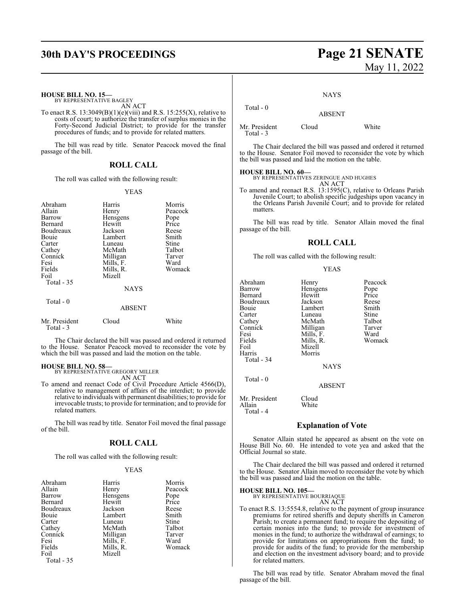## **30th DAY'S PROCEEDINGS Page 21 SENATE**

# May 11, 2022

#### **HOUSE BILL NO. 15—** BY REPRESENTATIVE BAGLEY

AN ACT

To enact R.S.  $13:3049(B)(1)(e)(viii)$  and R.S.  $15:255(X)$ , relative to costs of court; to authorize the transfer of surplus monies in the Forty-Second Judicial District; to provide for the transfer procedures of funds; and to provide for related matters.

The bill was read by title. Senator Peacock moved the final passage of the bill.

### **ROLL CALL**

The roll was called with the following result:

#### YEAS

| Abraham                    | Harris        | Morris  |
|----------------------------|---------------|---------|
| Allain                     | Henry         | Peacock |
| Barrow                     | Hensgens      | Pope    |
| Bernard                    | Hewitt        | Price   |
| Boudreaux                  | Jackson       | Reese   |
| Bouie                      | Lambert       | Smith   |
| Carter                     | Luneau        | Stine   |
| Cathey                     | McMath        | Talbot  |
| Connick                    | Milligan      | Tarver  |
| Fesi                       | Mills, F.     | Ward    |
| Fields                     | Mills, R.     | Womack  |
| Foil                       | Mizell        |         |
| Total $-35$                |               |         |
|                            | <b>NAYS</b>   |         |
| Total - 0                  |               |         |
|                            | <b>ABSENT</b> |         |
| Mr. President<br>Total - 3 | Cloud         | White   |

The Chair declared the bill was passed and ordered it returned to the House. Senator Peacock moved to reconsider the vote by which the bill was passed and laid the motion on the table.

#### **HOUSE BILL NO. 58—**

BY REPRESENTATIVE GREGORY MILLER AN ACT

To amend and reenact Code of Civil Procedure Article 4566(D), relative to management of affairs of the interdict; to provide relative to individuals with permanent disabilities; to provide for irrevocable trusts; to provide for termination; and to provide for related matters.

The bill was read by title. Senator Foil moved the final passage of the bill.

### **ROLL CALL**

The roll was called with the following result:

#### YEAS

| Abraham<br>Allain<br>Barrow<br>Bernard<br>Boudreaux<br>Bouie<br>Carter<br>Cathey<br>Connick | Harris<br>Henry<br>Hensgens<br>Hewitt<br>Jackson<br>Lambert<br>Luneau<br>McMath<br>Milligan | Morris<br>Peacock<br>Pope<br>Price<br>Reese<br>Smith<br>Stine<br>Talbot<br>Tarver |
|---------------------------------------------------------------------------------------------|---------------------------------------------------------------------------------------------|-----------------------------------------------------------------------------------|
| Fesi                                                                                        | Mills, F.                                                                                   | Ward                                                                              |
| Fields<br>Foil                                                                              | Mills, R.<br>Mizell                                                                         | Womack                                                                            |

Total - 35

#### **NAYS**

ABSENT

Mr. President Cloud White

Total - 0

Total - 3

The Chair declared the bill was passed and ordered it returned to the House. Senator Foil moved to reconsider the vote by which the bill was passed and laid the motion on the table.

**HOUSE BILL NO. 60—** BY REPRESENTATIVES ZERINGUE AND HUGHES

AN ACT To amend and reenact R.S. 13:1595(C), relative to Orleans Parish Juvenile Court; to abolish specific judgeships upon vacancy in the Orleans Parish Juvenile Court; and to provide for related matters.

The bill was read by title. Senator Allain moved the final passage of the bill.

### **ROLL CALL**

The roll was called with the following result:

#### YEAS

| Abraham<br>Barrow<br>Bernard<br>Boudreaux<br>Bouie<br>Carter<br>Cathey<br>Connick<br>Fesi<br>Fields<br>Foil<br>Harris<br>Total - 34 | Henry<br>Hensgens<br>Hewitt<br>Jackson<br>Lambert<br>Luneau<br>McMath<br>Milligan<br>Mills, F.<br>Mills, R.<br>Mizell<br>Morris | Peacock<br>Pope<br>Price<br>Reese<br>Smith<br>Stine<br>Talbot<br>Tarver<br>Ward<br>Womack |
|-------------------------------------------------------------------------------------------------------------------------------------|---------------------------------------------------------------------------------------------------------------------------------|-------------------------------------------------------------------------------------------|
|                                                                                                                                     | <b>NAYS</b>                                                                                                                     |                                                                                           |
| Total $-0$                                                                                                                          | <b>ABSENT</b>                                                                                                                   |                                                                                           |
| Mr. President                                                                                                                       | Cloud                                                                                                                           |                                                                                           |

Allain White Total - 4

#### **Explanation of Vote**

Senator Allain stated he appeared as absent on the vote on House Bill No. 60. He intended to vote yea and asked that the Official Journal so state.

The Chair declared the bill was passed and ordered it returned to the House. Senator Allain moved to reconsider the vote by which the bill was passed and laid the motion on the table.

#### **HOUSE BILL NO. 105—**

BY REPRESENTATIVE BOURRIAQUE

AN ACT

To enact R.S. 13:5554.8, relative to the payment of group insurance premiums for retired sheriffs and deputy sheriffs in Cameron Parish; to create a permanent fund; to require the depositing of certain monies into the fund; to provide for investment of monies in the fund; to authorize the withdrawal of earnings; to provide for limitations on appropriations from the fund; to provide for audits of the fund; to provide for the membership and election on the investment advisory board; and to provide for related matters.

The bill was read by title. Senator Abraham moved the final passage of the bill.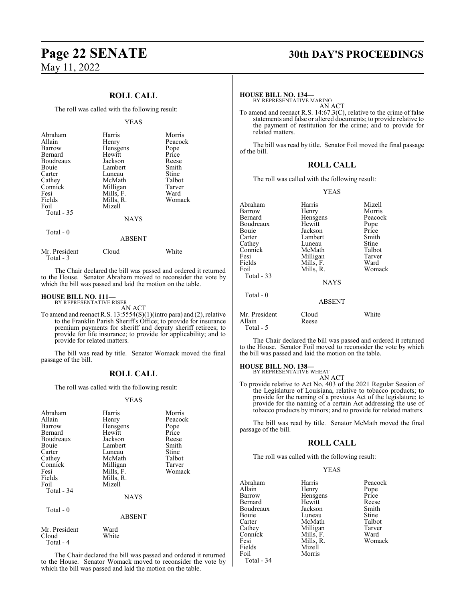## **ROLL CALL**

The roll was called with the following result:

|                                                                                                                                      | <b>YEAS</b>                                                                                                                                    |                                                                                                     |
|--------------------------------------------------------------------------------------------------------------------------------------|------------------------------------------------------------------------------------------------------------------------------------------------|-----------------------------------------------------------------------------------------------------|
| Abraham<br>Allain<br>Barrow<br>Bernard<br>Boudreaux<br>Bouie<br>Carter<br>Cathey<br>Connick<br>Fesi<br>Fields<br>Foil<br>Total $-35$ | Harris<br>Henry<br>Hensgens<br>Hewitt<br>Jackson<br>Lambert<br>Luneau<br>McMath<br>Milligan<br>Mills, F.<br>Mills, R.<br>Mizell<br><b>NAYS</b> | Morris<br>Peacock<br>Pope<br>Price<br>Reese<br>Smith<br>Stine<br>Talbot<br>Tarver<br>Ward<br>Womack |
| Total - 0                                                                                                                            | <b>ABSENT</b>                                                                                                                                  |                                                                                                     |
| Mr. President                                                                                                                        | Cloud                                                                                                                                          | White                                                                                               |

The Chair declared the bill was passed and ordered it returned to the House. Senator Abraham moved to reconsider the vote by which the bill was passed and laid the motion on the table.

#### **HOUSE BILL NO. 111—**

Total - 3

BY REPRESENTATIVE RISER AN ACT

To amend and reenact R.S. 13:5554(S)(1)(intro para) and (2), relative to the Franklin Parish Sheriff's Office; to provide for insurance premium payments for sheriff and deputy sheriff retirees; to provide for life insurance; to provide for applicability; and to provide for related matters.

The bill was read by title. Senator Womack moved the final passage of the bill.

### **ROLL CALL**

The roll was called with the following result:

#### YEAS

| Abraham<br>Allain<br>Barrow<br>Bernard<br>Boudreaux<br>Bouie<br>Carter<br>Cathey<br>Connick<br>Fesi<br>Fields<br>Foil<br>Total - 34 | Harris<br>Henry<br>Hensgens<br>Hewitt<br>Jackson<br>Lambert<br>Luneau<br>McMath<br>Milligan<br>Mills, F.<br>Mills, R.<br>Mizell<br><b>NAYS</b> | Morris<br>Peacock<br>Pope<br>Price<br>Reese<br>Smith<br>Stine<br>Talbot<br>Tarver<br>Womack |
|-------------------------------------------------------------------------------------------------------------------------------------|------------------------------------------------------------------------------------------------------------------------------------------------|---------------------------------------------------------------------------------------------|
| Total $-0$                                                                                                                          | <b>ABSENT</b>                                                                                                                                  |                                                                                             |
| Mr. President<br>Cloud                                                                                                              | Ward<br>White                                                                                                                                  |                                                                                             |

Total - 4

The Chair declared the bill was passed and ordered it returned to the House. Senator Womack moved to reconsider the vote by which the bill was passed and laid the motion on the table.

## **Page 22 SENATE 30th DAY'S PROCEEDINGS**

**HOUSE BILL NO. 134—**

BY REPRESENTATIVE MARINO AN ACT

To amend and reenact R.S. 14:67.3(C), relative to the crime of false statements and false or altered documents; to provide relative to the payment of restitution for the crime; and to provide for related matters.

The bill was read by title. Senator Foil moved the final passage of the bill.

## **ROLL CALL**

The roll was called with the following result:

#### YEAS

| Abraham<br>Barrow<br>Bernard<br>Boudreaux<br>Bouie<br>Cathey | Harris<br>Henry<br>Hensgens<br>Hewitt<br>Jackson<br>Lambert<br>Luneau<br>McMath | Mizell<br>Morris<br>Peacock<br>Pope<br>Price<br>Smith<br><b>Stine</b><br>Talbot |
|--------------------------------------------------------------|---------------------------------------------------------------------------------|---------------------------------------------------------------------------------|
|                                                              |                                                                                 |                                                                                 |
|                                                              |                                                                                 |                                                                                 |
|                                                              |                                                                                 |                                                                                 |
|                                                              |                                                                                 |                                                                                 |
| Carter                                                       |                                                                                 |                                                                                 |
|                                                              |                                                                                 |                                                                                 |
| Connick                                                      |                                                                                 |                                                                                 |
| Fesi                                                         | Milligan                                                                        | Tarver                                                                          |
| Fields                                                       | Mills, F.                                                                       | Ward                                                                            |
| Foil                                                         | Mills, R.                                                                       | Womack                                                                          |
| Total - 33                                                   |                                                                                 |                                                                                 |
|                                                              | <b>NAYS</b>                                                                     |                                                                                 |
| Total $-0$                                                   |                                                                                 |                                                                                 |
|                                                              | <b>ABSENT</b>                                                                   |                                                                                 |
| Mr. President<br>Allain                                      | Cloud<br>Reese                                                                  | White                                                                           |

Total - 5

The Chair declared the bill was passed and ordered it returned to the House. Senator Foil moved to reconsider the vote by which the bill was passed and laid the motion on the table.

#### **HOUSE BILL NO. 138—**

BY REPRESENTATIVE WHEAT

AN ACT

To provide relative to Act No. 403 of the 2021 Regular Session of the Legislature of Louisiana, relative to tobacco products; to provide for the naming of a previous Act of the legislature; to provide for the naming of a certain Act addressing the use of tobacco products by minors; and to provide for related matters.

The bill was read by title. Senator McMath moved the final passage of the bill.

#### **ROLL CALL**

The roll was called with the following result:

#### YEAS

| Abraham    | Harris    | Peacock      |
|------------|-----------|--------------|
| Allain     | Henry     | Pope         |
| Barrow     | Hensgens  | Price        |
| Bernard    | Hewitt    | Reese        |
| Boudreaux  | Jackson   | Smith        |
| Bouie      | Luneau    | <b>Stine</b> |
| Carter     | McMath    | Talbot       |
| Cathey     | Milligan  | Tarver       |
| Connick    | Mills, F. | Ward         |
| Fesi       | Mills, R. | Womack       |
| Fields     | Mizell    |              |
| Foil       | Morris    |              |
| Total - 34 |           |              |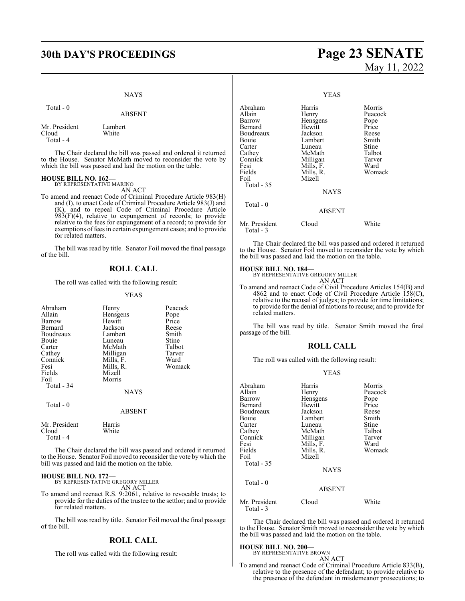## **30th DAY'S PROCEEDINGS Page 23 SENATE**

#### NAYS

ABSENT

to the House. Senator McMath moved to reconsider the vote by which the bill was passed and laid the motion on the table.

Total - 0

Cloud

Mr. President Lambert<br>Cloud White

 Total - 4 The Chair declared the bill was passed and ordered it returned

# **HOUSE BILL NO. 162—** BY REPRESENTATIVE MARINO

AN ACT To amend and reenact Code of Criminal Procedure Article 983(H) and (I), to enact Code of Criminal Procedure Article 983(J) and (K), and to repeal Code of Criminal Procedure Article  $983(F)(4)$ , relative to expungement of records; to provide relative to the fees for expungement of a record; to provide for exemptions offees in certain expungement cases; and to provide for related matters.

The bill was read by title. Senator Foil moved the final passage of the bill.

### **ROLL CALL**

The roll was called with the following result:

#### YEAS

| Abraham<br>Allain<br>Barrow<br>Bernard<br>Boudreaux<br>Bouie<br>Carter<br>Cathey<br>Connick<br>Fesi | Henry<br>Hensgens<br>Hewitt<br>Jackson<br>Lambert<br>Luneau<br>McMath<br>Milligan<br>Mills, F.<br>Mills, R. | Peacock<br>Pope<br>Price<br>Reese<br>Smith<br>Stine<br>Talbot<br>Tarver<br>Ward<br>Womack |
|-----------------------------------------------------------------------------------------------------|-------------------------------------------------------------------------------------------------------------|-------------------------------------------------------------------------------------------|
| Fields<br>Foil<br>Total - 34                                                                        | Mizell<br>Morris<br>NAYS                                                                                    |                                                                                           |
| Total - 0                                                                                           | <b>ABSENT</b>                                                                                               |                                                                                           |
| Mr. President<br>Cloud<br>Total - 4                                                                 | Harris<br>White                                                                                             |                                                                                           |

The Chair declared the bill was passed and ordered it returned to the House. Senator Foil moved to reconsider the vote by which the bill was passed and laid the motion on the table.

## **HOUSE BILL NO. 172—** BY REPRESENTATIVE GREGORY MILLER

AN ACT

To amend and reenact R.S. 9:2061, relative to revocable trusts; to provide for the duties of the trustee to the settlor; and to provide for related matters.

The bill was read by title. Senator Foil moved the final passage of the bill.

#### **ROLL CALL**

The roll was called with the following result:

# May 11, 2022

YEAS

| Abraham<br>Allain<br>Barrow<br>Bernard<br>Boudreaux            | Harris<br>Henry<br>Hensgens<br>Hewitt<br>Jackson                            | Morris<br>Peacock<br>Pope<br>Price<br>Reese          |
|----------------------------------------------------------------|-----------------------------------------------------------------------------|------------------------------------------------------|
| Bouie<br>Carter<br>Cathey<br>Connick<br>Fesi<br>Fields<br>Foil | Lambert<br>Luneau<br>McMath<br>Milligan<br>Mills, F.<br>Mills, R.<br>Mizell | Smith<br>Stine<br>Talbot<br>Tarver<br>Ward<br>Womack |
| Total - 35<br>Total $-0$                                       | <b>NAYS</b>                                                                 |                                                      |
|                                                                | <b>ABSENT</b>                                                               |                                                      |
| Mr. President<br>Total - 3                                     | Cloud                                                                       | White                                                |

The Chair declared the bill was passed and ordered it returned to the House. Senator Foil moved to reconsider the vote by which the bill was passed and laid the motion on the table.

**HOUSE BILL NO. 184—** BY REPRESENTATIVE GREGORY MILLER AN ACT

To amend and reenact Code of Civil Procedure Articles 154(B) and 4862 and to enact Code of Civil Procedure Article  $158(C)$ , relative to the recusal of judges; to provide for time limitations; to provide for the denial of motions to recuse; and to provide for related matters.

The bill was read by title. Senator Smith moved the final passage of the bill.

#### **ROLL CALL**

The roll was called with the following result:

#### YEAS

| Abraham<br>Allain<br>Barrow<br>Bernard<br>Boudreaux<br>Bouie<br>Carter<br>Cathey<br>Connick<br>Fesi<br>Fields | Harris<br>Henry<br>Hensgens<br>Hewitt<br>Jackson<br>Lambert<br>Luneau<br>McMath<br>Milligan<br>Mills, F.<br>Mills, R. | Morris<br>Peacock<br>Pope<br>Price<br>Reese<br>Smith<br>Stine<br>Talbot<br>Tarver<br>Ward<br>Womack |
|---------------------------------------------------------------------------------------------------------------|-----------------------------------------------------------------------------------------------------------------------|-----------------------------------------------------------------------------------------------------|
| Foil<br>Total $-35$<br>Total - 0                                                                              | Mizell<br><b>NAYS</b><br><b>ABSENT</b>                                                                                |                                                                                                     |
| Mr. President                                                                                                 | Cloud                                                                                                                 | White                                                                                               |

The Chair declared the bill was passed and ordered it returned to the House. Senator Smith moved to reconsider the vote by which the bill was passed and laid the motion on the table.

## **HOUSE BILL NO. 200—** BY REPRESENTATIVE BROWN

Total - 3

AN ACT

To amend and reenact Code of Criminal Procedure Article 833(B), relative to the presence of the defendant; to provide relative to the presence of the defendant in misdemeanor prosecutions; to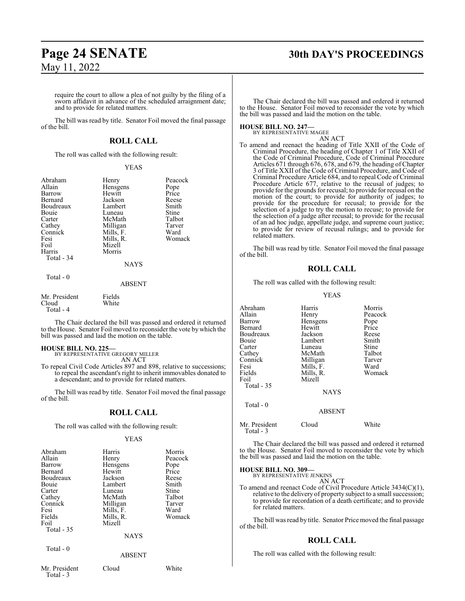## **Page 24 SENATE 30th DAY'S PROCEEDINGS**

require the court to allow a plea of not guilty by the filing of a sworn affidavit in advance of the scheduled arraignment date; and to provide for related matters.

The bill was read by title. Senator Foil moved the final passage of the bill.

#### **ROLL CALL**

The roll was called with the following result:

#### YEAS

|           | Abraham<br>Allain<br>Barrow<br>Bernard<br>Boudreaux<br>Bouie<br>Carter<br>Cathey<br>Connick<br>Fesi<br>Foil<br>Harris<br>Total - 34 | Henry<br>Hensgens<br>Hewitt<br>Jackson<br>Lambert<br>Luneau<br>McMath<br>Milligan<br>Mills, F.<br>Mills, R.<br>Mizell<br>Morris<br><b>NAYS</b> | Peacock<br>Pope<br>Price<br>Reese<br>Smith<br>Stine<br>Talbot<br>Tarver<br>Ward<br>Womack |
|-----------|-------------------------------------------------------------------------------------------------------------------------------------|------------------------------------------------------------------------------------------------------------------------------------------------|-------------------------------------------------------------------------------------------|
| Total - 0 |                                                                                                                                     |                                                                                                                                                |                                                                                           |

#### ABSENT

| Mr. President | Fields |
|---------------|--------|
| Cloud         | White  |
| Total - 4     |        |

The Chair declared the bill was passed and ordered it returned to the House. Senator Foil moved to reconsider the vote by which the bill was passed and laid the motion on the table.

#### **HOUSE BILL NO. 225—**

BY REPRESENTATIVE GREGORY MILLER AN ACT

To repeal Civil Code Articles 897 and 898, relative to successions; to repeal the ascendant's right to inherit immovables donated to a descendant; and to provide for related matters.

The bill was read by title. Senator Foil moved the final passage of the bill.

#### **ROLL CALL**

The roll was called with the following result:

#### YEAS

| Abraham    | Harris         | Morris  |
|------------|----------------|---------|
| Allain     | Henry          | Peacock |
| Barrow     | Hensgens       | Pope    |
| Bernard    | Hewitt         | Price   |
| Boudreaux  | Jackson        | Reese   |
| Bouie      | Lambert        | Smith   |
| Carter     | Luneau         | Stine   |
|            |                |         |
| Cathey     | McMath         | Talbot  |
| Connick    | Milligan       | Tarver  |
| Fesi       | Mills, F.      | Ward    |
| Fields     | Mills, R.      | Womack  |
| Foil       | Mizell         |         |
| Total - 35 |                |         |
|            | <b>NAYS</b>    |         |
| Total - 0  |                |         |
|            | <b>A DCENT</b> |         |

The Chair declared the bill was passed and ordered it returned to the House. Senator Foil moved to reconsider the vote by which the bill was passed and laid the motion on the table.

#### **HOUSE BILL NO. 247—**

BY REPRESENTATIVE MAGEE AN ACT

To amend and reenact the heading of Title XXII of the Code of Criminal Procedure, the heading of Chapter 1 of Title XXII of the Code of Criminal Procedure, Code of Criminal Procedure Articles 671 through 676, 678, and 679, the heading of Chapter 3 of Title XXII of the Code of Criminal Procedure, and Code of Criminal Procedure Article 684, and to repeal Code of Criminal Procedure Article 677, relative to the recusal of judges; to provide for the grounds for recusal; to provide for recusal on the motion of the court; to provide for authority of judges; to provide for the procedure for recusal; to provide for the selection of a judge to try the motion to recuse; to provide for the selection of a judge after recusal; to provide for the recusal of an ad hoc judge, appellate judge, and supreme court justice; to provide for review of recusal rulings; and to provide for related matters.

The bill was read by title. Senator Foil moved the final passage of the bill.

#### **ROLL CALL**

The roll was called with the following result:

#### YEAS

| Abraham<br>Allain<br>Barrow<br>Bernard<br>Boudreaux<br>Bouie<br>Carter<br>Cathey<br>Connick<br>Fesi<br>Fields<br>Foil<br>Total - 35 | Harris<br>Henry<br>Hensgens<br>Hewitt<br>Jackson<br>Lambert<br>Luneau<br>McMath<br>Milligan<br>Mills, F.<br>Mills, R.<br>Mizell<br><b>NAYS</b> | Morris<br>Peacock<br>Pope<br>Price<br>Reese<br>Smith<br>Stine<br>Talbot<br>Tarver<br>Ward<br>Womack |
|-------------------------------------------------------------------------------------------------------------------------------------|------------------------------------------------------------------------------------------------------------------------------------------------|-----------------------------------------------------------------------------------------------------|
| Total $-0$                                                                                                                          | <b>ABSENT</b>                                                                                                                                  |                                                                                                     |
| Mr. President<br>Total - 3                                                                                                          | Cloud                                                                                                                                          | White                                                                                               |

The Chair declared the bill was passed and ordered it returned to the House. Senator Foil moved to reconsider the vote by which the bill was passed and laid the motion on the table.

#### **HOUSE BILL NO. 309—** BY REPRESE

AN ACT

To amend and reenact Code of Civil Procedure Article 3434(C)(1), relative to the delivery of property subject to a small succession; to provide for recordation of a death certificate; and to provide for related matters.

The bill was read by title. Senator Price moved the final passage of the bill.

#### **ROLL CALL**

The roll was called with the following result:

Mr. President Cloud White Total - 3

ABSENT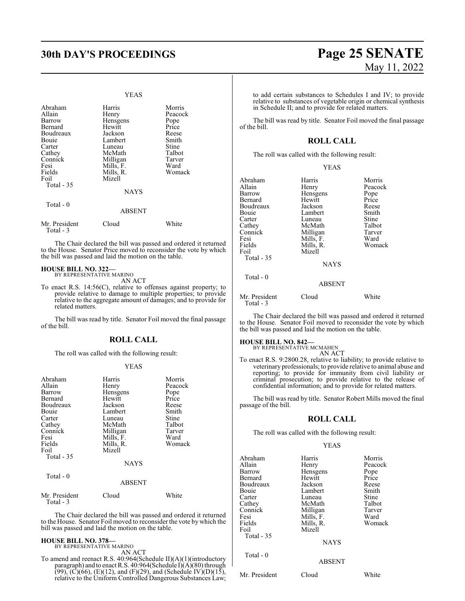#### YEAS

| Abraham<br>Allain<br>Barrow<br>Bernard<br>Boudreaux<br>Bouie<br>Carter<br>Cathey<br>Connick<br>Fesi<br>Fields<br>Foil | Harris<br>Henry<br>Hensgens<br>Hewitt<br>Jackson<br>Lambert<br>Luneau<br>McMath<br>Milligan<br>Mills, F.<br>Mills, R.<br>Mizell | Morris<br>Peacock<br>Pope<br>Price<br>Reese<br>Smith<br>Stine<br>Talbot<br>Tarver<br>Ward<br>Womack |
|-----------------------------------------------------------------------------------------------------------------------|---------------------------------------------------------------------------------------------------------------------------------|-----------------------------------------------------------------------------------------------------|
| Total $-35$                                                                                                           | <b>NAYS</b>                                                                                                                     |                                                                                                     |
| Total $-0$                                                                                                            | <b>ABSENT</b>                                                                                                                   |                                                                                                     |
| Mr. President<br>Total - 3                                                                                            | Cloud                                                                                                                           | White                                                                                               |

The Chair declared the bill was passed and ordered it returned to the House. Senator Price moved to reconsider the vote by which the bill was passed and laid the motion on the table.

## **HOUSE BILL NO. 322—** BY REPRESENTATIVE MARINO

AN ACT

To enact R.S. 14:56(C), relative to offenses against property; to provide relative to damage to multiple properties; to provide relative to the aggregate amount of damages; and to provide for related matters.

The bill was read by title. Senator Foil moved the final passage of the bill.

#### **ROLL CALL**

The roll was called with the following result:

#### YEAS

| Abraham<br>Allain<br>Barrow<br>Bernard<br>Boudreaux<br>Bouie<br>Carter<br>Cathey<br>Connick<br>Fesi<br>Fields<br>Foil<br>Total - 35 | Harris<br>Henry<br>Hensgens<br>Hewitt<br>Jackson<br>Lambert<br>Luneau<br>McMath<br>Milligan<br>Mills, F.<br>Mills, R.<br>Mizell<br><b>NAYS</b> | Morris<br>Peacock<br>Pope<br>Price<br>Reese<br>Smith<br>Stine<br>Talbot<br>Tarver<br>Ward<br>Womack |
|-------------------------------------------------------------------------------------------------------------------------------------|------------------------------------------------------------------------------------------------------------------------------------------------|-----------------------------------------------------------------------------------------------------|
| Total $-0$                                                                                                                          | <b>ABSENT</b>                                                                                                                                  |                                                                                                     |
| Mr. President                                                                                                                       | Cloud                                                                                                                                          | White                                                                                               |

Total - 3

The Chair declared the bill was passed and ordered it returned to the House. Senator Foil moved to reconsider the vote by which the bill was passed and laid the motion on the table.

#### **HOUSE BILL NO. 378—**

BY REPRESENTATIVE MARINO AN ACT

To amend and reenact R.S. 40:964(Schedule II)(A)(1)(introductory paragraph) and to enact R.S. 40:964(Schedule I)(A)(80) through  $(99)$ ,  $(C)(66)$ ,  $(E)(12)$ , and  $(F)(29)$ , and  $(Schedule IV)(D)(15)$ , relative to the Uniform Controlled Dangerous Substances Law; to add certain substances to Schedules I and IV; to provide relative to substances of vegetable origin or chemical synthesis in Schedule II; and to provide for related matters.

The bill was read by title. Senator Foil moved the final passage of the bill.

#### **ROLL CALL**

The roll was called with the following result:

| Abraham       | Harris        | Morris  |
|---------------|---------------|---------|
| Allain        | Henry         | Peacock |
| Barrow        | Hensgens      | Pope    |
| Bernard       | Hewitt        | Price   |
| Boudreaux     | Jackson       | Reese   |
| Bouie         | Lambert       | Smith   |
| Carter        | Luneau        | Stine   |
| Cathey        | McMath        | Talbot  |
| Connick       | Milligan      | Tarver  |
| Fesi          | Mills, F.     | Ward    |
| Fields        | Mills, R.     | Womack  |
| Foil          | Mizell        |         |
| Total $-35$   |               |         |
|               | <b>NAYS</b>   |         |
| Total $-0$    |               |         |
|               | <b>ABSENT</b> |         |
|               |               |         |
| Mr. President | Cloud         | White   |

The Chair declared the bill was passed and ordered it returned to the House. Senator Foil moved to reconsider the vote by which the bill was passed and laid the motion on the table.

Total - 3

**HOUSE BILL NO. 842—** BY REPRESENTATIVE MCMAHEN

AN ACT To enact R.S. 9:2800.28, relative to liability; to provide relative to veterinary professionals; to provide relative to animal abuse and reporting; to provide for immunity from civil liability or criminal prosecution; to provide relative to the release of confidential information; and to provide for related matters.

The bill was read by title. Senator Robert Mills moved the final passage of the bill.

#### **ROLL CALL**

The roll was called with the following result:

#### YEAS

| Abraham<br>Allain<br>Barrow<br>Bernard<br>Boudreaux<br>Bouie<br>Carter<br>Cathey | Harris<br>Henry<br>Hensgens<br>Hewitt<br>Jackson<br>Lambert<br>Luneau<br>McMath | Morris<br>Peacock<br>Pope<br>Price<br>Reese<br>Smith<br>Stine<br>Talbot |
|----------------------------------------------------------------------------------|---------------------------------------------------------------------------------|-------------------------------------------------------------------------|
| Connick<br>Fesi                                                                  | Milligan<br>Mills, F.                                                           | Tarver<br>Ward                                                          |
| Fields<br>Foil<br>Total $-35$                                                    | Mills, R.<br>Mizell                                                             | Womack                                                                  |
|                                                                                  | <b>NAYS</b>                                                                     |                                                                         |
| Total $-0$                                                                       | <b>ABSENT</b>                                                                   |                                                                         |
| Mr. President                                                                    | Cloud                                                                           | White                                                                   |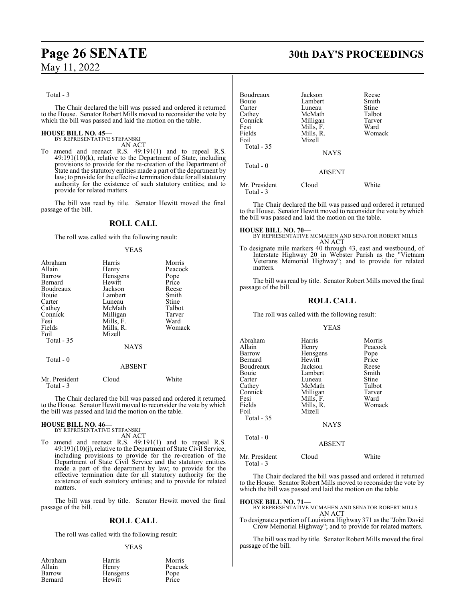## **Page 26 SENATE 30th DAY'S PROCEEDINGS**

Total - 3

The Chair declared the bill was passed and ordered it returned to the House. Senator Robert Mills moved to reconsider the vote by which the bill was passed and laid the motion on the table.

#### **HOUSE BILL NO. 45—**

BY REPRESENTATIVE STEFANSKI AN ACT

To amend and reenact R.S. 49:191(1) and to repeal R.S. 49:191(10)(k), relative to the Department of State, including provisions to provide for the re-creation of the Department of State and the statutory entities made a part of the department by law; to provide for the effective termination date for all statutory authority for the existence of such statutory entities; and to provide for related matters.

The bill was read by title. Senator Hewitt moved the final passage of the bill.

#### **ROLL CALL**

The roll was called with the following result:

#### YEAS

| Abraham                    | Harris        | Morris  |
|----------------------------|---------------|---------|
| Allain                     | Henry         | Peacock |
| Barrow                     | Hensgens      | Pope    |
| Bernard                    | Hewitt        | Price   |
| Boudreaux                  | Jackson       | Reese   |
| Bouie                      | Lambert       | Smith   |
| Carter                     | Luneau        | Stine   |
| Cathey                     | McMath        | Talbot  |
| Connick                    | Milligan      | Tarver  |
| Fesi                       | Mills, F.     | Ward    |
| Fields                     | Mills, R.     | Womack  |
| Foil                       | Mizell        |         |
| Total - 35                 |               |         |
|                            | <b>NAYS</b>   |         |
| Total - 0                  |               |         |
|                            | <b>ABSENT</b> |         |
| Mr. President<br>Total - 3 | Cloud         | White   |

The Chair declared the bill was passed and ordered it returned to the House. Senator Hewitt moved to reconsider the vote by which the bill was passed and laid the motion on the table.

#### **HOUSE BILL NO. 46—** BY REPRESENTATIVE STEFANSKI

AN ACT

To amend and reenact R.S. 49:191(1) and to repeal R.S. 49:191(10)(j), relative to the Department of State Civil Service, including provisions to provide for the re-creation of the Department of State Civil Service and the statutory entities made a part of the department by law; to provide for the effective termination date for all statutory authority for the existence of such statutory entities; and to provide for related matters.

The bill was read by title. Senator Hewitt moved the final passage of the bill.

## **ROLL CALL**

The roll was called with the following result:

#### YEAS

| Harris          | Morris  |
|-----------------|---------|
| Henry           | Peacock |
| <b>Hensgens</b> | Pope    |
| Hewitt          | Price   |
|                 |         |

| Boudreaux<br>Bouie<br>Carter<br>Cathey<br>Connick<br>Fesi<br>Fields<br>Foil<br>Total $-35$ | Jackson<br>Lambert<br>Luneau<br>McMath<br>Milligan<br>Mills, F.<br>Mills, R.<br>Mizell<br><b>NAYS</b> | Reese<br>Smith<br>Stine<br>Talbot<br>Tarver<br>Ward<br>Womack |
|--------------------------------------------------------------------------------------------|-------------------------------------------------------------------------------------------------------|---------------------------------------------------------------|
| $Total - 0$                                                                                | <b>ABSENT</b>                                                                                         |                                                               |
| Mr. President<br>Total - 3                                                                 | Cloud                                                                                                 | White                                                         |

The Chair declared the bill was passed and ordered it returned to the House. Senator Hewitt moved to reconsider the vote by which the bill was passed and laid the motion on the table.

#### **HOUSE BILL NO. 70—**

BY REPRESENTATIVE MCMAHEN AND SENATOR ROBERT MILLS AN ACT

To designate mile markers 40 through 43, east and westbound, of Interstate Highway 20 in Webster Parish as the "Vietnam Veterans Memorial Highway"; and to provide for related matters.

The bill was read by title. Senator Robert Mills moved the final passage of the bill.

#### **ROLL CALL**

The roll was called with the following result:

#### YEAS

| Abraham    | Harris      | Morris  |
|------------|-------------|---------|
| Allain     | Henry       | Peacock |
| Barrow     | Hensgens    | Pope    |
| Bernard    | Hewitt      | Price   |
| Boudreaux  | Jackson     | Reese   |
| Bouie      | Lambert     | Smith   |
| Carter     | Luneau      | Stine   |
| Cathey     | McMath      | Talbot  |
| Connick    | Milligan    | Tarver  |
| Fesi       | Mills, F.   | Ward    |
| Fields     | Mills, R.   | Womack  |
| Foil       | Mizell      |         |
| Total - 35 |             |         |
|            | <b>NAYS</b> |         |
| Total $-0$ |             |         |
|            | ABSENT      |         |

| Mr. President | Cloud | White |
|---------------|-------|-------|
| Total - 3     |       |       |

The Chair declared the bill was passed and ordered it returned to the House. Senator Robert Mills moved to reconsider the vote by which the bill was passed and laid the motion on the table.

**HOUSE BILL NO. 71—** BY REPRESENTATIVE MCMAHEN AND SENATOR ROBERT MILLS AN ACT

To designate a portion of Louisiana Highway 371 as the "John David Crow Memorial Highway"; and to provide for related matters.

The bill was read by title. Senator Robert Mills moved the final passage of the bill.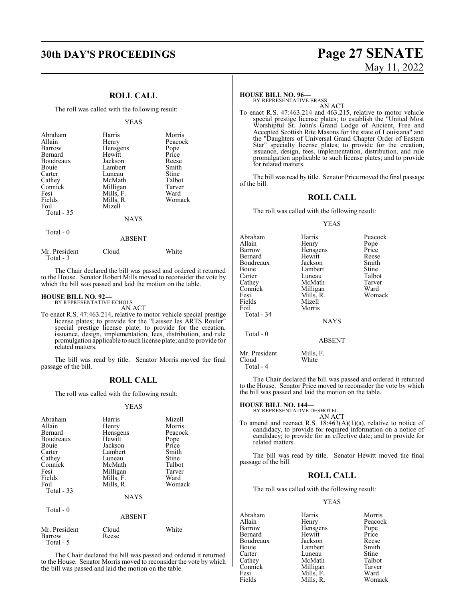## **30th DAY'S PROCEEDINGS Page 27 SENATE** May 11, 2022

## **ROLL CALL**

The roll was called with the following result:

|                                                                                                                                     | <b>YEAS</b>                                                                                                                                    |                                                                                                     |
|-------------------------------------------------------------------------------------------------------------------------------------|------------------------------------------------------------------------------------------------------------------------------------------------|-----------------------------------------------------------------------------------------------------|
| Abraham<br>Allain<br>Barrow<br>Bernard<br>Boudreaux<br>Bouie<br>Carter<br>Cathey<br>Connick<br>Fesi<br>Fields<br>Foil<br>Total - 35 | Harris<br>Henry<br>Hensgens<br>Hewitt<br>Jackson<br>Lambert<br>Luneau<br>McMath<br>Milligan<br>Mills, F.<br>Mills, R.<br>Mizell<br><b>NAYS</b> | Morris<br>Peacock<br>Pope<br>Price<br>Reese<br>Smith<br>Stine<br>Talbot<br>Tarver<br>Ward<br>Womack |
| Total - 0                                                                                                                           | ABSENT                                                                                                                                         |                                                                                                     |

| White |
|-------|
| Cloud |

The Chair declared the bill was passed and ordered it returned to the House. Senator Robert Mills moved to reconsider the vote by which the bill was passed and laid the motion on the table.

#### **HOUSE BILL NO. 92—**

BY REPRESENTATIVE ECHOLS AN ACT

To enact R.S. 47:463.214, relative to motor vehicle special prestige license plates; to provide for the "Laissez les ARTS Rouler" special prestige license plate; to provide for the creation, issuance, design, implementation, fees, distribution, and rule promulgation applicable to such license plate; and to provide for related matters.

The bill was read by title. Senator Morris moved the final passage of the bill.

#### **ROLL CALL**

The roll was called with the following result:

#### YEAS

| Abraham<br>Allain<br>Bernard<br>Boudreaux<br>Bouie<br>Carter<br>Cathey<br>Connick<br>Fesi<br>Fields<br>Foil<br>Total - 33 | Harris<br>Henry<br>Hensgens<br>Hewitt<br>Jackson<br>Lambert<br>Luneau<br>McMath<br>Milligan<br>Mills, F.<br>Mills, R.<br><b>NAYS</b> | Mizell<br>Morris<br>Peacock<br>Pope<br>Price<br>Smith<br>Stine<br>Talbot<br>Tarver<br>Ward<br>Womack |
|---------------------------------------------------------------------------------------------------------------------------|--------------------------------------------------------------------------------------------------------------------------------------|------------------------------------------------------------------------------------------------------|
| Total - 0                                                                                                                 | ABSENT                                                                                                                               |                                                                                                      |

| Mr. President | Cloud | White |
|---------------|-------|-------|
| Barrow        | Reese |       |
| Total $-5$    |       |       |

The Chair declared the bill was passed and ordered it returned to the House. Senator Morris moved to reconsider the vote by which the bill was passed and laid the motion on the table.

#### **HOUSE BILL NO. 96—**

BY REPRESENTATIVE BRASS AN ACT

To enact R.S. 47:463.214 and 463.215, relative to motor vehicle special prestige license plates; to establish the "United Most Worshipful St. John's Grand Lodge of Ancient, Free and Accepted Scottish Rite Masons for the state of Louisiana" and the "Daughters of Universal Grand Chapter Order of Eastern Star" specialty license plates; to provide for the creation, issuance, design, fees, implementation, distribution, and rule promulgation applicable to such license plates; and to provide for related matters.

The bill was read by title. Senator Price moved the final passage of the bill.

### **ROLL CALL**

The roll was called with the following result:

#### YEAS

| Abraham<br>Allain<br>Barrow<br>Bernard<br>Boudreaux<br>Bouie<br>Carter<br>Cathey<br>Connick<br>Fesi<br>Fields<br>Foil<br>Total - 34 | Harris<br>Henry<br>Hensgens<br>Hewitt<br>Jackson<br>Lambert<br>Luneau<br>McMath<br>Milligan<br>Mills, R.<br>Mizell<br>Morris<br><b>NAYS</b> | Peacock<br>Pope<br>Price<br>Reese<br>Smith<br>Stine<br>Talbot<br>Tarver<br>Ward<br>Womack |
|-------------------------------------------------------------------------------------------------------------------------------------|---------------------------------------------------------------------------------------------------------------------------------------------|-------------------------------------------------------------------------------------------|
| Total - 0                                                                                                                           | <b>ABSENT</b>                                                                                                                               |                                                                                           |
| Mr. President                                                                                                                       | Mills, F.                                                                                                                                   |                                                                                           |

Cloud White

Total - 4

The Chair declared the bill was passed and ordered it returned to the House. Senator Price moved to reconsider the vote by which the bill was passed and laid the motion on the table.

## **HOUSE BILL NO. 144—** BY REPRESENTATIVE DESHOTEL

AN ACT To amend and reenact R.S. 18:463(A)(1)(a), relative to notice of candidacy, to provide for required information on a notice of candidacy; to provide for an effective date; and to provide for related matters.

The bill was read by title. Senator Hewitt moved the final passage of the bill.

#### **ROLL CALL**

The roll was called with the following result:

#### YEAS

| Abraham   | Harris    | Morris  |
|-----------|-----------|---------|
| Allain    | Henry     | Peacock |
| Barrow    | Hensgens  | Pope    |
| Bernard   | Hewitt    | Price   |
| Boudreaux | Jackson   | Reese   |
| Bouie     | Lambert   | Smith   |
| Carter    | Luneau    | Stine   |
| Cathey    | McMath    | Talbot  |
| Connick   | Milligan  | Tarver  |
| Fesi      | Mills, F. | Ward    |
| Fields    | Mills, R. | Womack  |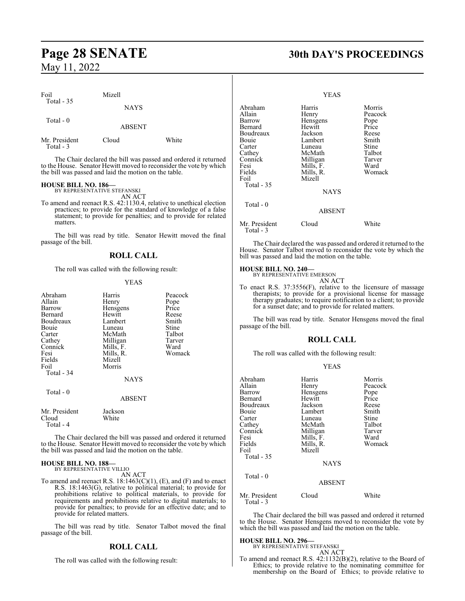| Foil                       | Mizell        |       |  |
|----------------------------|---------------|-------|--|
| Total $-35$                | <b>NAYS</b>   |       |  |
| Total $-0$                 | <b>ABSENT</b> |       |  |
| Mr. President<br>Total - 3 | Cloud         | White |  |

The Chair declared the bill was passed and ordered it returned to the House. Senator Hewitt moved to reconsider the vote by which the bill was passed and laid the motion on the table.

## **HOUSE BILL NO. 186—**

BY REPRESENTATIVE STEFANSKI AN ACT

To amend and reenact R.S. 42:1130.4, relative to unethical election practices; to provide for the standard of knowledge of a false statement; to provide for penalties; and to provide for related matters.

The bill was read by title. Senator Hewitt moved the final passage of the bill.

#### **ROLL CALL**

The roll was called with the following result:

#### YEAS

| Abraham<br>Allain<br>Barrow<br>Bernard<br>Boudreaux<br>Bouie<br>Carter<br>Cathey<br>Connick<br>Fesi<br>Fields<br>Foil<br>Total - 34 | Harris<br>Henry<br>Hensgens<br>Hewitt<br>Lambert<br>Luneau<br>McMath<br>Milligan<br>Mills, F.<br>Mills, R.<br>Mizell<br>Morris<br><b>NAYS</b> | Peacock<br>Pope<br>Price<br>Reese<br>Smith<br>Stine<br>Talbot<br>Tarver<br>Ward<br>Womack |
|-------------------------------------------------------------------------------------------------------------------------------------|-----------------------------------------------------------------------------------------------------------------------------------------------|-------------------------------------------------------------------------------------------|
| Total $-0$                                                                                                                          | <b>ABSENT</b>                                                                                                                                 |                                                                                           |
| Mr. President<br>Cloud<br>Total - 4                                                                                                 | Jackson<br>White                                                                                                                              |                                                                                           |

The Chair declared the bill was passed and ordered it returned to the House. Senator Hewitt moved to reconsider the vote by which the bill was passed and laid the motion on the table.

#### **HOUSE BILL NO. 188—** BY REPRESENTATIVE VILLIO

AN ACT

To amend and reenact R.S.  $18:1463(C)(1)$ , (E), and (F) and to enact R.S. 18:1463(G), relative to political material; to provide for prohibitions relative to political materials, to provide for requirements and prohibitions relative to digital materials; to provide for penalties; to provide for an effective date; and to provide for related matters.

The bill was read by title. Senator Talbot moved the final passage of the bill.

### **ROLL CALL**

The roll was called with the following result:

## **Page 28 SENATE 30th DAY'S PROCEEDINGS**

#### YEAS

| Abraham                    | Harris        | Morris        |
|----------------------------|---------------|---------------|
| Allain                     | Henry         | Peacock       |
| Barrow                     | Hensgens      |               |
| Bernard                    | Hewitt        | Pope<br>Price |
| Boudreaux                  | Jackson       | Reese         |
| Bouie                      | Lambert       | Smith         |
| Carter                     | Luneau        | Stine         |
| Cathey                     | McMath        | Talbot        |
| Connick                    | Milligan      | Tarver        |
| Fesi                       | Mills, F.     | Ward          |
| Fields                     | Mills, R.     | Womack        |
| Foil                       | Mizell        |               |
| Total - 35                 |               |               |
|                            | <b>NAYS</b>   |               |
| Total - 0                  |               |               |
|                            | <b>ABSENT</b> |               |
| Mr. President<br>Total - 3 | Cloud         | White         |

The Chair declared the was passed and ordered it returned to the House. Senator Talbot moved to reconsider the vote by which the bill was passed and laid the motion on the table.

## **HOUSE BILL NO. 240—** BY REPRESENTATIVE EMERSON

AN ACT

To enact R.S. 37:3556(F), relative to the licensure of massage therapists; to provide for a provisional license for massage therapy graduates; to require notification to a client; to provide for a sunset date; and to provide for related matters.

The bill was read by title. Senator Hensgens moved the final passage of the bill.

#### **ROLL CALL**

YEAS

The roll was called with the following result:

| Abraham<br>Allain<br>Barrow<br>Bernard<br>Boudreaux<br>Bouie<br>Carter<br>Cathey<br>Connick<br>Fesi<br>Fields<br>Foil<br>Total - 35 | Harris<br>Henry<br>Hensgens<br>Hewitt<br>Jackson<br>Lambert<br>Luneau<br>McMath<br>Milligan<br>Mills, F.<br>Mills, R.<br>Mizell<br><b>NAYS</b> | Morris<br>Peacock<br>Pope<br>Price<br>Reese<br>Smith<br>Stine<br>Talbot<br>Tarver<br>Ward<br>Womack |
|-------------------------------------------------------------------------------------------------------------------------------------|------------------------------------------------------------------------------------------------------------------------------------------------|-----------------------------------------------------------------------------------------------------|
| Total - 0                                                                                                                           | <b>ABSENT</b>                                                                                                                                  |                                                                                                     |
| Mr. President<br>Total - 3                                                                                                          | Cloud                                                                                                                                          | White                                                                                               |

The Chair declared the bill was passed and ordered it returned to the House. Senator Hensgens moved to reconsider the vote by which the bill was passed and laid the motion on the table.

**HOUSE BILL NO. 296—** BY REPRESENTATIVE STEFANSKI

To amend and reenact R.S. 42:1132(B)(2), relative to the Board of Ethics; to provide relative to the nominating committee for membership on the Board of Ethics; to provide relative to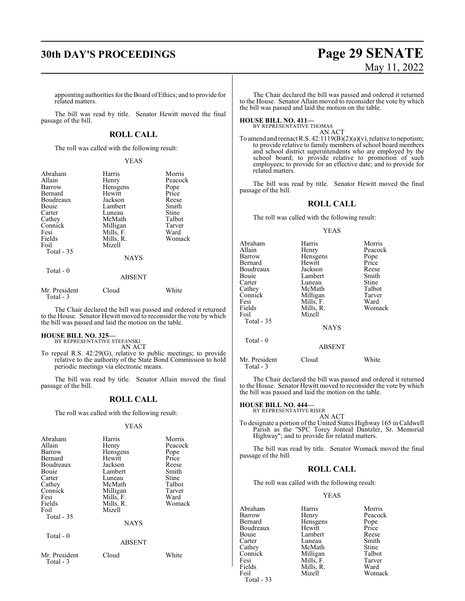# **30th DAY'S PROCEEDINGS Page 29 SENATE** May 11, 2022

appointing authorities forthe Board ofEthics; and to provide for related matters.

The bill was read by title. Senator Hewitt moved the final passage of the bill.

### **ROLL CALL**

The roll was called with the following result:

#### YEAS

| Abraham                    | Harris        | Morris  |
|----------------------------|---------------|---------|
| Allain                     | Henry         | Peacock |
| Barrow                     | Hensgens      | Pope    |
| Bernard                    | Hewitt        | Price   |
| Boudreaux                  | Jackson       | Reese   |
| Bouie                      | Lambert       | Smith   |
| Carter                     | Luneau        | Stine   |
| Cathey                     | McMath        | Talbot  |
| Connick                    | Milligan      | Tarver  |
| Fesi                       | Mills, F.     | Ward    |
| Fields                     | Mills, R.     | Womack  |
| Foil                       | Mizell        |         |
| Total - 35                 |               |         |
|                            | <b>NAYS</b>   |         |
| Total - 0                  |               |         |
|                            | <b>ABSENT</b> |         |
| Mr. President<br>Total - 3 | Cloud         | White   |

The Chair declared the bill was passed and ordered it returned to the House. Senator Hewitt moved to reconsider the vote by which the bill was passed and laid the motion on the table.

## **HOUSE BILL NO. 325—** BY REPRESENTATIVE STEFANSKI

AN ACT

To repeal R.S. 42:29(G), relative to public meetings; to provide relative to the authority of the State Bond Commission to hold periodic meetings via electronic means.

The bill was read by title. Senator Allain moved the final passage of the bill.

#### **ROLL CALL**

The roll was called with the following result:

#### YEAS

| Abraham<br>Allain<br>Barrow<br>Bernard<br>Boudreaux<br>Bouie<br>Carter<br>Cathey<br>Connick<br>Fesi<br>Fields<br>Foil<br>Total - 35<br>Total - 0 | Harris<br>Henry<br>Hensgens<br>Hewitt<br>Jackson<br>Lambert<br>Luneau<br>McMath<br>Milligan<br>Mills, F.<br>Mills, R.<br>Mizell<br><b>NAYS</b> | Morris<br>Peacock<br>Pope<br>Price<br>Reese<br>Smith<br>Stine<br>Talbot<br>Tarver<br>Ward<br>Womack |
|--------------------------------------------------------------------------------------------------------------------------------------------------|------------------------------------------------------------------------------------------------------------------------------------------------|-----------------------------------------------------------------------------------------------------|
|                                                                                                                                                  | <b>ABSENT</b>                                                                                                                                  |                                                                                                     |
| Mr. President<br>Total - 3                                                                                                                       | Cloud                                                                                                                                          | White                                                                                               |

The Chair declared the bill was passed and ordered it returned to the House. Senator Allain moved to reconsider the vote by which the bill was passed and laid the motion on the table.

## **HOUSE BILL NO. 411—** BY REPRESENTATIVE THOMAS

AN ACT

To amend and reenact R.S.  $42:1119(B)(2)(a)(v)$ , relative to nepotism; to provide relative to family members of school board members and school district superintendents who are employed by the school board; to provide relative to promotion of such employees; to provide for an effective date; and to provide for related matters.

The bill was read by title. Senator Hewitt moved the final passage of the bill.

#### **ROLL CALL**

The roll was called with the following result:

YEAS

| Abraham<br>Allain<br>Barrow<br>Bernard<br>Boudreaux<br>Bouie<br>Carter<br>Cathey<br>Connick<br>Fesi<br>Fields<br>Foil | Harris<br>Henry<br>Hensgens<br>Hewitt<br>Jackson<br>Lambert<br>Luneau<br>McMath<br>Milligan<br>Mills, F.<br>Mills, R.<br>Mizell | Morris<br>Peacock<br>Pope<br>Price<br>Reese<br>Smith<br>Stine<br>Talbot<br>Tarver<br>Ward<br>Womack |
|-----------------------------------------------------------------------------------------------------------------------|---------------------------------------------------------------------------------------------------------------------------------|-----------------------------------------------------------------------------------------------------|
| Total - 35                                                                                                            | <b>NAYS</b>                                                                                                                     |                                                                                                     |
| Total - 0                                                                                                             | <b>ABSENT</b>                                                                                                                   |                                                                                                     |
| Mr. President<br>Total - 3                                                                                            | Cloud                                                                                                                           | White                                                                                               |

The Chair declared the bill was passed and ordered it returned to the House. Senator Hewitt moved to reconsider the vote by which the bill was passed and laid the motion on the table.

## **HOUSE BILL NO. 444—** BY REPRESENTATIVE RISER

AN ACT

To designate a portion of the United States Highway 165 in Caldwell Parish as the "SPC Torey Jonteal Dantzler, Sr. Memorial Highway"; and to provide for related matters.

The bill was read by title. Senator Womack moved the final passage of the bill.

### **ROLL CALL**

The roll was called with the following result:

#### YEAS

| Abraham   | Harris    | Morris        |
|-----------|-----------|---------------|
| Barrow    | Henry     | Peacock       |
| Bernard   | Hensgens  | Pope<br>Price |
| Boudreaux | Hewitt    |               |
| Bouie     | Lambert   | Reese         |
| Carter    | Luneau    | Smith         |
| Cathey    | McMath    | <b>Stine</b>  |
| Connick   | Milligan  | Talbot        |
| Fesi      | Mills, F. | Tarver        |
| Fields    | Mills, R. | Ward          |
| Foil      | Mizell    | Womack        |
|           |           |               |

Total - 33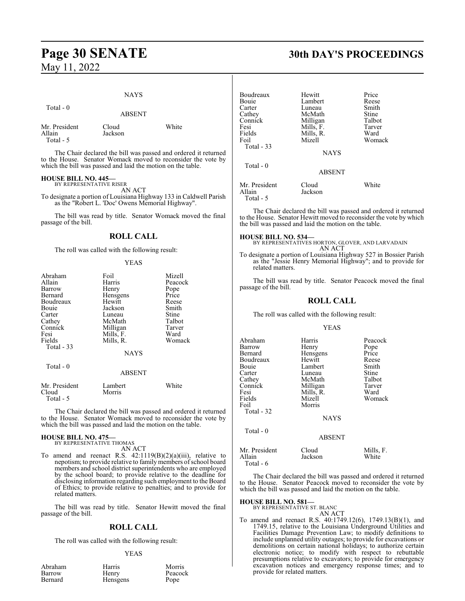# **Page 30 SENATE 30th DAY'S PROCEEDINGS**

## May 11, 2022

#### NAYS

#### Total - 0

ABSENT

| Mr. President | Cloud   | White |
|---------------|---------|-------|
| Allain        | Jackson |       |
| Total - 5     |         |       |

The Chair declared the bill was passed and ordered it returned to the House. Senator Womack moved to reconsider the vote by which the bill was passed and laid the motion on the table.

#### **HOUSE BILL NO. 445—**

BY REPRESENTATIVE RISER AN ACT

To designate a portion of Louisiana Highway 133 in Caldwell Parish as the "Robert L. 'Doc' Owens Memorial Highway".

The bill was read by title. Senator Womack moved the final passage of the bill.

### **ROLL CALL**

The roll was called with the following result:

#### YEAS

| Foil              | Mizell                |
|-------------------|-----------------------|
| Harris            | Peacock               |
| Henry             | Pope                  |
| Hensgens          | Price                 |
| Hewitt            | Reese                 |
| Jackson           | Smith                 |
| Luneau            | Stine                 |
| McMath            | Talbot                |
|                   | Tarver                |
|                   | Ward                  |
| Mills, R.         | Womack                |
|                   |                       |
| <b>NAYS</b>       |                       |
|                   |                       |
| <b>ABSENT</b>     |                       |
| Lambert<br>Morris | White                 |
|                   | Milligan<br>Mills, F. |

The Chair declared the bill was passed and ordered it returned to the House. Senator Womack moved to reconsider the vote by which the bill was passed and laid the motion on the table.

# **HOUSE BILL NO. 475—** BY REPRESENTATIVE THOMAS

AN ACT

To amend and reenact R.S. 42:1119(B)(2)(a)(iii), relative to nepotism; to provide relative to family members of school board members and school district superintendents who are employed by the school board; to provide relative to the deadline for disclosing information regarding such employment to the Board of Ethics; to provide relative to penalties; and to provide for related matters.

The bill was read by title. Senator Hewitt moved the final passage of the bill.

#### **ROLL CALL**

The roll was called with the following result:

#### YEAS

| Abraham |
|---------|
| Barrow  |
| Bernard |

Harris Morris<br>
Henry Peacoc Hensgens

Peacock<br>Pope

| Boudreaux     | Hewitt        | Price  |
|---------------|---------------|--------|
| Bouie         | Lambert       | Reese  |
| Carter        | Luneau        | Smith  |
| Cathey        | McMath        | Stine  |
| Connick       | Milligan      | Talbot |
| Fesi          | Mills, F.     | Tarver |
| Fields        | Mills, R.     | Ward   |
| Foil          | Mizell        | Womack |
| Total $-33$   |               |        |
|               | <b>NAYS</b>   |        |
| $Total - 0$   |               |        |
|               | <b>ABSENT</b> |        |
| Mr. President | Cloud         | White  |
| Allain        | Jackson       |        |
| Total - 5     |               |        |

The Chair declared the bill was passed and ordered it returned to the House. Senator Hewitt moved to reconsider the vote by which the bill was passed and laid the motion on the table.

**HOUSE BILL NO. 534—** BY REPRESENTATIVES HORTON, GLOVER, AND LARVADAIN AN ACT

To designate a portion of Louisiana Highway 527 in Bossier Parish as the "Jessie Henry Memorial Highway"; and to provide for related matters.

The bill was read by title. Senator Peacock moved the final passage of the bill.

#### **ROLL CALL**

The roll was called with the following result:

#### YEAS

| Abraham<br>Barrow<br>Bernard<br>Boudreaux<br>Bouie<br>Carter | Harris<br>Henry<br>Hensgens<br>Hewitt<br>Lambert<br>Luneau | Peacock<br>Pope<br>Price<br>Reese<br>Smith<br>Stine |
|--------------------------------------------------------------|------------------------------------------------------------|-----------------------------------------------------|
| Cathey<br>Connick<br>Fesi<br>Fields                          | McMath<br>Milligan<br>Mills, R.<br>Mizell                  | Talbot<br>Tarver<br>Ward<br>Womack                  |
| Foil<br>Total - 32                                           | Morris<br><b>NAYS</b>                                      |                                                     |
| Total $-0$                                                   | ABSENT                                                     |                                                     |
| $M_{\mu}$ D <sub>rosid</sub>                                 | $C1$ <sub>av</sub> $1$                                     | $M.112$ $\Gamma$                                    |

Mr. President Cloud Mills, F.<br>Allain Jackson White Jackson Total - 6

The Chair declared the bill was passed and ordered it returned to the House. Senator Peacock moved to reconsider the vote by which the bill was passed and laid the motion on the table.

## **HOUSE BILL NO. 581—** BY REPRESENTATIVE ST. BLANC

AN ACT

To amend and reenact R.S. 40:1749.12(6), 1749.13(B)(1), and 1749.15, relative to the Louisiana Underground Utilities and Facilities Damage Prevention Law; to modify definitions to include unplanned utility outages; to provide for excavations or demolitions on certain national holidays; to authorize certain electronic notice; to modify with respect to rebuttable presumptions relative to excavators; to provide for emergency excavation notices and emergency response times; and to provide for related matters.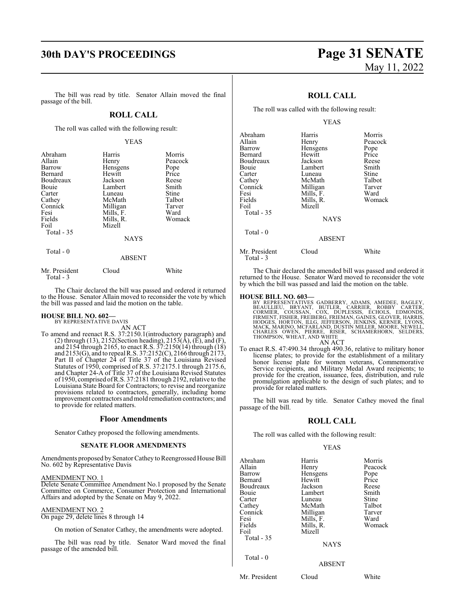## **30th DAY'S PROCEEDINGS Page 31 SENATE**

#### The bill was read by title. Senator Allain moved the final passage of the bill.

### **ROLL CALL**

The roll was called with the following result:

#### YEAS

| Abraham<br>Allain<br>Barrow<br>Bernard<br>Boudreaux<br>Bouie<br>Carter<br>Cathey<br>Connick<br>Fesi<br>Fields<br>Foil | Harris<br>Henry<br>Hensgens<br>Hewitt<br>Jackson<br>Lambert<br>Luneau<br>McMath<br>Milligan<br>Mills, F.<br>Mills, R.<br>Mizell | Morris<br>Peacock<br>Pope<br>Price<br>Reese<br>Smith<br>Stine<br>Talbot<br>Tarver<br>Ward<br>Womack |
|-----------------------------------------------------------------------------------------------------------------------|---------------------------------------------------------------------------------------------------------------------------------|-----------------------------------------------------------------------------------------------------|
| Total $-35$                                                                                                           | <b>NAYS</b>                                                                                                                     |                                                                                                     |
| Total - 0                                                                                                             | <b>ABSENT</b>                                                                                                                   |                                                                                                     |
| Mr. President<br>Total - 3                                                                                            | Cloud                                                                                                                           | White                                                                                               |

The Chair declared the bill was passed and ordered it returned to the House. Senator Allain moved to reconsider the vote by which the bill was passed and laid the motion on the table.

## **HOUSE BILL NO. 602—** BY REPRESENTATIVE DAVIS

AN ACT

To amend and reenact R.S. 37:2150.1(introductory paragraph) and (2) through (13), 2152(Section heading), 2153( $\overline{A}$ ), ( $\overline{E}$ ), and (F), and 2154 through 2165, to enact R.S. 37:2150(14) through (18) and 2153(G), and to repeal R.S. 37:2152(C), 2166 through 2173, Part II of Chapter 24 of Title 37 of the Louisiana Revised Statutes of 1950, comprised of R.S. 37:2175.1 through 2175.6, and Chapter 24-A of Title 37 of the Louisiana Revised Statutes of 1950, comprised ofR.S. 37:2181 through 2192, relative to the Louisiana State Board for Contractors; to revise and reorganize provisions related to contractors, generally, including home improvement contractors andmold remediation contractors; and to provide for related matters.

#### **Floor Amendments**

Senator Cathey proposed the following amendments.

#### **SENATE FLOOR AMENDMENTS**

Amendments proposed by Senator Cathey to Reengrossed House Bill No. 602 by Representative Davis

#### AMENDMENT NO. 1

Delete Senate Committee Amendment No.1 proposed by the Senate Committee on Commerce, Consumer Protection and International Affairs and adopted by the Senate on May 9, 2022.

#### AMENDMENT NO. 2

On page 29, delete lines 8 through 14

On motion of Senator Cathey, the amendments were adopted.

The bill was read by title. Senator Ward moved the final passage of the amended bill.

# May 11, 2022

### **ROLL CALL**

The roll was called with the following result:

|                                                                                                                                     | YEAS                                                                                                                                    |                                                                                                     |
|-------------------------------------------------------------------------------------------------------------------------------------|-----------------------------------------------------------------------------------------------------------------------------------------|-----------------------------------------------------------------------------------------------------|
| Abraham<br>Allain<br>Barrow<br>Bernard<br>Boudreaux<br>Bouie<br>Carter<br>Cathey<br>Connick<br>Fesi<br>Fields<br>Foil<br>Total - 35 | Harris<br>Henry<br>Hensgens<br>Hewitt<br>Jackson<br>Lambert<br>Luneau<br>McMath<br>Milligan<br>Mills, F.<br>Mills, R.<br>Mizell<br>NAYS | Morris<br>Peacock<br>Pope<br>Price<br>Reese<br>Smith<br>Stine<br>Talbot<br>Tarver<br>Ward<br>Womack |
| Total - 0                                                                                                                           | <b>ABSENT</b>                                                                                                                           |                                                                                                     |
| Mr. President<br>Total - 3                                                                                                          | Cloud                                                                                                                                   | White                                                                                               |

The Chair declared the amended bill was passed and ordered it returned to the House. Senator Ward moved to reconsider the vote by which the bill was passed and laid the motion on the table.

#### **HOUSE BILL NO. 603—**

BY REPRESENTATIVES GADBERRY, ADAMS, AMEDEE, BAGLEY,<br>BEAULLEU, BRYANT, BUTLER, CARRIER, ROBBY CARTER,<br>CORMIER, COUSSAN, COX, DUPLESSIS, ECHOLS, EDMONDS,<br>FIRMENT, FISHER, FREIBERG, FRIEMAN, GAINES, GLOVER, HARRIS,<br>HODGES, HO AN ACT

To enact R.S. 47:490.34 through 490.36, relative to military honor license plates; to provide for the establishment of a military honor license plate for women veterans, Commemorative Service recipients, and Military Medal Award recipients; to provide for the creation, issuance, fees, distribution, and rule promulgation applicable to the design of such plates; and to provide for related matters.

The bill was read by title. Senator Cathey moved the final passage of the bill.

### **ROLL CALL**

The roll was called with the following result:

#### YEAS

| Abraham<br>Allain<br>Barrow<br>Bernard<br>Boudreaux<br>Bouie<br>Carter<br>Cathey<br>Connick | Harris<br>Henry<br>Hensgens<br>Hewitt<br>Jackson<br>Lambert<br>Luneau<br>McMath<br>Milligan | Morris<br>Peacock<br>Pope<br>Price<br>Reese<br>Smith<br>Stine<br>Talbot<br>Tarver |
|---------------------------------------------------------------------------------------------|---------------------------------------------------------------------------------------------|-----------------------------------------------------------------------------------|
| Fesi<br>Fields<br>Foil<br>Total - 35                                                        | Mills, F.<br>Mills, R.<br>Mizell<br><b>NAYS</b>                                             | Ward<br>Womack                                                                    |
| Total - 0                                                                                   | <b>ABSENT</b>                                                                               |                                                                                   |
| Mr. President                                                                               | Cloud                                                                                       | White                                                                             |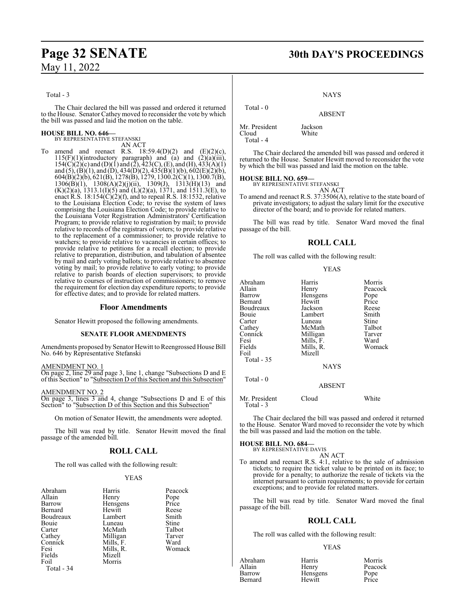## **Page 32 SENATE 30th DAY'S PROCEEDINGS**

Total - 3

The Chair declared the bill was passed and ordered it returned to the House. Senator Cathey moved to reconsider the vote by which the bill was passed and laid the motion on the table.

## **HOUSE BILL NO. 646—** BY REPRESENTATIVE STEFANSKI

AN ACT

To amend and reenact R.S.  $18:59.4(D)(2)$  and  $(E)(2)(c)$ , 115(F)(1)(introductory paragraph) and  $\hat{a}$  and  $\hat{2}$ ) $\hat{a}$ )( $\hat{a}$ iii),  $154(C)(2)(c)$  and  $(D)(1)$  and  $(2), 423(C), (E),$  and  $(H), 433(A)(1)$ and (5), (B)(1), and (D), 434(D)(2), 435(B)(1)(b), 602(E)(2)(b), 604(B)(2)(b), 621(B), 1278(B), 1279, 1300.2(C)(1), 1300.7(B),  $1306(B)(1)$ ,  $1308(A)(2)(j)(ii)$ ,  $1309(J)$ ,  $1313(H)(13)$  and  $(K)(2)(a)$ , 1313.1(I)(5) and (L)(2)(a), 1371, and 1511.3(E), to enact R.S.  $18:154(C)(2)(f)$ , and to repeal R.S. 18:1532, relative to the Louisiana Election Code; to revise the system of laws comprising the Louisiana Election Code; to provide relative to the Louisiana Voter Registration Administrators' Certification Program; to provide relative to registration by mail; to provide relative to records of the registrars of voters; to provide relative to the replacement of a commissioner; to provide relative to watchers; to provide relative to vacancies in certain offices; to provide relative to petitions for a recall election; to provide relative to preparation, distribution, and tabulation of absentee by mail and early voting ballots; to provide relative to absentee voting by mail; to provide relative to early voting; to provide relative to parish boards of election supervisors; to provide relative to courses of instruction of commissioners; to remove the requirement for election day expenditure reports; to provide for effective dates; and to provide for related matters.

#### **Floor Amendments**

Senator Hewitt proposed the following amendments.

#### **SENATE FLOOR AMENDMENTS**

Amendments proposed by Senator Hewitt to Reengrossed House Bill No. 646 by Representative Stefanski

AMENDMENT NO. 1

On page 2, line 29 and page 3, line 1, change "Subsections D and E of this Section" to "Subsection D of this Section and this Subsection"

AMENDMENT NO. 2

On page 3, lines 3 and 4, change "Subsections D and E of this Section" to "Subsection D of this Section and this Subsection"

On motion of Senator Hewitt, the amendments were adopted.

The bill was read by title. Senator Hewitt moved the final passage of the amended bill.

## **ROLL CALL**

The roll was called with the following result:

#### YEAS

| Abraham    | Harris    | Peacoo |
|------------|-----------|--------|
| Allain     | Henry     | Pope   |
| Barrow     | Hensgens  | Price  |
| Bernard    | Hewitt    | Reese  |
| Boudreaux  | Lambert   | Smith  |
| Bouie      | Luneau    | Stine  |
| Carter     | McMath    | Talbot |
| Cathey     | Milligan  | Tarver |
| Connick    | Mills, F. | Ward   |
| Fesi       | Mills, R. | Woma   |
| Fields     | Mizell    |        |
| Foil       | Morris    |        |
| Total - 34 |           |        |

ris Peacock ry Pope<br>
sgens Price vitt<br>1991 - Reese<br>1991 - Smith Smith<br>Stine ligan Tarver<br>ls, F. Ward ls, R. Womack<br>ell

ABSENT Mr. President Jackson<br>Cloud White Cloud Total - 4

The Chair declared the amended bill was passed and ordered it returned to the House. Senator Hewitt moved to reconsider the vote by which the bill was passed and laid the motion on the table.

**NAYS** 

**HOUSE BILL NO. 659—**

BY REPRESENTATIVE STEFANSKI AN ACT

To amend and reenact R.S. 37:3506(A), relative to the state board of private investigators; to adjust the salary limit for the executive director of the board; and to provide for related matters.

The bill was read by title. Senator Ward moved the final passage of the bill.

#### **ROLL CALL**

The roll was called with the following result:

|--|--|

| Abraham    | Harris        | Morris  |
|------------|---------------|---------|
| Allain     | Henry         | Peacock |
| Barrow     | Hensgens      | Pope    |
| Bernard    | Hewitt        | Price   |
| Boudreaux  | Jackson       | Reese   |
| Bouie      | Lambert       | Smith   |
| Carter     | Luneau        | Stine   |
| Cathey     | McMath        | Talbot  |
| Connick    | Milligan      | Tarver  |
| Fesi       | Mills, F.     | Ward    |
| Fields     | Mills, R.     | Womack  |
| Foil       | Mizell        |         |
| Total - 35 |               |         |
|            | <b>NAYS</b>   |         |
| Total - 0  |               |         |
|            | <b>ABSENT</b> |         |
|            |               |         |

Mr. President Cloud White Total - 3

The Chair declared the bill was passed and ordered it returned to the House. Senator Ward moved to reconsider the vote by which the bill was passed and laid the motion on the table.

## **HOUSE BILL NO. 684—** BY REPRESENTATIVE DAVIS

AN ACT

To amend and reenact R.S. 4:1, relative to the sale of admission tickets; to require the ticket value to be printed on its face; to provide for a penalty; to authorize the resale of tickets via the internet pursuant to certain requirements; to provide for certain exceptions; and to provide for related matters.

The bill was read by title. Senator Ward moved the final passage of the bill.

### **ROLL CALL**

The roll was called with the following result:

#### YEAS

Abraham Harris Morris Allain **Henry** Peacock<br>
Barrow Hensgens Pope Barrow Hensgens Pope<br>Bernard Hewitt Price

Hewitt

Total - 0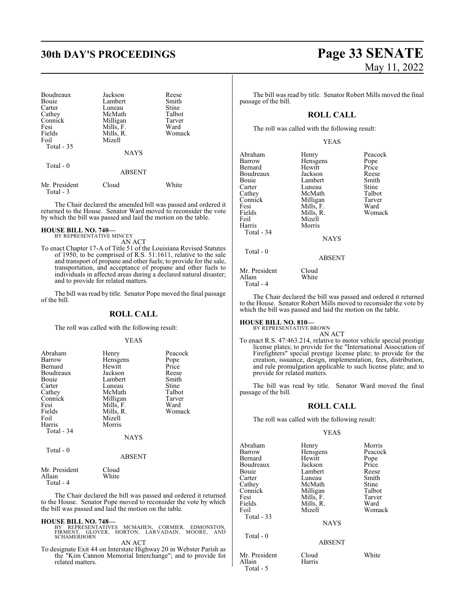## **30th DAY'S PROCEEDINGS Page 33 SENATE**

| Boudreaux<br>Bouie<br>Carter<br>Cathey<br>Connick<br>Fesi<br>Fields<br>Foil<br>Total $-35$ | Jackson<br>Lambert<br>Luneau<br>McMath<br>Milligan<br>Mills, F.<br>Mills, R.<br>Mizell<br><b>NAYS</b> | Reese<br>Smith<br>Stine<br>Talbot<br>Tarver<br>Ward<br>Womack |
|--------------------------------------------------------------------------------------------|-------------------------------------------------------------------------------------------------------|---------------------------------------------------------------|
| Total - 0                                                                                  | ABSENT                                                                                                |                                                               |
| Mr. President<br>Total - 3                                                                 | Cloud                                                                                                 | White                                                         |

The Chair declared the amended bill was passed and ordered it returned to the House. Senator Ward moved to reconsider the vote by which the bill was passed and laid the motion on the table.

#### **HOUSE BILL NO. 740—** BY REPRESENTATIVE MINCEY

AN ACT

To enact Chapter 17-A of Title 51 of the Louisiana Revised Statutes of 1950, to be comprised of R.S. 51:1611, relative to the sale and transport of propane and other fuels; to provide for the sale, transportation, and acceptance of propane and other fuels to individuals in affected areas during a declared natural disaster; and to provide for related matters.

The bill was read by title. Senator Pope moved the final passage of the bill.

#### **ROLL CALL**

The roll was called with the following result:

#### YEAS

| Abraham<br>Barrow<br>Bernard<br>Boudreaux<br>Bouie<br>Carter<br>Cathey<br>Connick<br>Fesi<br>Fields<br>Foil | Henry<br>Hensgens<br>Hewitt<br>Jackson<br>Lambert<br>Luneau<br>McMath<br>Milligan<br>Mills, F.<br>Mills, R.<br>Mizell | Peacock<br>Pope<br>Price<br>Reese<br>Smith<br>Stine<br>Talbot<br>Tarver<br>Ward<br>Womack |
|-------------------------------------------------------------------------------------------------------------|-----------------------------------------------------------------------------------------------------------------------|-------------------------------------------------------------------------------------------|
| Harris                                                                                                      | Morris                                                                                                                |                                                                                           |
| Total - 34                                                                                                  | <b>NAYS</b>                                                                                                           |                                                                                           |
| Total - 0                                                                                                   | <b>ABSENT</b>                                                                                                         |                                                                                           |
| $\mathbf{1}$ $\mathbf{r}$ $\mathbf{n}$ $\mathbf{1}$ $\mathbf{r}$                                            | $\sim$ 1                                                                                                              |                                                                                           |

Mr. President Cloud<br>Allain White White Total - 4

The Chair declared the bill was passed and ordered it returned to the House. Senator Pope moved to reconsider the vote by which the bill was passed and laid the motion on the table.

**HOUSE BILL NO. 748—** BY REPRESENTATIVES MCMAHEN, CORMIER, EDMONSTON, FIRMENT, GLOVER, HORTON, LARVADAIN, MOORE, AND **SCHAMERHORN** 

AN ACT

To designate Exit 44 on Interstate Highway 20 in Webster Parish as the "Kim Cannon Memorial Interchange"; and to provide for related matters.

The bill was read by title. Senator Robert Mills moved the final passage of the bill.

## **ROLL CALL**

The roll was called with the following result:

### YEAS

| Abraham<br>Barrow<br>Bernard<br>Boudreaux<br><b>Bouje</b><br>Carter<br>Cathey<br>Connick<br>Fesi<br>Fields<br>Foil<br>Harris<br>Total - 34 | Henry<br>Hensgens<br>Hewitt<br>Jackson<br>Lambert<br>Luneau<br>McMath<br>Milligan<br>Mills, F.<br>Mills, R.<br>Mizell<br>Morris | Peacock<br>Pope<br>Price<br>Reese<br>Smith<br>Stine<br>Talbot<br>Tarver<br>Ward<br>Womack |
|--------------------------------------------------------------------------------------------------------------------------------------------|---------------------------------------------------------------------------------------------------------------------------------|-------------------------------------------------------------------------------------------|
|                                                                                                                                            | <b>NAYS</b>                                                                                                                     |                                                                                           |
| Total - 0                                                                                                                                  | ABSENT                                                                                                                          |                                                                                           |
| Mr. President<br>Allain<br>Total - 4                                                                                                       | Cloud<br>White                                                                                                                  |                                                                                           |

The Chair declared the bill was passed and ordered it returned to the House. Senator Robert Mills moved to reconsider the vote by which the bill was passed and laid the motion on the table.

### **HOUSE BILL NO. 810—**

BY REPRESENTATIVE BROWN AN ACT

To enact R.S. 47:463.214, relative to motor vehicle special prestige license plates; to provide for the "International Association of Firefighters" special prestige license plate; to provide for the creation, issuance, design, implementation, fees, distribution, and rule promulgation applicable to such license plate; and to provide for related matters.

The bill was read by title. Senator Ward moved the final passage of the bill.

## **ROLL CALL**

The roll was called with the following result:

#### YEAS

| Abraham    | Henry       | Morris  |
|------------|-------------|---------|
| Barrow     | Hensgens    | Peacock |
| Bernard    | Hewitt      | Pope    |
| Boudreaux  | Jackson     | Price   |
| Bouie      | Lambert     | Reese   |
| Carter     | Luneau      | Smith   |
| Cathey     | McMath      | Stine   |
| Connick    | Milligan    | Talbot  |
| Fesi       | Mills, F.   | Tarver  |
| Fields     | Mills, R.   | Ward    |
| Foil       | Mizell      | Womack  |
| Total - 33 |             |         |
|            | <b>NAYS</b> |         |
| Total $-0$ |             |         |
|            | ABSENT      |         |

Mr. President Cloud White<br>Allain Harris Allain Total - 5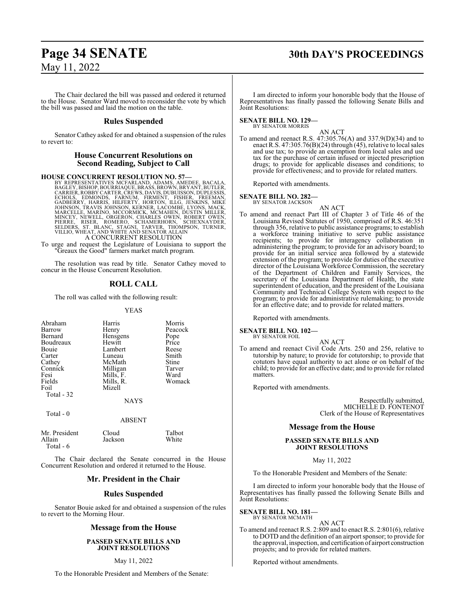## **Page 34 SENATE 30th DAY'S PROCEEDINGS**

May 11, 2022

The Chair declared the bill was passed and ordered it returned to the House. Senator Ward moved to reconsider the vote by which the bill was passed and laid the motion on the table.

#### **Rules Suspended**

Senator Cathey asked for and obtained a suspension of the rules to revert to:

### **House Concurrent Resolutions on Second Reading, Subject to Call**

HOUSE CONCURRENT RESOLUTION NO. 57—<br>BY REPRESENTATIVES MCFARLAND, ADAMS, AMEDEE, BACALA,<br>BAGLEY, BISHOP, BOURRIAQUE, BRASS, BROWN, BRYANT, BUTLER,<br>CARRIER, ROBBY CARTER, CREWS, DAVIS, DUBUISSON, DUPLESSIS,<br>ECHOLS, EDMONDS, A CONCURRENT RESOLUTION

To urge and request the Legislature of Louisiana to support the "Greaux the Good" farmers market match program.

The resolution was read by title. Senator Cathey moved to concur in the House Concurrent Resolution.

## **ROLL CALL**

The roll was called with the following result:

#### YEAS

| Abraham<br>Barrow<br>Bernard<br>Boudreaux<br><b>Bouje</b><br>Carter<br>Cathey<br>Connick<br>Fesi<br>Fields<br>Foil | Harris<br>Henry<br>Hensgens<br>Hewitt<br>Lambert<br>Luneau<br>McMath<br>Milligan<br>Mills, F.<br>Mills, R.<br>Mizell | Morris<br>Peacock<br>Pope<br>Price<br>Reese<br>Smith<br>Stine<br>Tarver<br>Ward<br>Womack |
|--------------------------------------------------------------------------------------------------------------------|----------------------------------------------------------------------------------------------------------------------|-------------------------------------------------------------------------------------------|
| Total - 32<br>Total - 0                                                                                            | <b>NAYS</b>                                                                                                          |                                                                                           |
|                                                                                                                    | <b>ABSENT</b>                                                                                                        |                                                                                           |

| Mr. President | Cloud   | Talbot |
|---------------|---------|--------|
| Allain        | Jackson | White  |
| Total - 6     |         |        |

The Chair declared the Senate concurred in the House Concurrent Resolution and ordered it returned to the House.

### **Mr. President in the Chair**

#### **Rules Suspended**

Senator Bouie asked for and obtained a suspension of the rules to revert to the Morning Hour.

#### **Message from the House**

**PASSED SENATE BILLS AND JOINT RESOLUTIONS**

#### May 11, 2022

To the Honorable President and Members of the Senate:

I am directed to inform your honorable body that the House of Representatives has finally passed the following Senate Bills and Joint Resolutions:

#### **SENATE BILL NO. 129—** BY SENATOR MORRIS

AN ACT To amend and reenact R.S. 47:305.76(A) and 337.9(D)(34) and to enact R.S. 47:305.76(B)(24) through (45), relative to local sales and use tax; to provide an exemption from local sales and use tax for the purchase of certain infused or injected prescription drugs; to provide for applicable diseases and conditions; to provide for effectiveness; and to provide for related matters.

Reported with amendments.

#### **SENATE BILL NO. 282—**

BY SENATOR JACKSON AN ACT

To amend and reenact Part III of Chapter 3 of Title 46 of the Louisiana Revised Statutes of 1950, comprised of R.S. 46:351 through 356, relative to public assistance programs; to establish a workforce training initiative to serve public assistance recipients; to provide for interagency collaboration in administering the program; to provide for an advisory board; to provide for an initial service area followed by a statewide extension of the program; to provide for duties of the executive director of the Louisiana Workforce Commission, the secretary of the Department of Children and Family Services, the secretary of the Louisiana Department of Health, the state superintendent of education, and the president of the Louisiana Community and Technical College System with respect to the program; to provide for administrative rulemaking; to provide for an effective date; and to provide for related matters.

Reported with amendments.

#### **SENATE BILL NO. 102—** BY SENATOR FOIL

- 
- To amend and reenact Civil Code Arts. 250 and 256, relative to tutorship by nature; to provide for cotutorship; to provide that cotutors have equal authority to act alone or on behalf of the child; to provide for an effective date; and to provide for related matters.

AN ACT

Reported with amendments.

Respectfully submitted, MICHELLE D. FONTENOT Clerk of the House of Representatives

#### **Message from the House**

#### **PASSED SENATE BILLS AND JOINT RESOLUTIONS**

May 11, 2022

To the Honorable President and Members of the Senate:

I am directed to inform your honorable body that the House of Representatives has finally passed the following Senate Bills and Joint Resolutions:

**SENATE BILL NO. 181—** BY SENATOR MCMATH

AN ACT

To amend and reenact R.S. 2:809 and to enact R.S. 2:801(6), relative to DOTD and the definition of an airport sponsor; to provide for the approval, inspection, and certification of airport construction projects; and to provide for related matters.

Reported without amendments.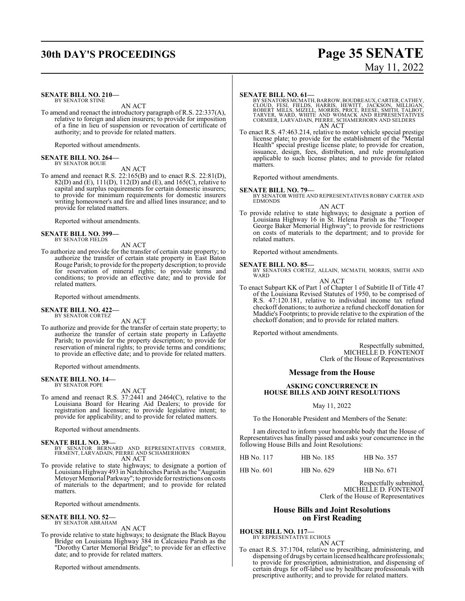## **30th DAY'S PROCEEDINGS Page 35 SENATE**

# May 11, 2022

#### **SENATE BILL NO. 210—** BY SENATOR STINE

AN ACT

To amend and reenact the introductory paragraph of R.S. 22:337(A), relative to foreign and alien insurers; to provide for imposition of a fine in lieu of suspension or revocation of certificate of authority; and to provide for related matters.

Reported without amendments.

#### **SENATE BILL NO. 264—** BY SENATOR BOUIE

AN ACT

To amend and reenact R.S. 22:165(B) and to enact R.S. 22:81(D), 82(D) and (E), 111(D), 112(D) and (E), and 165(C), relative to capital and surplus requirements for certain domestic insurers; to provide for minimum requirements for domestic insurers writing homeowner's and fire and allied lines insurance; and to provide for related matters.

Reported without amendments.

#### **SENATE BILL NO. 399—** BY SENATOR FIELDS

AN ACT

To authorize and provide for the transfer of certain state property; to authorize the transfer of certain state property in East Baton Rouge Parish; to provide for the property description; to provide for reservation of mineral rights; to provide terms and conditions; to provide an effective date; and to provide for related matters.

Reported without amendments.

#### **SENATE BILL NO. 422—** BY SENATOR CORTEZ

AN ACT

To authorize and provide for the transfer of certain state property; to authorize the transfer of certain state property in Lafayette Parish; to provide for the property description; to provide for reservation of mineral rights; to provide terms and conditions; to provide an effective date; and to provide for related matters.

Reported without amendments.

## **SENATE BILL NO. 14—** BY SENATOR POPE

AN ACT

To amend and reenact R.S. 37:2441 and 2464(C), relative to the Louisiana Board for Hearing Aid Dealers; to provide for registration and licensure; to provide legislative intent; to provide for applicability; and to provide for related matters.

Reported without amendments.

#### **SENATE BILL NO. 39—**

BY SENATOR BERNARD AND REPRESENTATIVES CORMIER, FIRMENT, LARVADAIN, PIERRE AND SCHAMERHORN AN ACT

To provide relative to state highways; to designate a portion of Louisiana Highway 493 in Natchitoches Parish as the "Augustin Metoyer Memorial Parkway"; to provide for restrictions on costs of materials to the department; and to provide for related matters.

Reported without amendments.

**SENATE BILL NO. 52—**

BY SENATOR ABRAHAM

## AN ACT

To provide relative to state highways; to designate the Black Bayou Bridge on Louisiana Highway 384 in Calcasieu Parish as the "Dorothy Carter Memorial Bridge"; to provide for an effective date; and to provide for related matters.

Reported without amendments.

#### **SENATE BILL NO. 61—**

BY SENATORS MCMATH, BARROW, BOUDREAUX, CARTER, CATHEY,<br>CLOUD, FESI, FIELDS, HARRIS, HEWITT, JACKSON, MILLIGAN,<br>ROBERT MILLS, MIZELL, MORRIS, PRICE, REESE, SMITH, TALBOT,<br>TARVER, WARD, WHITE AND WOMACK AND REPRESENTATIVES<br>C AN ACT

To enact R.S. 47:463.214, relative to motor vehicle special prestige license plate; to provide for the establishment of the "Mental Health" special prestige license plate; to provide for creation, issuance, design, fees, distribution, and rule promulgation applicable to such license plates; and to provide for related matters.

Reported without amendments.

#### **SENATE BILL NO. 79—**

BY SENATOR WHITE AND REPRESENTATIVES ROBBY CARTER AND EDMONDS

#### AN ACT

To provide relative to state highways; to designate a portion of Louisiana Highway 16 in St. Helena Parish as the "Trooper George Baker Memorial Highway"; to provide for restrictions on costs of materials to the department; and to provide for related matters.

Reported without amendments.

**SENATE BILL NO. 85—**<br>BY SENATORS CORTEZ, ALLAIN, MCMATH, MORRIS, SMITH AND WARD

AN ACT

To enact Subpart KK of Part 1 of Chapter 1 of Subtitle II of Title 47 of the Louisiana Revised Statutes of 1950, to be comprised of R.S. 47:120.181, relative to individual income tax refund checkoff donations; to authorize a refund checkoff donation for Maddie's Footprints; to provide relative to the expiration of the checkoff donation; and to provide for related matters.

Reported without amendments.

Respectfully submitted, MICHELLE D. FONTENOT Clerk of the House of Representatives

#### **Message from the House**

#### **ASKING CONCURRENCE IN HOUSE BILLS AND JOINT RESOLUTIONS**

#### May 11, 2022

To the Honorable President and Members of the Senate:

I am directed to inform your honorable body that the House of Representatives has finally passed and asks your concurrence in the following House Bills and Joint Resolutions:

| HB No. 117 | HB No. 185 | HB No. 357 |
|------------|------------|------------|
| HB No. 601 | HB No. 629 | HB No. 671 |

Respectfully submitted, MICHELLE D. FONTENOT Clerk of the House of Representatives

#### **House Bills and Joint Resolutions on First Reading**

**HOUSE BILL NO. 117—** BY REPRESENTATIVE ECHOLS

AN ACT

To enact R.S. 37:1704, relative to prescribing, administering, and dispensing of drugs by certain licensed healthcare professionals; to provide for prescription, administration, and dispensing of certain drugs for off-label use by healthcare professionals with prescriptive authority; and to provide for related matters.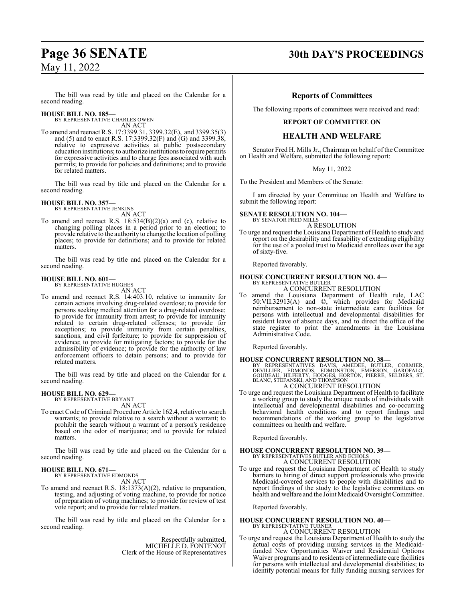## **Page 36 SENATE 30th DAY'S PROCEEDINGS**

The bill was read by title and placed on the Calendar for a second reading.

#### **HOUSE BILL NO. 185—**

BY REPRESENTATIVE CHARLES OWEN AN ACT

To amend and reenact R.S. 17:3399.31, 3399.32(E), and 3399.35(3) and (5) and to enact R.S. 17:3399.32(F) and (G) and 3399.38, relative to expressive activities at public postsecondary education institutions; to authorize institutionsto require permits for expressive activities and to charge fees associated with such permits; to provide for policies and definitions; and to provide for related matters.

The bill was read by title and placed on the Calendar for a second reading.

## **HOUSE BILL NO. 357—** BY REPRESENTATIVE JENKINS

AN ACT

To amend and reenact R.S. 18:534(B)(2)(a) and (c), relative to changing polling places in a period prior to an election; to provide relative to the authority to change the location of polling places; to provide for definitions; and to provide for related matters.

The bill was read by title and placed on the Calendar for a second reading.

#### **HOUSE BILL NO. 601—**

BY REPRESENTATIVE HUGHES AN ACT

To amend and reenact R.S. 14:403.10, relative to immunity for certain actions involving drug-related overdose; to provide for persons seeking medical attention for a drug-related overdose; to provide for immunity from arrest; to provide for immunity related to certain drug-related offenses; to provide for exceptions; to provide immunity from certain penalties, sanctions, and civil forfeiture; to provide for suppression of evidence; to provide for mitigating factors; to provide for the admissibility of evidence; to provide for the authority of law enforcement officers to detain persons; and to provide for related matters.

The bill was read by title and placed on the Calendar for a second reading.

#### **HOUSE BILL NO. 629—**

BY REPRESENTATIVE BRYANT AN ACT

To enact Code ofCriminal Procedure Article 162.4, relative to search warrants; to provide relative to a search without a warrant; to prohibit the search without a warrant of a person's residence based on the odor of marijuana; and to provide for related matters.

The bill was read by title and placed on the Calendar for a second reading.

**HOUSE BILL NO. 671—** BY REPRESENTATIVE EDMONDS

AN ACT

To amend and reenact R.S. 18:1373(A)(2), relative to preparation, testing, and adjusting of voting machine, to provide for notice of preparation of voting machines; to provide for review of test vote report; and to provide for related matters.

The bill was read by title and placed on the Calendar for a second reading.

> Respectfully submitted, MICHELLE D. FONTENOT Clerk of the House of Representatives

#### **Reports of Committees**

The following reports of committees were received and read:

#### **REPORT OF COMMITTEE ON**

#### **HEALTH AND WELFARE**

Senator Fred H. Mills Jr., Chairman on behalf of the Committee on Health and Welfare, submitted the following report:

May 11, 2022

To the President and Members of the Senate:

I am directed by your Committee on Health and Welfare to submit the following report:

#### **SENATE RESOLUTION NO. 104—** BY SENATOR FRED MILLS

A RESOLUTION

To urge and request the Louisiana Department of Health to study and report on the desirability and feasability of extending eligibility for the use of a pooled trust to Medicaid enrollees over the age of sixty-five.

Reported favorably.

## **HOUSE CONCURRENT RESOLUTION NO. 4—** BY REPRESENTATIVE BUTLER

A CONCURRENT RESOLUTION

To amend the Louisiana Department of Health rule, LAC 50:VII.32913(A) and ©, which provides for Medicaid reimbursement to non-state intermediate care facilities for persons with intellectual and developmental disabilities for resident leave of absence days, and to direct the office of the state register to print the amendments in the Louisiana Administrative Code.

Reported favorably.

**HOUSE CONCURRENT RESOLUTION NO. 38—**<br>BY REPRESENTATIVES DAVIS, AMEDEE, BUTLER, CORMIER, DEVILLIER, EDMONDS, EDMONSTON, EMERSON, GAROFALO,<br>GOUDEAU, HILFERTY, HODGES, HORTON, PIERRE, SELDERS, ST.<br>BLANC, STEFANSKI, AND THOMP

#### A CONCURRENT RESOLUTION

To urge and request the Louisiana Department of Health to facilitate a working group to study the unique needs of individuals with intellectual and developmental disabilities and co-occurring behavioral health conditions and to report findings and recommendations of the working group to the legislative committees on health and welfare.

Reported favorably.

## **HOUSE CONCURRENT RESOLUTION NO. 39—** BY REPRESENTATIVES BUTLER AND ECHOLS

A CONCURRENT RESOLUTION

To urge and request the Louisiana Department of Health to study barriers to hiring of direct support professionals who provide Medicaid-covered services to people with disabilities and to report findings of the study to the legislative committees on health and welfare and the Joint Medicaid Oversight Committee.

Reported favorably.

#### **HOUSE CONCURRENT RESOLUTION NO. 40—** BY REPRESENTATIVE TURNER

A CONCURRENT RESOLUTION

To urge and request the Louisiana Department of Health to study the actual costs of providing nursing services in the Medicaidfunded New Opportunities Waiver and Residential Options Waiver programs and to residents of intermediate care facilities for persons with intellectual and developmental disabilities; to identify potential means for fully funding nursing services for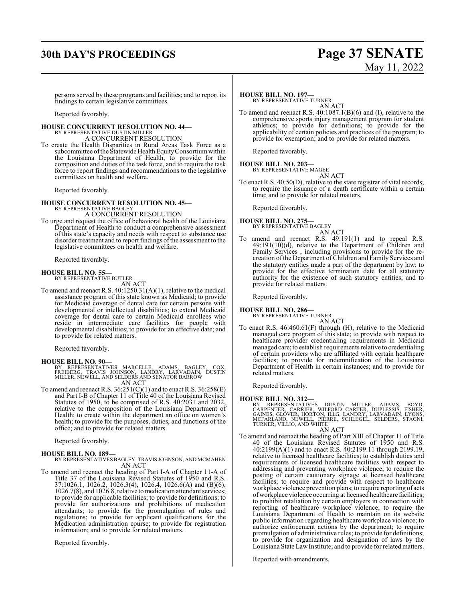## **30th DAY'S PROCEEDINGS Page 37 SENATE**

# May 11, 2022

persons served by these programs and facilities; and to report its findings to certain legislative committees.

Reported favorably.

## **HOUSE CONCURRENT RESOLUTION NO. 44—** BY REPRESENTATIVE DUSTIN MILLER

A CONCURRENT RESOLUTION

To create the Health Disparities in Rural Areas Task Force as a subcommittee of the Statewide Health Equity Consortium within the Louisiana Department of Health, to provide for the composition and duties of the task force, and to require the task force to report findings and recommendations to the legislative committees on health and welfare.

Reported favorably.

## **HOUSE CONCURRENT RESOLUTION NO. 45—** BY REPRESENTATIVE BAGLEY

A CONCURRENT RESOLUTION

To urge and request the office of behavioral health of the Louisiana Department of Health to conduct a comprehensive assessment of this state's capacity and needs with respect to substance use disorder treatment and to report findings of the assessment to the legislative committees on health and welfare.

Reported favorably.

**HOUSE BILL NO. 55—** BY REPRESENTATIVE BUTLER AN ACT

To amend and reenact R.S. 40:1250.31(A)(1), relative to the medical assistance program of this state known as Medicaid; to provide for Medicaid coverage of dental care for certain persons with developmental or intellectual disabilities; to extend Medicaid coverage for dental care to certain Medicaid enrollees who reside in intermediate care facilities for people with developmental disabilities; to provide for an effective date; and to provide for related matters.

Reported favorably.

- **HOUSE BILL NO. 90—** BY REPRESENTATIVES MARCELLE, ADAMS, BAGLEY, COX, FREIBERG, TRAVIS JOHNSON, LANDRY, LARVADAIN, DUSTIN MILLER, NEWELL, AND SELDERS AND SENATOR BARROW AN ACT
- To amend and reenact R.S.  $36:251(C)(1)$  and to enact R.S.  $36:258(E)$ and Part I-B of Chapter 11 of Title 40 of the Louisiana Revised Statutes of 1950, to be comprised of R.S. 40:2031 and 2032, relative to the composition of the Louisiana Department of Health; to create within the department an office on women's health; to provide for the purposes, duties, and functions of the office; and to provide for related matters.

Reported favorably.

#### **HOUSE BILL NO. 189—**

BY REPRESENTATIVES BAGLEY, TRAVIS JOHNSON, AND MCMAHEN AN ACT

To amend and reenact the heading of Part I-A of Chapter 11-A of Title 37 of the Louisiana Revised Statutes of 1950 and R.S. 37:1026.1, 1026.2, 1026.3(4), 1026.4, 1026.6(A) and (B)(6), 1026.7(8), and 1026.8, relative to medication attendant services; to provide for applicable facilities; to provide for definitions; to provide for authorizations and prohibitions of medication attendants; to provide for the promulgation of rules and regulations; to provide for applicant qualifications for the Medication administration course; to provide for registration information; and to provide for related matters.

Reported favorably.

#### **HOUSE BILL NO. 197—**

BY REPRESENTATIVE TURNER AN ACT

To amend and reenact R.S. 40:1087.1(B)(6) and (I), relative to the comprehensive sports injury management program for student athletics; to provide for definitions; to provide for the applicability of certain policies and practices of the program; to provide for exemption; and to provide for related matters.

Reported favorably.

#### **HOUSE BILL NO. 203—**

BY REPRESENTATIVE MAGEE

AN ACT

To enact R.S. 40:50(D), relative to the state registrar of vital records; to require the issuance of a death certificate within a certain time; and to provide for related matters.

Reported favorably.

## **HOUSE BILL NO. 275—** BY REPRESENTATIVE BAGLEY

AN ACT

To amend and reenact R.S. 49:191(1) and to repeal R.S. 49:191(10)(d), relative to the Department of Children and Family Services , including provisions to provide for the recreation ofthe Department of Children and Family Services and the statutory entities made a part of the department by law; to provide for the effective termination date for all statutory authority for the existence of such statutory entities; and to provide for related matters.

Reported favorably.

#### **HOUSE BILL NO. 286—**

BY REPRESENTATIVE TURNER AN ACT

To enact R.S. 46:460.61(F) through (H), relative to the Medicaid managed care program of this state; to provide with respect to healthcare provider credentialing requirements in Medicaid managed care; to establish requirements relative to credentialing of certain providers who are affiliated with certain healthcare facilities; to provide for indemnification of the Louisiana Department of Health in certain instances; and to provide for related matters.

Reported favorably.

#### **HOUSE BILL NO. 312—**

BY REPRESENTATIVES DUSTIN MILLER, ADAMS, BOYD,<br>CARPENTER, CARRIER, WILFORD CARTER, DUPLESSIS, FISHER,<br>GAINES, GLOVER, HORTON, ILLG, LANDRY, LARVADAIN, LYONS,<br>MCFARLAND, NEWELL, PIERRE, SCHLEGEL, SELDERS, STAGNI,<br>TURNER,VIL

#### AN ACT

To amend and reenact the heading of Part XIII of Chapter 11 of Title 40 of the Louisiana Revised Statutes of 1950 and R.S. 40:2199(A)(1) and to enact R.S. 40:2199.11 through 2199.19, relative to licensed healthcare facilities; to establish duties and requirements of licensed healthcare facilities with respect to addressing and preventing workplace violence; to require the posting of certain cautionary signage at licensed healthcare facilities; to require and provide with respect to healthcare workplace violence prevention plans; to require reporting of acts ofworkplace violence occurring at licensed healthcare facilities; to prohibit retaliation by certain employers in connection with reporting of healthcare workplace violence; to require the Louisiana Department of Health to maintain on its website public information regarding healthcare workplace violence; to authorize enforcement actions by the department; to require promulgation of administrative rules; to provide for definitions; to provide for organization and designation of laws by the Louisiana State LawInstitute; and to provide for related matters.

Reported with amendments.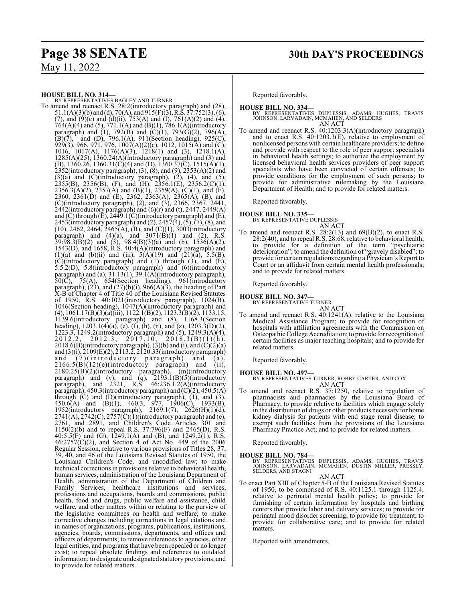**HOUSE BILL NO. 314—** BY REPRESENTATIVES BAGLEY AND TURNER To amend and reenact R.S. 28:2(introductory paragraph) and (28),  $51.1(A)(3)(b)$  and (d),  $70(A)$ , and  $915(F)(3)$ , R.S.  $37:752(3)$ , (6), (7), and  $(9)(c)$  and  $(d)(ii)$ , 753(A) and  $(I)$ , 761(A)(2) and (4), 764(A)(4) and (5), 771.1(A) and (B)(1), 786.1(A)(introductory paragraph) and (1), 792(B) and (C)(1), 793(G)(2), 796(A),  $(B)(7)$ , and  $(D)$ , 796.1(A), 911(Section heading), 925(C), 929(3), 966, 971, 976, 1007(A)(2)(c), 1012, 1015(A) and (C), 1016, 1017(A), 1176(A)(3), 1218(1) and (3), 1218.1(A), 1285(A)(25), 1360.24(A)(introductory paragraph) and (3) and (B), 1360.26, 1360.31(C)(4) and (D), 1360.37(C), 1515(A)(1), 2352(introductory paragraph), (3), (8), and (9), 2353(A)(2) and  $(3)(a)$  and  $(C)(introducing paragramh), (2), (4), and (5),$  $2355(B)$ ,  $2356(B)$ , (F), and (H),  $2356.1(E)$ ,  $2356.2(C)(1)$ , 2356.3(A)(2), 2357(A) and (B)(1), 2359(A), (C)(1), and (F), 2360, 2361(D) and (E), 2362, 2363(A), 2365(A), (B), and (C)(introductory paragraph), (2), and (3), 2366, 2367, 2441, 2442(introductory paragraph) and (6)(r) and (t), 2447, 2449(A) and (C) through (E), 2449.1(C)(introductory paragraph) and (E), 2453(introductory paragraph) and  $(2)$ , 2457 $(4)$ ,  $(5)$ ,  $(7)$ ,  $(8)$ , and (10), 2462, 2464, 2465(A), (B), and (C)(1), 3003(introductory paragraph) and  $(4)(a)$ , and  $3071(B)(1)$  and  $(2)$ , R.S.  $39:98.3(B)(2)$  and  $(3)$ ,  $98.4(B)(3)(a)$  and  $(b)$ ,  $1536(A)(2)$ , 1543(D), and 1658, R.S. 40:4(A)(introductory paragraph) and (1)(a) and (b)(ii) and (iii),  $5(A)(19)$  and  $(21)(a)$ ,  $5.5(B)$ , (C)(introductory paragraph) and (1) through (3), and (E), 5.5.2(D), 5.8(introductory paragraph) and (6)(introductory paragraph) and (a),  $31.13(1)$ ,  $39.1(A)$ (introductory paragraph),  $50(\overrightarrow{C})$ ,  $75(A)$ ,  $654(Section$  heading),  $961(i$ ntroductory paragraph),  $(23)$ , and  $(27)(b)(i)$ ,  $966(A)(3)$ , the heading of Part X-B of Chapter 4 of Title 40 of the Louisiana Revised Statutes of 1950, R.S. 40:1021(introductory paragraph), 1024(B), 1046(Section heading), 1047(A)(introductory paragraph) and (4), 1061.17(B)(3)(a)(iii), 1122.1(B)(2), 1123.3(B)(2), 1133.15, 1139.6(introductory paragraph) and (8), 1168.3(Section heading),  $1203.1(4)(a)$ , (e), (f), (h), (n), and (z),  $1203.3(D)(2)$ , 1223.3, 1249.2(introductory paragraph) and (5), 1249.3(A)(4),  $2012.2, 2012.3, 2017.10, 2018.3(B)(1)(h),$  $2018.6(B)$ (introductory paragraph), (3)(b) and (i), and (C)(2)(a) and (3)(i), 2109(E)(2), 2113.2, 2120.33(introductory paragraph) and (7)(introductory paragraph) and (a),  $2166.5(B)(12)(e)$ (introductory paragraph) and (ii), 2180.25(B)(2)(introductory paragraph), (m)(introductory paragraph) and (v), and (q),  $2193.1(B)(5)$ (introductory paragraph), and 2321, R.S. 46:236.1.2(A)(introductory paragraph), 450.3(introductory paragraph) and  $(C)(2)$ , 450.5(A) through (C) and (D)(introductory paragraph), (1), and (3),  $450.6(A)$  and  $(B)(1)$ ,  $460.3$ ,  $977$ ,  $1906(C)$ ,  $1933(B)$ , 1952(introductory paragraph), 2169.1(7), 2626(H)(1)(d),  $2741(A), 2742(C), 2757(C)(1)$ (introductory paragraph) and (e), 2761, and 2891, and Children's Code Articles 301 and 1150(2)(b) and to repeal R.S. 37:796(F) and 2465(D), R.S. 40:5.5(F) and (G), 1249.1(A) and (B), and 1249.2(1), R.S.  $46:2757(C)(2)$ , and Section 4 of Act No. 449 of the 2006 Regular Session, relative to various provisions of Titles 28, 37, 39, 40, and 46 of the Louisiana Revised Statutes of 1950, the Louisiana Children's Code, and uncodified law; to make technical corrections in provisions relative to behavioral health, human services, administration of the Louisiana Department of Health, administration of the Department of Children and Family Services, healthcare institutions and services, professions and occupations, boards and commissions, public health, food and drugs, public welfare and assistance, child welfare, and other matters within or relating to the purview of the legislative committees on health and welfare; to make corrective changes including corrections in legal citations and in names of organizations, programs, publications, institutions, agencies, boards, commissions, departments, and offices and officers of departments; to remove references to agencies, other legal entities, and programs that have been repealed or no longer exist; to repeal obsolete findings and references to outdated information; to designate undesignated statutory provisions; and to provide for related matters.

Reported favorably.

- **HOUSE BILL NO. 334—** BY REPRESENTATIVES DUPLESSIS, ADAMS, HUGHES, TRAVIS JOHNSON, LARVADAIN, MCMAHEN, AND SELDERS AN ACT
- To amend and reenact R.S. 40:1203.3(A)(introductory paragraph) and to enact R.S. 40:1203.3(E), relative to employment of nonlicensed persons with certain healthcare providers; to define and provide with respect to the role of peer support specialists in behavioral health settings; to authorize the employment by licensed behavioral health services providers of peer support specialists who have been convicted of certain offenses; to provide conditions for the employment of such persons; to provide for administrative rulemaking by the Louisiana Department of Health; and to provide for related matters.

Reported favorably.

**HOUSE BILL NO. 335—**

BY REPRESENTATIVE DUPLESSIS

- AN ACT
- To amend and reenact R.S.  $28:2(13)$  and  $69(B)(2)$ , to enact R.S. 28:2(40), and to repeal R.S. 28:68, relative to behavioral health; to provide for a definition of the term "psychiatric deterioration"; to amend the definition of "gravely disabled"; to provide for certain regulations regarding a Physician's Report to Court or an affidavit from certain mental health professionals; and to provide for related matters.

Reported favorably.

## **HOUSE BILL NO. 347—** BY REPRESENTATIVE TURNER

AN ACT

To amend and reenact R.S. 40:1241(A), relative to the Louisiana Medical Assistance Program; to provide for recognition of hospitals with affiliation agreements with the Commission on Osteopathic College Accreditation; to provide for recognition of certain facilities as major teaching hospitals; and to provide for related matters.

Reported favorably.

**HOUSE BILL NO. 497—** BY REPRESENTATIVES TURNER, ROBBY CARTER, AND COX AN ACT

To amend and reenact R.S. 37:1250, relative to regulation of pharmacists and pharmacies by the Louisiana Board of Pharmacy; to provide relative to facilities which engage solely in the distribution of drugs or other products necessary for home kidney dialysis for patients with end stage renal disease; to exempt such facilities from the provisions of the Louisiana Pharmacy Practice Act; and to provide for related matters.

Reported favorably.

#### **HOUSE BILL NO. 784—**

BY REPRESENTATIVES DUPLESSIS, ADAMS, HUGHES, TRAVIS<br>JOHNSON, LARVADAIN, MCMAHEN, DUSTIN MILLER, PRESSLY,<br>SELDERS,AND STAGNI

AN ACT

To enact Part XIII of Chapter 5-B of the Louisiana Revised Statutes of 1950, to be comprised of R.S. 40:1125.1 through 1125.4, relative to perinatal mental health policy; to provide for furnishing of certain information by hospitals and birthing centers that provide labor and delivery services; to provide for perinatal mood disorder screening; to provide for treatment; to provide for collaborative care; and to provide for related matters.

Reported with amendments.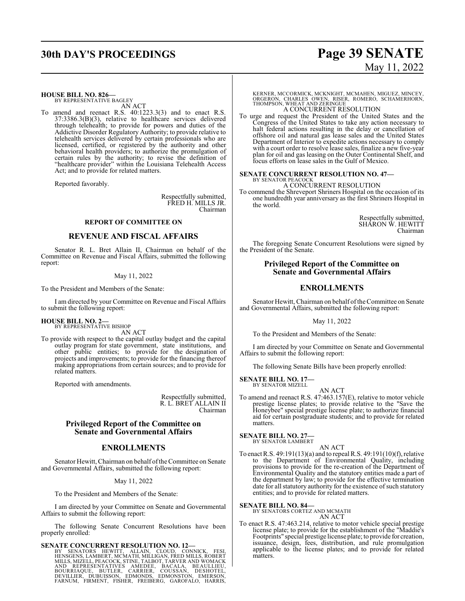# **30th DAY'S PROCEEDINGS Page 39 SENATE** May 11, 2022

**HOUSE BILL NO. 826—** BY REPRESENTATIVE BAGLEY

AN ACT

To amend and reenact R.S. 40:1223.3(3) and to enact R.S. 37:3386.3(B)(3), relative to healthcare services delivered through telehealth; to provide for powers and duties of the Addictive Disorder Regulatory Authority; to provide relative to telehealth services delivered by certain professionals who are licensed, certified, or registered by the authority and other behavioral health providers; to authorize the promulgation of certain rules by the authority; to revise the definition of "healthcare provider" within the Louisiana Telehealth Access Act; and to provide for related matters.

Reported favorably.

Respectfully submitted, FRED H. MILLS JR. Chairman

### **REPORT OF COMMITTEE ON**

#### **REVENUE AND FISCAL AFFAIRS**

Senator R. L. Bret Allain II, Chairman on behalf of the Committee on Revenue and Fiscal Affairs, submitted the following report:

#### May 11, 2022

To the President and Members of the Senate:

I am directed by your Committee on Revenue and Fiscal Affairs to submit the following report:

#### **HOUSE BILL NO. 2—**

BY REPRESENTATIVE BISHOP AN ACT

To provide with respect to the capital outlay budget and the capital outlay program for state government, state institutions, and other public entities; to provide for the designation of projects and improvements; to provide for the financing thereof making appropriations from certain sources; and to provide for related matters.

Reported with amendments.

Respectfully submitted, R. L. BRET ALLAIN II Chairman

### **Privileged Report of the Committee on Senate and Governmental Affairs**

#### **ENROLLMENTS**

Senator Hewitt, Chairman on behalf ofthe Committee on Senate and Governmental Affairs, submitted the following report:

#### May 11, 2022

To the President and Members of the Senate:

I am directed by your Committee on Senate and Governmental Affairs to submit the following report:

The following Senate Concurrent Resolutions have been properly enrolled:

SENATE CONCURRENT RESOLUTION NO. 12—<br>BY SENATORS HEWITT, ALLAIN, CLOUD, CONNICK, FESI, HENSGENS, LAMBERT, MCMATH, MILLIGAN, FRED MILLS, ROBERT<br>MILLS, MIZELL, PEACOCK, STINE, TALBOT, TARVER AND WOMACK<br>AND REPRESENTATIVES AM

KERNER, MCCORMICK, MCKNIGHT, MCMAHEN, MIGUEZ, MINCEY,<br>ORGERON, CHARLES OWEN, RISER, ROMERO, SCHAMERHORN,<br>THOMPSON, WHEAT AND ZERINGUE A CONCURRENT RESOLUTION

To urge and request the President of the United States and the Congress of the United States to take any action necessary to halt federal actions resulting in the delay or cancellation of offshore oil and natural gas lease sales and the United States Department of Interior to expedite actions necessary to comply with a court order to resolve lease sales, finalize a new five-year plan for oil and gas leasing on the Outer Continental Shelf, and focus efforts on lease sales in the Gulf of Mexico.

#### **SENATE CONCURRENT RESOLUTION NO. 47—** BY SENATOR PEACOCK

A CONCURRENT RESOLUTION

To commend the Shreveport Shriners Hospital on the occasion of its one hundredth year anniversary as the first Shriners Hospital in the world.

> Respectfully submitted, SHARON W. HEWITT Chairman

The foregoing Senate Concurrent Resolutions were signed by the President of the Senate.

#### **Privileged Report of the Committee on Senate and Governmental Affairs**

## **ENROLLMENTS**

Senator Hewitt, Chairman on behalf of the Committee on Senate and Governmental Affairs, submitted the following report:

#### May 11, 2022

To the President and Members of the Senate:

I am directed by your Committee on Senate and Governmental Affairs to submit the following report:

The following Senate Bills have been properly enrolled:

## **SENATE BILL NO. 17—** BY SENATOR MIZELL

AN ACT

To amend and reenact R.S. 47:463.157(E), relative to motor vehicle prestige license plates; to provide relative to the "Save the Honeybee" special prestige license plate; to authorize financial aid for certain postgraduate students; and to provide for related matters.

### **SENATE BILL NO. 27—**

BY SENATOR LAMBERT AN ACT

To enact R.S. 49:191(13)(a) and to repeal R.S. 49:191(10)(f), relative to the Department of Environmental Quality, including provisions to provide for the re-creation of the Department of Environmental Quality and the statutory entities made a part of the department by law; to provide for the effective termination date for all statutory authority for the existence of such statutory entities; and to provide for related matters.

**SENATE BILL NO. 84—** BY SENATORS CORTEZ AND MCMATH

AN ACT

To enact R.S. 47:463.214, relative to motor vehicle special prestige license plate; to provide for the establishment of the "Maddie's Footprints" special prestige license plate; to provide for creation, issuance, design, fees, distribution, and rule promulgation applicable to the license plates; and to provide for related matters.